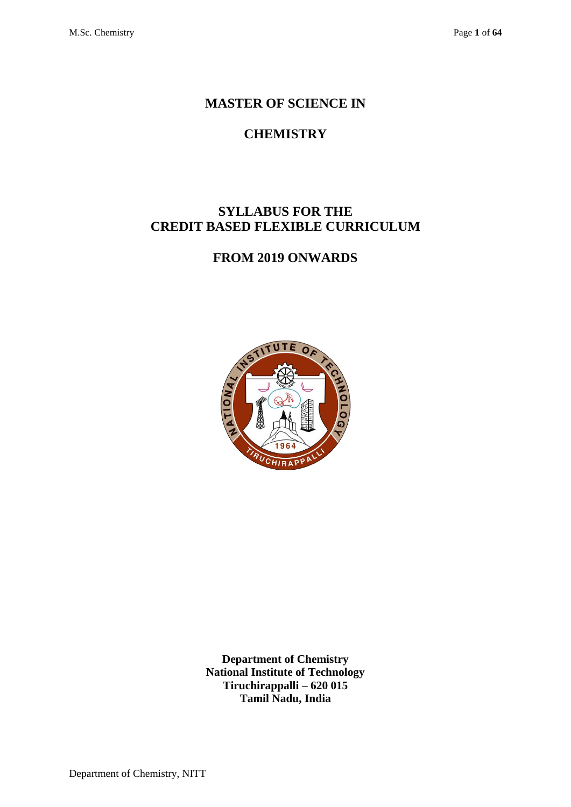## **MASTER OF SCIENCE IN**

# **CHEMISTRY**

## **SYLLABUS FOR THE CREDIT BASED FLEXIBLE CURRICULUM**

## **FROM 2019 ONWARDS**



**Department of Chemistry National Institute of Technology Tiruchirappalli – 620 015 Tamil Nadu, India**

Department of Chemistry, NITT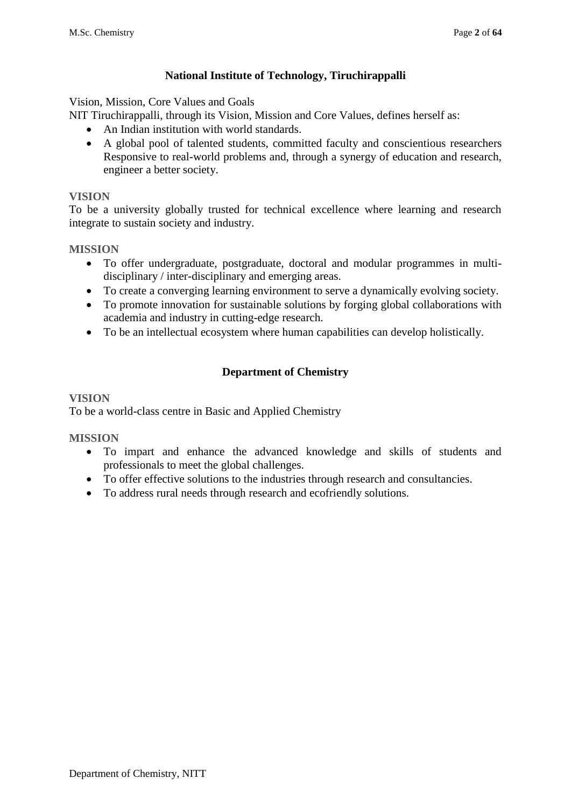## **National Institute of Technology, Tiruchirappalli**

Vision, Mission, Core Values and Goals

- NIT Tiruchirappalli, through its Vision, Mission and Core Values, defines herself as:
	- An Indian institution with world standards.
	- A global pool of talented students, committed faculty and conscientious researchers Responsive to real-world problems and, through a synergy of education and research, engineer a better society.

### **VISION**

To be a university globally trusted for technical excellence where learning and research integrate to sustain society and industry.

### **MISSION**

- To offer undergraduate, postgraduate, doctoral and modular programmes in multidisciplinary / inter-disciplinary and emerging areas.
- To create a converging learning environment to serve a dynamically evolving society.
- To promote innovation for sustainable solutions by forging global collaborations with academia and industry in cutting-edge research.
- To be an intellectual ecosystem where human capabilities can develop holistically.

## **Department of Chemistry**

### **VISION**

To be a world-class centre in Basic and Applied Chemistry

## **MISSION**

- To impart and enhance the advanced knowledge and skills of students and professionals to meet the global challenges.
- To offer effective solutions to the industries through research and consultancies.
- To address rural needs through research and ecofriendly solutions.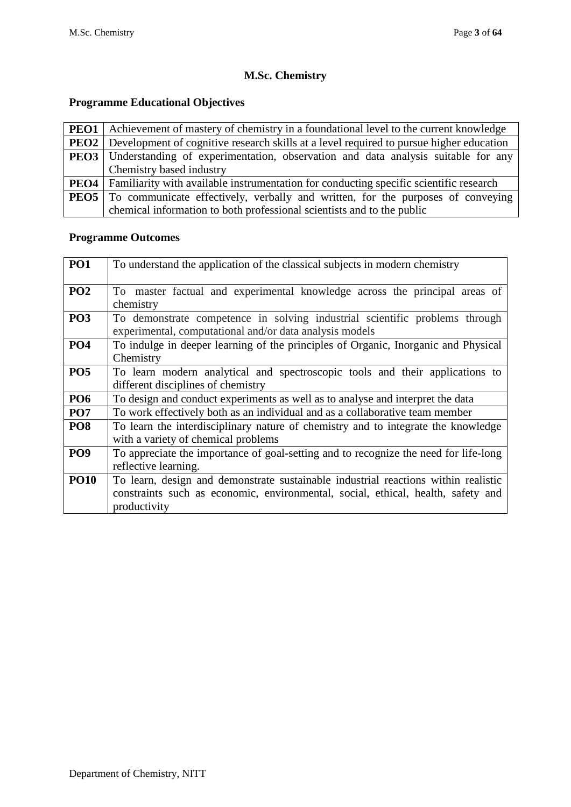## **M.Sc. Chemistry**

## **Programme Educational Objectives**

|                  | <b>PEO1</b> Achievement of mastery of chemistry in a foundational level to the current knowledge     |  |  |  |  |  |  |  |  |  |  |
|------------------|------------------------------------------------------------------------------------------------------|--|--|--|--|--|--|--|--|--|--|
|                  | <b>PEO2</b> Development of cognitive research skills at a level required to pursue higher education  |  |  |  |  |  |  |  |  |  |  |
|                  | <b>PEO3</b> Understanding of experimentation, observation and data analysis suitable for any         |  |  |  |  |  |  |  |  |  |  |
|                  | Chemistry based industry                                                                             |  |  |  |  |  |  |  |  |  |  |
|                  | <b>PEO4</b>   Familiarity with available instrumentation for conducting specific scientific research |  |  |  |  |  |  |  |  |  |  |
| PEO <sub>5</sub> | To communicate effectively, verbally and written, for the purposes of conveying                      |  |  |  |  |  |  |  |  |  |  |
|                  | chemical information to both professional scientists and to the public                               |  |  |  |  |  |  |  |  |  |  |

## **Programme Outcomes**

| <b>PO1</b>      | To understand the application of the classical subjects in modern chemistry                                                                                                            |  |  |  |  |  |  |  |  |  |  |
|-----------------|----------------------------------------------------------------------------------------------------------------------------------------------------------------------------------------|--|--|--|--|--|--|--|--|--|--|
| <b>PO2</b>      | To master factual and experimental knowledge across the principal areas of<br>chemistry                                                                                                |  |  |  |  |  |  |  |  |  |  |
| PO <sub>3</sub> | To demonstrate competence in solving industrial scientific problems through<br>experimental, computational and/or data analysis models                                                 |  |  |  |  |  |  |  |  |  |  |
| <b>PO4</b>      | To indulge in deeper learning of the principles of Organic, Inorganic and Physical<br>Chemistry                                                                                        |  |  |  |  |  |  |  |  |  |  |
| <b>PO5</b>      | To learn modern analytical and spectroscopic tools and their applications to<br>different disciplines of chemistry                                                                     |  |  |  |  |  |  |  |  |  |  |
| <b>PO6</b>      | To design and conduct experiments as well as to analyse and interpret the data                                                                                                         |  |  |  |  |  |  |  |  |  |  |
| PO <sub>7</sub> | To work effectively both as an individual and as a collaborative team member                                                                                                           |  |  |  |  |  |  |  |  |  |  |
| PO <sub>8</sub> | To learn the interdisciplinary nature of chemistry and to integrate the knowledge<br>with a variety of chemical problems                                                               |  |  |  |  |  |  |  |  |  |  |
| PO <sub>9</sub> | To appreciate the importance of goal-setting and to recognize the need for life-long<br>reflective learning.                                                                           |  |  |  |  |  |  |  |  |  |  |
| <b>PO10</b>     | To learn, design and demonstrate sustainable industrial reactions within realistic<br>constraints such as economic, environmental, social, ethical, health, safety and<br>productivity |  |  |  |  |  |  |  |  |  |  |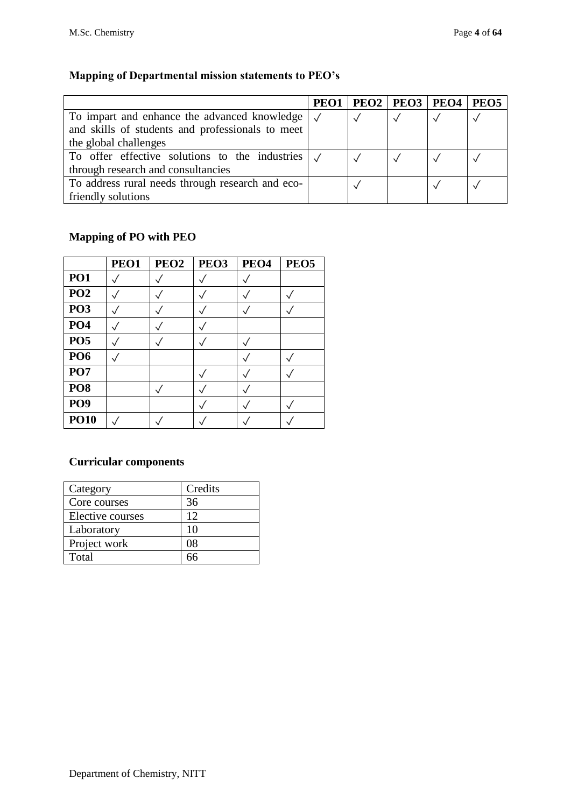# **Mapping of Departmental mission statements to PEO's**

|                                                                 | PEO1 | $PEO2$   $PEO3$   $PEO4$ | PEO <sub>5</sub> |
|-----------------------------------------------------------------|------|--------------------------|------------------|
| To impart and enhance the advanced knowledge $\sqrt{}$          |      |                          |                  |
| and skills of students and professionals to meet                |      |                          |                  |
| the global challenges                                           |      |                          |                  |
| To offer effective solutions to the industries $\vert \sqrt{ }$ |      |                          |                  |
| through research and consultancies                              |      |                          |                  |
| To address rural needs through research and eco-                |      |                          |                  |
| friendly solutions                                              |      |                          |                  |

## **Mapping of PO with PEO**

|                 | PEO1 | PEO <sub>2</sub> | PEO <sub>3</sub> | PEO <sub>4</sub> | PEO <sub>5</sub> |
|-----------------|------|------------------|------------------|------------------|------------------|
| <b>PO1</b>      |      |                  |                  |                  |                  |
| PO <sub>2</sub> |      |                  |                  |                  |                  |
| <b>PO3</b>      |      |                  |                  |                  |                  |
| PO <sub>4</sub> |      |                  |                  |                  |                  |
| <b>PO5</b>      |      |                  |                  |                  |                  |
| <b>PO6</b>      |      |                  |                  |                  |                  |
| PO7             |      |                  |                  |                  |                  |
| PO <sub>8</sub> |      |                  |                  |                  |                  |
| PO <sub>9</sub> |      |                  |                  |                  |                  |
| <b>PO10</b>     |      |                  |                  |                  |                  |

## **Curricular components**

| Category         | Credits |
|------------------|---------|
| Core courses     | 36      |
| Elective courses | 12      |
| Laboratory       | 10      |
| Project work     | 08      |
| Total            |         |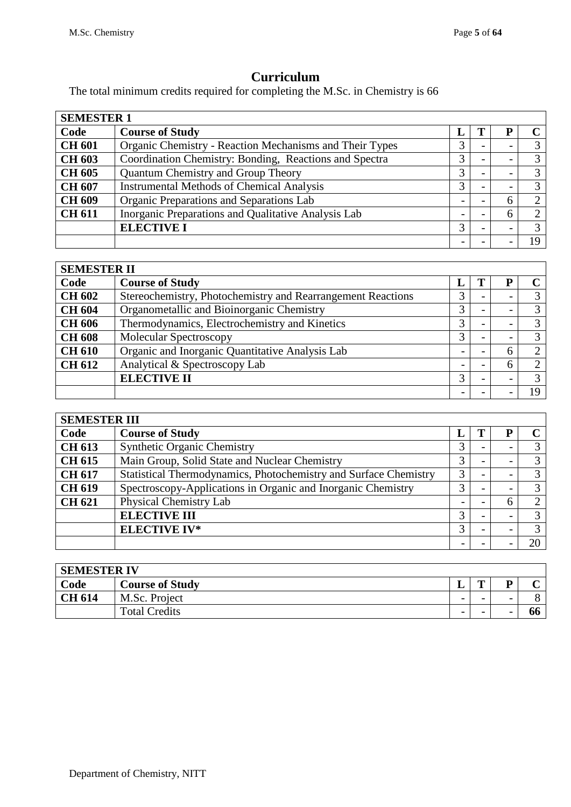# **Curriculum**

The total minimum credits required for completing the M.Sc. in Chemistry is 66

| <b>SEMESTER 1</b> |                                                         |               |                          |                          |              |  |  |  |  |
|-------------------|---------------------------------------------------------|---------------|--------------------------|--------------------------|--------------|--|--|--|--|
| Code              | <b>Course of Study</b>                                  | L             |                          |                          | $\mathcal C$ |  |  |  |  |
| <b>CH 601</b>     | Organic Chemistry - Reaction Mechanisms and Their Types |               |                          |                          |              |  |  |  |  |
| <b>CH 603</b>     | Coordination Chemistry: Bonding, Reactions and Spectra  |               | $\overline{\phantom{0}}$ | $\overline{\phantom{0}}$ | 3            |  |  |  |  |
| <b>CH 605</b>     | Quantum Chemistry and Group Theory                      | 3             |                          |                          | 3            |  |  |  |  |
| <b>CH 607</b>     | <b>Instrumental Methods of Chemical Analysis</b>        | $\mathcal{F}$ | $\overline{\phantom{0}}$ | $\overline{\phantom{0}}$ | 3            |  |  |  |  |
| <b>CH 609</b>     | Organic Preparations and Separations Lab                |               | -                        | h                        | ◠            |  |  |  |  |
| <b>CH 611</b>     | Inorganic Preparations and Qualitative Analysis Lab     |               |                          |                          | ⌒            |  |  |  |  |
|                   | <b>ELECTIVE I</b>                                       |               |                          |                          |              |  |  |  |  |
|                   |                                                         |               |                          |                          | 19           |  |  |  |  |

| <b>SEMESTER II</b> |                                                             |               |  |                          |               |  |  |  |
|--------------------|-------------------------------------------------------------|---------------|--|--------------------------|---------------|--|--|--|
| Code               | <b>Course of Study</b>                                      | п.            |  |                          | C.            |  |  |  |
| <b>CH 602</b>      | Stereochemistry, Photochemistry and Rearrangement Reactions | 3             |  | $\overline{\phantom{0}}$ | 3             |  |  |  |
| <b>CH 604</b>      | Organometallic and Bioinorganic Chemistry                   |               |  |                          |               |  |  |  |
| <b>CH 606</b>      | Thermodynamics, Electrochemistry and Kinetics               |               |  |                          |               |  |  |  |
| <b>CH 608</b>      | Molecular Spectroscopy                                      | $\mathcal{F}$ |  | $\overline{\phantom{0}}$ | 3             |  |  |  |
| <b>CH 610</b>      | Organic and Inorganic Quantitative Analysis Lab             |               |  |                          | $\mathcal{D}$ |  |  |  |
| <b>CH 612</b>      | Analytical & Spectroscopy Lab                               |               |  | 6                        | ↑             |  |  |  |
|                    | <b>ELECTIVE II</b>                                          |               |  |                          |               |  |  |  |
|                    |                                                             |               |  | -                        |               |  |  |  |

| <b>SEMESTER III</b> |                                                                  |                   |  |   |                   |  |  |  |
|---------------------|------------------------------------------------------------------|-------------------|--|---|-------------------|--|--|--|
| Code                | <b>Course of Study</b>                                           |                   |  |   |                   |  |  |  |
| <b>CH 613</b>       | <b>Synthetic Organic Chemistry</b>                               |                   |  |   | ⌒                 |  |  |  |
| <b>CH 615</b>       | Main Group, Solid State and Nuclear Chemistry                    |                   |  |   | $\mathfrak{D}$    |  |  |  |
| <b>CH 617</b>       | Statistical Thermodynamics, Photochemistry and Surface Chemistry |                   |  |   |                   |  |  |  |
| <b>CH 619</b>       | Spectroscopy-Applications in Organic and Inorganic Chemistry     | っ                 |  | - | $\mathbf{\Omega}$ |  |  |  |
| <b>CH 621</b>       | Physical Chemistry Lab                                           |                   |  |   |                   |  |  |  |
|                     | <b>ELECTIVE III</b>                                              |                   |  |   | $\mathbf{\Omega}$ |  |  |  |
|                     | <b>ELECTIVE IV*</b>                                              | $\mathbf{\Omega}$ |  |   | ⌒                 |  |  |  |
|                     |                                                                  |                   |  |   |                   |  |  |  |

| <b>SEMESTER IV</b> |                        |                          |   |                          |    |  |  |  |  |
|--------------------|------------------------|--------------------------|---|--------------------------|----|--|--|--|--|
| Code               | <b>Course of Study</b> | ≖                        | m | n                        |    |  |  |  |  |
| <b>CH 614</b>      | M.Sc. Project          | -                        | - | $\overline{\phantom{0}}$ |    |  |  |  |  |
|                    | <b>Total Credits</b>   | $\overline{\phantom{a}}$ | - | $\overline{\phantom{0}}$ | ot |  |  |  |  |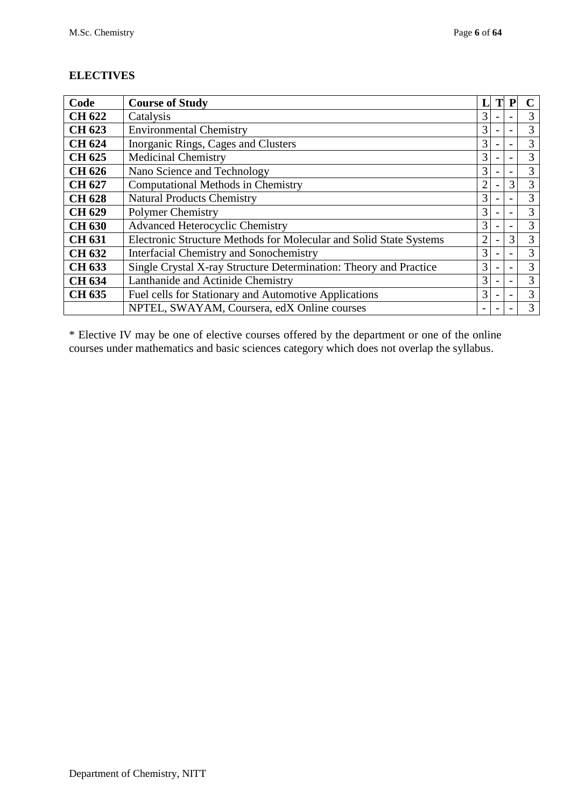## **ELECTIVES**

| Code          | <b>Course of Study</b>                                             |   |  | P                        | $\mathsf{\Gamma}$ |  |  |
|---------------|--------------------------------------------------------------------|---|--|--------------------------|-------------------|--|--|
| <b>CH 622</b> | Catalysis                                                          | 3 |  |                          | 3                 |  |  |
| <b>CH 623</b> | <b>Environmental Chemistry</b>                                     | 3 |  | $\qquad \qquad$          | 3                 |  |  |
| <b>CH 624</b> | Inorganic Rings, Cages and Clusters                                | 3 |  |                          | 3                 |  |  |
| <b>CH 625</b> | <b>Medicinal Chemistry</b>                                         | 3 |  |                          | 3                 |  |  |
| <b>CH 626</b> | Nano Science and Technology                                        | 3 |  | $\overline{\phantom{a}}$ | 3                 |  |  |
| <b>CH 627</b> | <b>Computational Methods in Chemistry</b>                          |   |  |                          |                   |  |  |
| <b>CH 628</b> | <b>Natural Products Chemistry</b>                                  |   |  |                          |                   |  |  |
| <b>CH 629</b> | <b>Polymer Chemistry</b>                                           |   |  |                          |                   |  |  |
| <b>CH 630</b> | <b>Advanced Heterocyclic Chemistry</b>                             | 3 |  |                          | 3                 |  |  |
| <b>CH 631</b> | Electronic Structure Methods for Molecular and Solid State Systems |   |  | 3                        | 3                 |  |  |
| <b>CH 632</b> | <b>Interfacial Chemistry and Sonochemistry</b>                     | 3 |  | $\qquad \qquad$          | 3                 |  |  |
| <b>CH 633</b> | Single Crystal X-ray Structure Determination: Theory and Practice  | 3 |  |                          | 3                 |  |  |
| <b>CH 634</b> | Lanthanide and Actinide Chemistry                                  | 3 |  |                          | 3                 |  |  |
| <b>CH 635</b> | Fuel cells for Stationary and Automotive Applications              | 3 |  | $\overline{\phantom{a}}$ | 3                 |  |  |
|               | NPTEL, SWAYAM, Coursera, edX Online courses                        |   |  |                          | 3                 |  |  |

\* Elective IV may be one of elective courses offered by the department or one of the online courses under mathematics and basic sciences category which does not overlap the syllabus.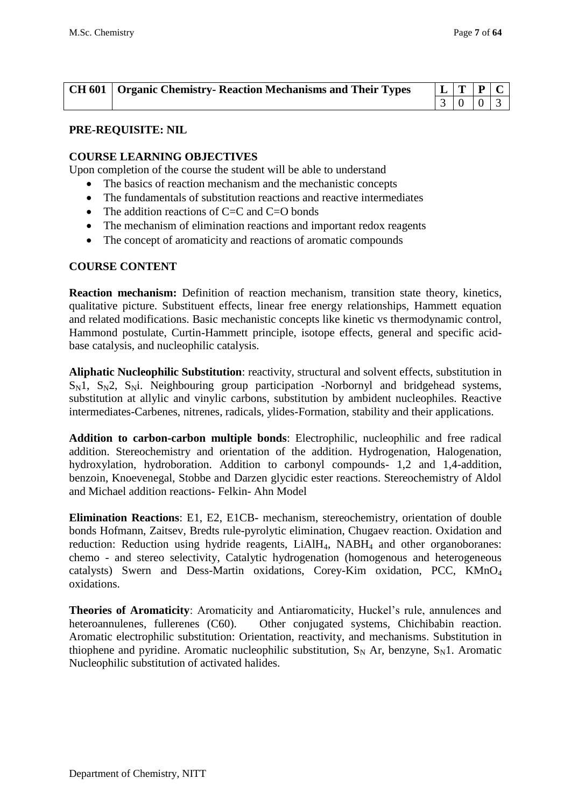| <b>CH 601</b> Organic Chemistry-Reaction Mechanisms and Their Types | $L$ $T$ $P$ $C$ |  |
|---------------------------------------------------------------------|-----------------|--|
|                                                                     | $3 \ 0 \ 0 \ 3$ |  |

#### **PRE-REQUISITE: NIL**

#### **COURSE LEARNING OBJECTIVES**

Upon completion of the course the student will be able to understand

- The basics of reaction mechanism and the mechanistic concepts
- The fundamentals of substitution reactions and reactive intermediates
- The addition reactions of  $C = C$  and  $C = O$  bonds
- The mechanism of elimination reactions and important redox reagents
- The concept of aromaticity and reactions of aromatic compounds

#### **COURSE CONTENT**

**Reaction mechanism:** Definition of reaction mechanism, transition state theory, kinetics, qualitative picture. Substituent effects, linear free energy relationships, Hammett equation and related modifications. Basic mechanistic concepts like kinetic vs thermodynamic control, Hammond postulate, Curtin-Hammett principle, isotope effects, general and specific acidbase catalysis, and nucleophilic catalysis.

**Aliphatic Nucleophilic Substitution**: reactivity, structural and solvent effects, substitution in  $S_N1$ ,  $S_N2$ ,  $S_Ni$ . Neighbouring group participation -Norbornyl and bridgehead systems, substitution at allylic and vinylic carbons, substitution by ambident nucleophiles. Reactive intermediates-Carbenes, nitrenes, radicals, ylides-Formation, stability and their applications.

**Addition to carbon-carbon multiple bonds**: Electrophilic, nucleophilic and free radical addition. Stereochemistry and orientation of the addition. Hydrogenation, Halogenation, hydroxylation, hydroboration. Addition to carbonyl compounds- 1,2 and 1,4-addition, benzoin, Knoevenegal, Stobbe and Darzen glycidic ester reactions. Stereochemistry of Aldol and Michael addition reactions- Felkin- Ahn Model

**Elimination Reactions**: E1, E2, E1CB- mechanism, stereochemistry, orientation of double bonds Hofmann, Zaitsev, Bredts rule-pyrolytic elimination, Chugaev reaction. Oxidation and reduction: Reduction using hydride reagents, LiAlH<sub>4</sub>, NABH<sub>4</sub> and other organoboranes: chemo - and stereo selectivity, Catalytic hydrogenation (homogenous and heterogeneous catalysts) Swern and Dess-Martin oxidations, Corey-Kim oxidation, PCC, KMnO<sup>4</sup> oxidations.

**Theories of Aromaticity**: Aromaticity and Antiaromaticity, Huckel's rule, annulences and heteroannulenes, fullerenes (C60). Other conjugated systems, Chichibabin reaction. Aromatic electrophilic substitution: Orientation, reactivity, and mechanisms. Substitution in thiophene and pyridine. Aromatic nucleophilic substitution,  $S_N$  Ar, benzyne,  $S_N$ 1. Aromatic Nucleophilic substitution of activated halides.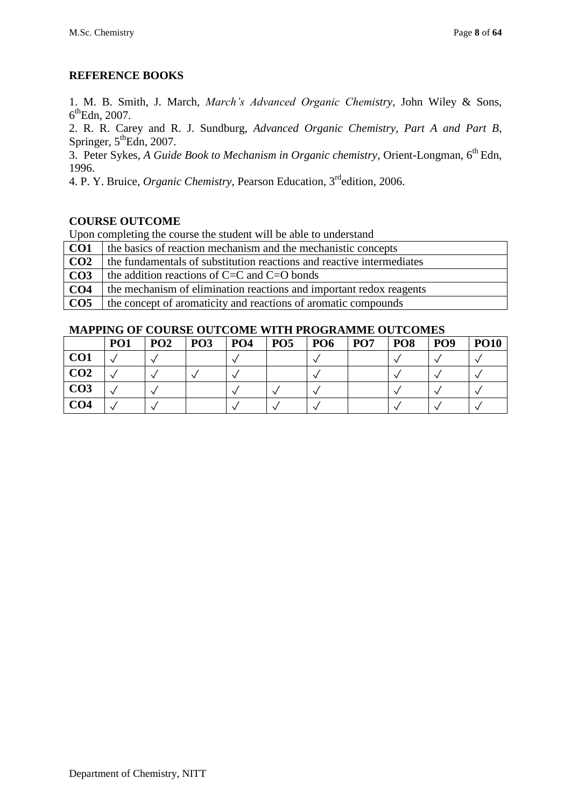## **REFERENCE BOOKS**

1. M. B. Smith, J. March, *March's Advanced Organic Chemistry*, John Wiley & Sons, 6<sup>th</sup>Edn, 2007.

2. R. R. Carey and R. J. Sundburg, *Advanced Organic Chemistry, Part A and Part B*, Springer,  $5^{\text{th}}$ Edn, 2007.

3. Peter Sykes, *A Guide Book to Mechanism in Organic chemistry*, Orient-Longman, 6th Edn, 1996.

4. P. Y. Bruice, *Organic Chemistry*, Pearson Education, 3rdedition, 2006.

## **COURSE OUTCOME**

Upon completing the course the student will be able to understand

**CO1** the basics of reaction mechanism and the mechanistic concepts **CO2** the fundamentals of substitution reactions and reactive intermediates **CO3** the addition reactions of C=C and C=O bonds **CO4** the mechanism of elimination reactions and important redox reagents **CO5** the concept of aromaticity and reactions of aromatic compounds

|                 | PO <sub>1</sub> | PO <sub>2</sub> | <b>PO3</b> | PO <sub>4</sub> | PO <sub>5</sub> | PO <sub>6</sub> | PO <sub>7</sub> | PO <sub>8</sub> | PO <sub>9</sub> | <b>PO10</b> |
|-----------------|-----------------|-----------------|------------|-----------------|-----------------|-----------------|-----------------|-----------------|-----------------|-------------|
| CO <sub>1</sub> |                 |                 |            |                 |                 |                 |                 |                 |                 |             |
| CO <sub>2</sub> |                 |                 |            |                 |                 |                 |                 |                 |                 |             |
| CO <sub>3</sub> |                 |                 |            |                 |                 |                 |                 |                 |                 |             |
| CO <sub>4</sub> |                 |                 |            |                 |                 |                 |                 |                 |                 |             |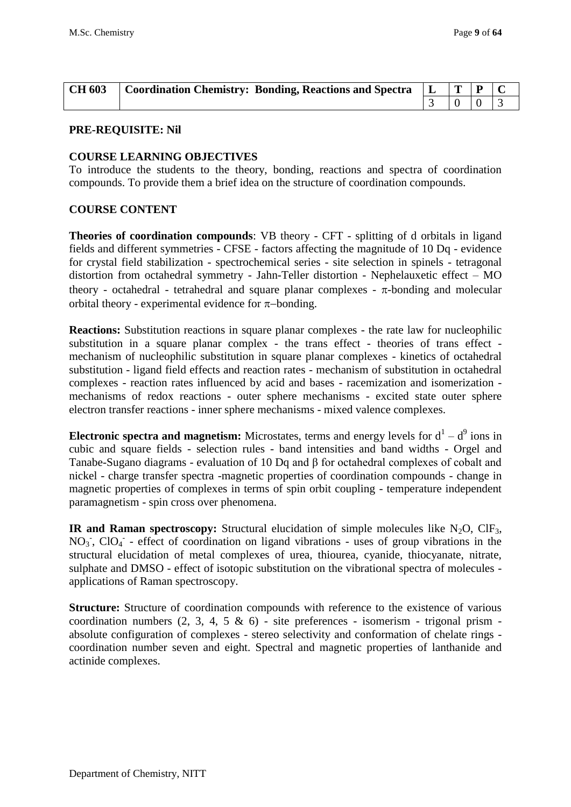| <b>CH 603</b> | Coordination Chemistry: Bonding, Reactions and Spectra   L   T   P   C |  |  |
|---------------|------------------------------------------------------------------------|--|--|
|               |                                                                        |  |  |

#### **COURSE LEARNING OBJECTIVES**

To introduce the students to the theory, bonding, reactions and spectra of coordination compounds. To provide them a brief idea on the structure of coordination compounds.

#### **COURSE CONTENT**

**Theories of coordination compounds**: VB theory - CFT - splitting of d orbitals in ligand fields and different symmetries - CFSE - factors affecting the magnitude of 10 Dq - evidence for crystal field stabilization - spectrochemical series - site selection in spinels - tetragonal distortion from octahedral symmetry - Jahn-Teller distortion - Nephelauxetic effect – MO theory - octahedral - tetrahedral and square planar complexes -  $\pi$ -bonding and molecular orbital theory - experimental evidence for  $\pi$ -bonding.

**Reactions:** Substitution reactions in square planar complexes - the rate law for nucleophilic substitution in a square planar complex - the trans effect - theories of trans effect mechanism of nucleophilic substitution in square planar complexes - kinetics of octahedral substitution - ligand field effects and reaction rates - mechanism of substitution in octahedral complexes - reaction rates influenced by acid and bases - racemization and isomerization mechanisms of redox reactions - outer sphere mechanisms - excited state outer sphere electron transfer reactions - inner sphere mechanisms - mixed valence complexes.

**Electronic spectra and magnetism:** Microstates, terms and energy levels for  $d^1 - d^9$  ions in cubic and square fields - selection rules - band intensities and band widths - Orgel and Tanabe-Sugano diagrams - evaluation of 10 Dq and β for octahedral complexes of cobalt and nickel - charge transfer spectra -magnetic properties of coordination compounds - change in magnetic properties of complexes in terms of spin orbit coupling - temperature independent paramagnetism - spin cross over phenomena.

**IR and Raman spectroscopy:** Structural elucidation of simple molecules like  $N_2O$ ,  $CIF_3$ , NO<sub>3</sub>, ClO<sub>4</sub> - effect of coordination on ligand vibrations - uses of group vibrations in the structural elucidation of metal complexes of urea, thiourea, cyanide, thiocyanate, nitrate, sulphate and DMSO - effect of isotopic substitution on the vibrational spectra of molecules applications of Raman spectroscopy.

**Structure:** Structure of coordination compounds with reference to the existence of various coordination numbers  $(2, 3, 4, 5 \& 6)$  - site preferences - isomerism - trigonal prism absolute configuration of complexes - stereo selectivity and conformation of chelate rings coordination number seven and eight. Spectral and magnetic properties of lanthanide and actinide complexes.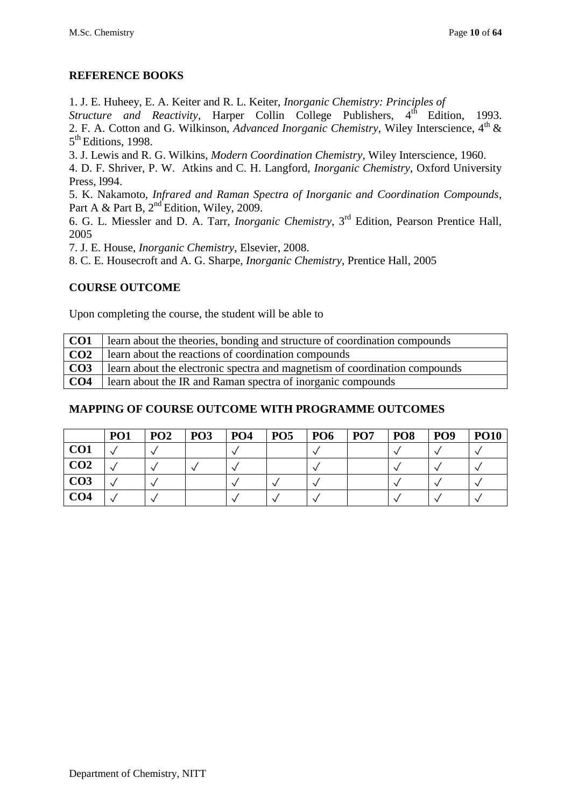## **REFERENCE BOOKS**

1. J. E. Huheey, E. A. Keiter and R. L. Keiter, *Inorganic Chemistry: Principles of* 

*Structure and Reactivity*, Harper Collin College Publishers, 4<sup>th</sup> Edition, 1993. 2. F. A. Cotton and G. Wilkinson, *Advanced Inorganic Chemistry*, Wiley Interscience, 4<sup>th</sup> & 5<sup>th</sup> Editions, 1998.

3. J. Lewis and R. G. Wilkins, *Modern Coordination Chemistry*, Wiley Interscience, 1960.

4. D. F. Shriver, P. W. Atkins and C. H. Langford, *Inorganic Chemistry*, Oxford University Press, l994.

5. K. Nakamoto, *Infrared and Raman Spectra of Inorganic and Coordination Compounds*, Part A & Part B,  $2<sup>nd</sup>$  Edition, Wiley, 2009.

6. G. L. Miessler and D. A. Tarr, *Inorganic Chemistry*, 3rd Edition, Pearson Prentice Hall, 2005

7. J. E. House, *Inorganic Chemistry*, Elsevier, 2008.

8. C. E. Housecroft and A. G. Sharpe, *Inorganic Chemistry*, Prentice Hall, 2005

## **COURSE OUTCOME**

Upon completing the course, the student will be able to

| CO <sub>1</sub> | learn about the theories, bonding and structure of coordination compounds  |
|-----------------|----------------------------------------------------------------------------|
| CO <sub>2</sub> | learn about the reactions of coordination compounds                        |
| CO <sub>3</sub> | learn about the electronic spectra and magnetism of coordination compounds |
| CO <sub>4</sub> | learn about the IR and Raman spectra of inorganic compounds                |

|                 | PO <sub>1</sub> | PO <sub>2</sub> | <b>PO3</b> | PO <sub>4</sub> | PO <sub>5</sub> | PO <sub>6</sub> | PO <sub>7</sub> | PO <sub>8</sub> | PO <sub>9</sub> | <b>PO10</b> |
|-----------------|-----------------|-----------------|------------|-----------------|-----------------|-----------------|-----------------|-----------------|-----------------|-------------|
| CO <sub>1</sub> |                 |                 |            |                 |                 |                 |                 |                 |                 |             |
| CO <sub>2</sub> |                 |                 |            |                 |                 |                 |                 |                 |                 |             |
| CO <sub>3</sub> |                 |                 |            |                 |                 |                 |                 |                 |                 |             |
| CO <sub>4</sub> |                 |                 |            |                 |                 |                 |                 |                 |                 |             |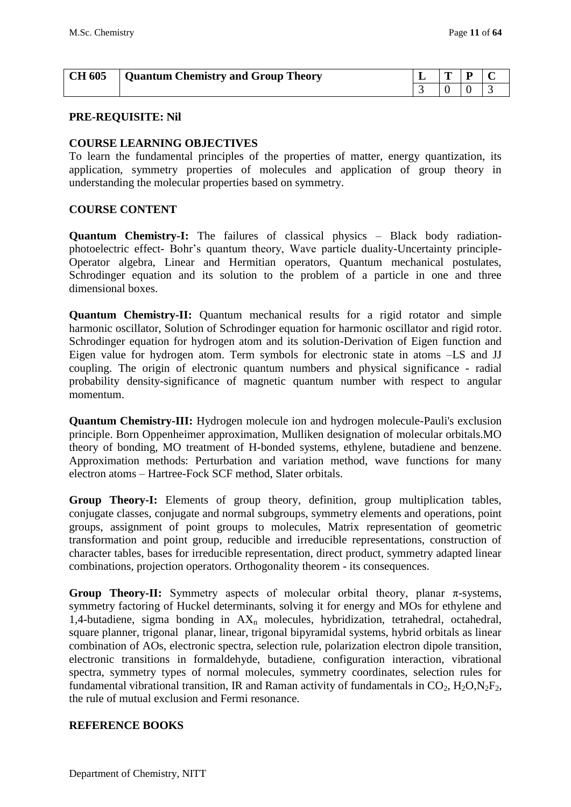| <b>CH 605</b> Quantum Chemistry and Group Theory | $L$   $T$   $P$ |                                        |  |
|--------------------------------------------------|-----------------|----------------------------------------|--|
|                                                  |                 | $\begin{array}{c c} 0 & 0 \end{array}$ |  |

#### **COURSE LEARNING OBJECTIVES**

To learn the fundamental principles of the properties of matter, energy quantization, its application, symmetry properties of molecules and application of group theory in understanding the molecular properties based on symmetry.

#### **COURSE CONTENT**

**Quantum Chemistry-I:** The failures of classical physics – Black body radiationphotoelectric effect- Bohr's quantum theory, Wave particle duality-Uncertainty principle-Operator algebra, Linear and Hermitian operators, Quantum mechanical postulates, Schrodinger equation and its solution to the problem of a particle in one and three dimensional boxes.

**Quantum Chemistry-II:** Quantum mechanical results for a rigid rotator and simple harmonic oscillator, Solution of Schrodinger equation for harmonic oscillator and rigid rotor. Schrodinger equation for hydrogen atom and its solution-Derivation of Eigen function and Eigen value for hydrogen atom. Term symbols for electronic state in atoms –LS and JJ coupling. The origin of electronic quantum numbers and physical significance - radial probability density-significance of magnetic quantum number with respect to angular momentum.

**Quantum Chemistry-III:** Hydrogen molecule ion and hydrogen molecule-Pauli's exclusion principle. Born Oppenheimer approximation, Mulliken designation of molecular orbitals.MO theory of bonding, MO treatment of H-bonded systems, ethylene, butadiene and benzene. Approximation methods: Perturbation and variation method, wave functions for many electron atoms – Hartree-Fock SCF method, Slater orbitals.

**Group Theory-I:** Elements of group theory, definition, group multiplication tables, conjugate classes, conjugate and normal subgroups, symmetry elements and operations, point groups, assignment of point groups to molecules, Matrix representation of geometric transformation and point group, reducible and irreducible representations, construction of character tables, bases for irreducible representation, direct product, symmetry adapted linear combinations, projection operators. Orthogonality theorem - its consequences.

**Group Theory-II:** Symmetry aspects of molecular orbital theory, planar  $\pi$ -systems, symmetry factoring of Huckel determinants, solving it for energy and MOs for ethylene and 1,4-butadiene, sigma bonding in  $AX_n$  molecules, hybridization, tetrahedral, octahedral, square planner, trigonal planar, linear, trigonal bipyramidal systems, hybrid orbitals as linear combination of AOs, electronic spectra, selection rule, polarization electron dipole transition, electronic transitions in formaldehyde, butadiene, configuration interaction, vibrational spectra, symmetry types of normal molecules, symmetry coordinates, selection rules for fundamental vibrational transition, IR and Raman activity of fundamentals in  $CO_2$ ,  $H_2O$ ,  $N_2F_2$ , the rule of mutual exclusion and Fermi resonance.

#### **REFERENCE BOOKS**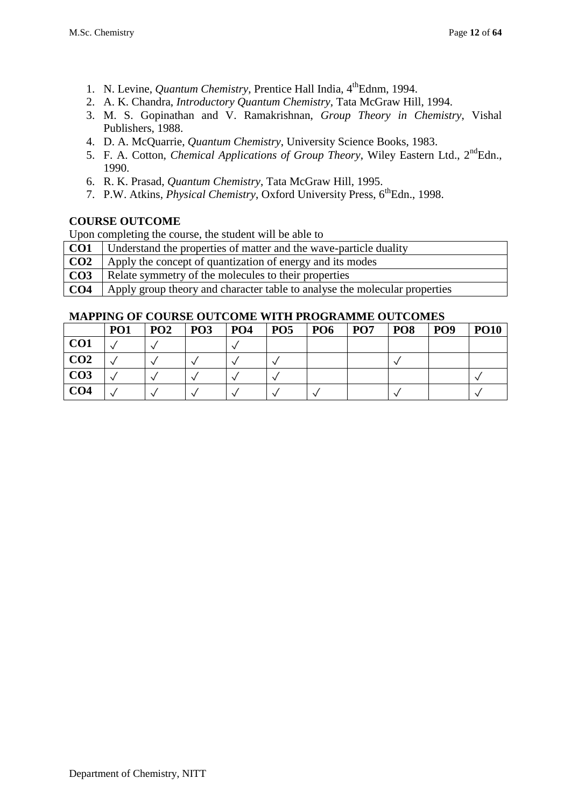- 1. N. Levine, *Quantum Chemistry*, Prentice Hall India, 4<sup>th</sup>Ednm, 1994.
- 2. A. K. Chandra, *Introductory Quantum Chemistry*, Tata McGraw Hill, 1994.
- 3. M. S. Gopinathan and V. Ramakrishnan, *Group Theory in Chemistry*, Vishal Publishers, 1988.
- 4. D. A. McQuarrie, *Quantum Chemistry*, University Science Books, 1983.
- 5. F. A. Cotton, *Chemical Applications of Group Theory*, Wiley Eastern Ltd., 2<sup>nd</sup>Edn., 1990.
- 6. R. K. Prasad, *Quantum Chemistry*, Tata McGraw Hill, 1995.
- 7. P.W. Atkins, *Physical Chemistry*, Oxford University Press, 6<sup>th</sup>Edn., 1998.

Upon completing the course, the student will be able to

- **CO1** Understand the properties of matter and the wave-particle duality
- **CO2** Apply the concept of quantization of energy and its modes
- **CO3** Relate symmetry of the molecules to their properties
- **CO4** Apply group theory and character table to analyse the molecular properties

|                 | PO <sub>1</sub> | PO <sub>2</sub> | <b>PO3</b> | P <sub>04</sub> | PO <sub>5</sub> | <b>PO6</b> | PO <sub>7</sub> | PO <sub>8</sub> | PO <sub>9</sub> | <b>PO10</b> |
|-----------------|-----------------|-----------------|------------|-----------------|-----------------|------------|-----------------|-----------------|-----------------|-------------|
| CO <sub>1</sub> |                 |                 |            |                 |                 |            |                 |                 |                 |             |
| CO <sub>2</sub> |                 |                 |            |                 |                 |            |                 |                 |                 |             |
| CO <sub>3</sub> |                 |                 |            |                 |                 |            |                 |                 |                 |             |
| CO <sub>4</sub> |                 |                 |            |                 |                 |            |                 |                 |                 |             |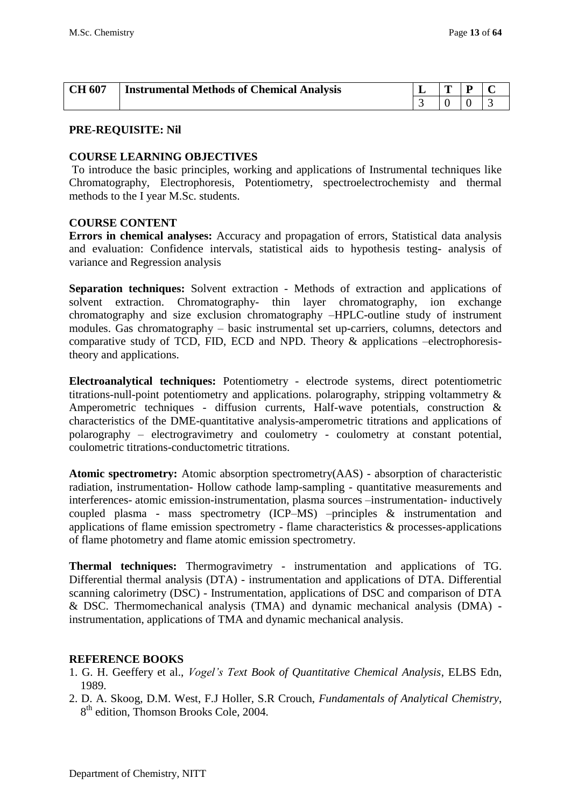| <b>CH 607</b> | <b>Instrumental Methods of Chemical Analysis</b> | œ |  |
|---------------|--------------------------------------------------|---|--|
|               |                                                  |   |  |

#### **COURSE LEARNING OBJECTIVES**

To introduce the basic principles, working and applications of Instrumental techniques like Chromatography, Electrophoresis, Potentiometry, spectroelectrochemisty and thermal methods to the I year M.Sc. students.

#### **COURSE CONTENT**

**Errors in chemical analyses:** Accuracy and propagation of errors, Statistical data analysis and evaluation: Confidence intervals, statistical aids to hypothesis testing- analysis of variance and Regression analysis

**Separation techniques:** Solvent extraction - Methods of extraction and applications of solvent extraction. Chromatography- thin layer chromatography, ion exchange chromatography and size exclusion chromatography –HPLC-outline study of instrument modules. Gas chromatography – basic instrumental set up-carriers, columns, detectors and comparative study of TCD, FID, ECD and NPD. Theory & applications –electrophoresistheory and applications.

**Electroanalytical techniques:** Potentiometry - electrode systems, direct potentiometric titrations-null-point potentiometry and applications. polarography, stripping voltammetry & Amperometric techniques - diffusion currents, Half-wave potentials, construction & characteristics of the DME-quantitative analysis-amperometric titrations and applications of polarography – electrogravimetry and coulometry - coulometry at constant potential, coulometric titrations-conductometric titrations.

**Atomic spectrometry:** Atomic absorption spectrometry(AAS) - absorption of characteristic radiation, instrumentation- Hollow cathode lamp-sampling - quantitative measurements and interferences- atomic emission-instrumentation, plasma sources –instrumentation- inductively coupled plasma - mass spectrometry (ICP–MS) –principles & instrumentation and applications of flame emission spectrometry - flame characteristics & processes-applications of flame photometry and flame atomic emission spectrometry.

**Thermal techniques:** Thermogravimetry - instrumentation and applications of TG. Differential thermal analysis (DTA) - instrumentation and applications of DTA. Differential scanning calorimetry (DSC) - Instrumentation, applications of DSC and comparison of DTA & DSC. Thermomechanical analysis (TMA) and dynamic mechanical analysis (DMA) instrumentation, applications of TMA and dynamic mechanical analysis.

#### **REFERENCE BOOKS**

- 1. G. H. Geeffery et al., *Vogel's Text Book of Quantitative Chemical Analysis*, ELBS Edn, 1989.
- 2. D. A. Skoog, D.M. West, F.J Holler, S.R Crouch, *Fundamentals of Analytical Chemistry*, 8<sup>th</sup> edition, Thomson Brooks Cole, 2004.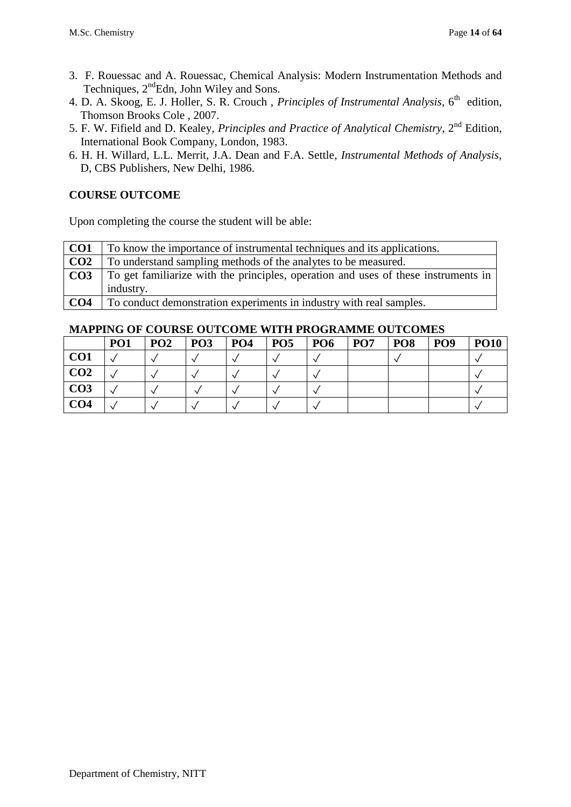- 3. F. Rouessac and A. Rouessac, Chemical Analysis: Modern Instrumentation Methods and Techniques,  $2^{nd}$ Edn, John Wiley and Sons.
- 4. D. A. Skoog, E. J. Holler, S. R. Crouch, *Principles of Instrumental Analysis*, 6<sup>th</sup> edition, Thomson Brooks Cole , 2007.
- 5. F. W. Fifield and D. Kealey, *Principles and Practice of Analytical Chemistry*, 2nd Edition, International Book Company, London, 1983.
- 6. H. H. Willard, L.L. Merrit, J.A. Dean and F.A. Settle*, Instrumental Methods of Analysis*, D, CBS Publishers, New Delhi, 1986.

Upon completing the course the student will be able:

| CO <sub>1</sub> | To know the importance of instrumental techniques and its applications.            |
|-----------------|------------------------------------------------------------------------------------|
| CO <sub>2</sub> | To understand sampling methods of the analytes to be measured.                     |
| CO <sub>3</sub> | To get familiarize with the principles, operation and uses of these instruments in |
|                 | industry.                                                                          |
| CO <sub>4</sub> | To conduct demonstration experiments in industry with real samples.                |

|                 | PO <sub>1</sub> | PO <sub>2</sub> | <b>PO3</b> | PO <sub>4</sub> | PO <sub>5</sub> | PO <sub>6</sub> | PO <sub>7</sub> | PO <sub>8</sub> | PO <sub>9</sub> | <b>PO10</b> |
|-----------------|-----------------|-----------------|------------|-----------------|-----------------|-----------------|-----------------|-----------------|-----------------|-------------|
| CO <sub>1</sub> |                 |                 |            |                 |                 |                 |                 |                 |                 |             |
| CO <sub>2</sub> |                 |                 |            |                 |                 |                 |                 |                 |                 |             |
| CO <sub>3</sub> |                 |                 |            |                 |                 |                 |                 |                 |                 |             |
| CO <sub>4</sub> |                 |                 |            |                 |                 |                 |                 |                 |                 |             |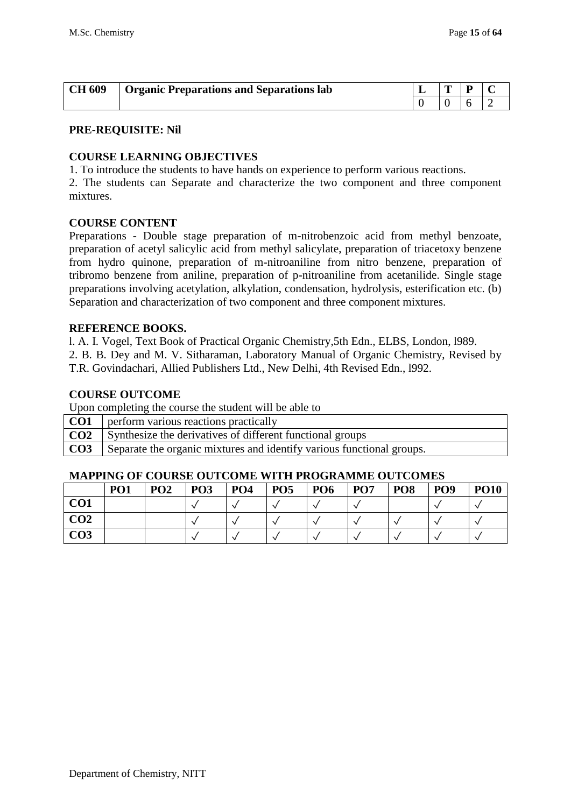| <b>CH 609</b> | <b>Organic Preparations and Separations lab</b> | m |  |
|---------------|-------------------------------------------------|---|--|
|               |                                                 |   |  |

#### **COURSE LEARNING OBJECTIVES**

1. To introduce the students to have hands on experience to perform various reactions.

2. The students can Separate and characterize the two component and three component mixtures.

#### **COURSE CONTENT**

Preparations - Double stage preparation of m-nitrobenzoic acid from methyl benzoate, preparation of acetyl salicylic acid from methyl salicylate, preparation of triacetoxy benzene from hydro quinone, preparation of m-nitroaniline from nitro benzene, preparation of tribromo benzene from aniline, preparation of p-nitroaniline from acetanilide. Single stage preparations involving acetylation, alkylation, condensation, hydrolysis, esterification etc. (b) Separation and characterization of two component and three component mixtures.

#### **REFERENCE BOOKS.**

l. A. I. Vogel, Text Book of Practical Organic Chemistry,5th Edn., ELBS, London, l989.

2. B. B. Dey and M. V. Sitharaman, Laboratory Manual of Organic Chemistry, Revised by T.R. Govindachari, Allied Publishers Ltd., New Delhi, 4th Revised Edn., l992.

#### **COURSE OUTCOME**

Upon completing the course the student will be able to

**CO1** perform various reactions practically **CO2** Synthesize the derivatives of different functional groups

**CO3** Separate the organic mixtures and identify various functional groups.

|     | PO <sub>1</sub> | PO <sub>2</sub> | PO <sub>3</sub> | PO <sub>4</sub> | PO <sub>5</sub> | PO <sub>6</sub> | PO <sub>7</sub> | PO <sub>8</sub> | PO <sub>9</sub> | <b>PO10</b> |
|-----|-----------------|-----------------|-----------------|-----------------|-----------------|-----------------|-----------------|-----------------|-----------------|-------------|
| CO1 |                 |                 |                 |                 |                 |                 |                 |                 |                 |             |
| CO2 |                 |                 |                 |                 |                 |                 |                 |                 |                 |             |
| CO3 |                 |                 |                 |                 |                 |                 |                 |                 |                 |             |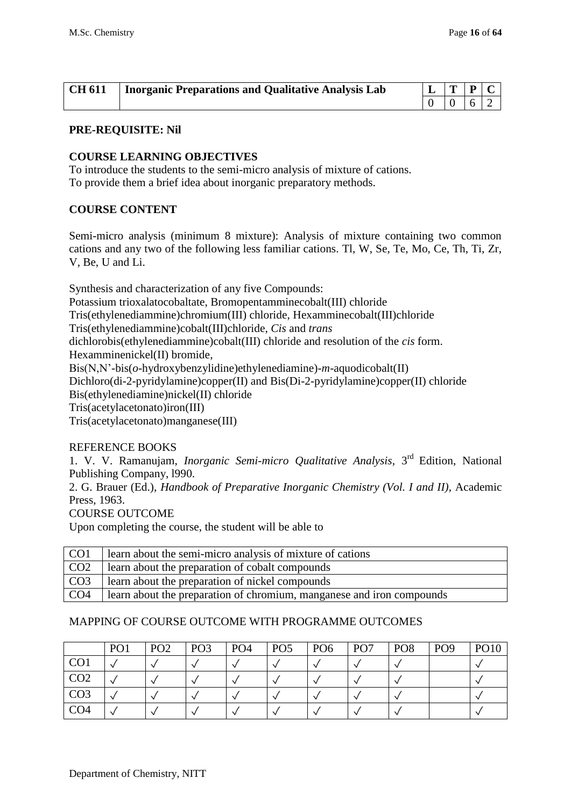| $\vert$ CH 611 | Inorganic Preparations and Qualitative Analysis Lab | $L$ $T$ $P$ $C$ |                |                                                             |  |
|----------------|-----------------------------------------------------|-----------------|----------------|-------------------------------------------------------------|--|
|                |                                                     |                 | $\overline{0}$ | $\begin{array}{ c c c } \hline 6 & 2 \\ \hline \end{array}$ |  |

#### **COURSE LEARNING OBJECTIVES**

To introduce the students to the semi-micro analysis of mixture of cations. To provide them a brief idea about inorganic preparatory methods.

#### **COURSE CONTENT**

Semi-micro analysis (minimum 8 mixture): Analysis of mixture containing two common cations and any two of the following less familiar cations. Tl, W, Se, Te, Mo, Ce, Th, Ti, Zr, V, Be, U and Li.

Synthesis and characterization of any five Compounds: Potassium trioxalatocobaltate, Bromopentamminecobalt(III) chloride Tris(ethylenediammine)chromium(III) chloride, Hexamminecobalt(III)chloride Tris(ethylenediammine)cobalt(III)chloride, *Cis* and *trans* dichlorobis(ethylenediammine)cobalt(III) chloride and resolution of the *cis* form. Hexamminenickel(II) bromide, Bis(N,N'-bis(*o*-hydroxybenzylidine)ethylenediamine)-*m*-aquodicobalt(II) Dichloro(di-2-pyridylamine)copper(II) and Bis(Di-2-pyridylamine)copper(II) chloride Bis(ethylenediamine)nickel(II) chloride Tris(acetylacetonato)iron(III) Tris(acetylacetonato)manganese(III)

#### REFERENCE BOOKS

1. V. V. Ramanujam, *Inorganic Semi-micro Qualitative Analysis*, 3rd Edition, National Publishing Company, l990.

2. G. Brauer (Ed.), *Handbook of Preparative Inorganic Chemistry (Vol. I and II)*, Academic Press, 1963.

COURSE OUTCOME

Upon completing the course, the student will be able to

| CO <sub>1</sub> | learn about the semi-micro analysis of mixture of cations             |
|-----------------|-----------------------------------------------------------------------|
| CO <sub>2</sub> | learn about the preparation of cobalt compounds                       |
| CO <sub>3</sub> | learn about the preparation of nickel compounds                       |
| CO <sub>4</sub> | learn about the preparation of chromium, manganese and iron compounds |

|                 | PO <sub>1</sub> | PO <sub>2</sub> | PO <sub>3</sub> | PO <sub>4</sub> | PO <sub>5</sub> | PO <sub>6</sub> | PO <sub>7</sub> | PO <sub>8</sub> | PO <sub>9</sub> | <b>PO10</b> |
|-----------------|-----------------|-----------------|-----------------|-----------------|-----------------|-----------------|-----------------|-----------------|-----------------|-------------|
| CO <sub>1</sub> |                 |                 |                 |                 |                 |                 |                 |                 |                 |             |
| CO <sub>2</sub> |                 |                 |                 |                 |                 |                 |                 |                 |                 |             |
| CO <sub>3</sub> |                 |                 |                 |                 |                 |                 |                 |                 |                 |             |
| CO <sub>4</sub> |                 |                 |                 |                 |                 |                 |                 |                 |                 |             |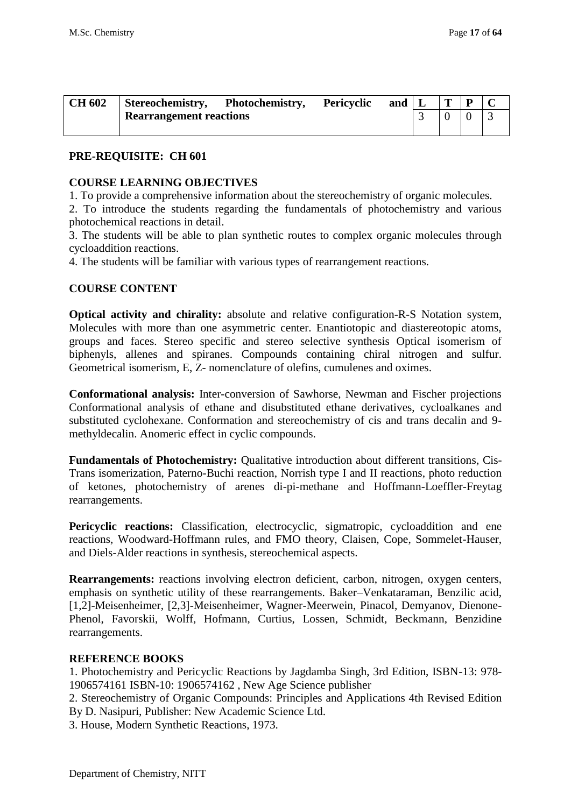| <b>CH 602</b> | Stereochemistry,               | Photochemistry, | Pericyclic | and | m |  |
|---------------|--------------------------------|-----------------|------------|-----|---|--|
|               | <b>Rearrangement reactions</b> |                 |            |     |   |  |
|               |                                |                 |            |     |   |  |

### **PRE-REQUISITE: CH 601**

#### **COURSE LEARNING OBJECTIVES**

1. To provide a comprehensive information about the stereochemistry of organic molecules.

2. To introduce the students regarding the fundamentals of photochemistry and various photochemical reactions in detail.

3. The students will be able to plan synthetic routes to complex organic molecules through cycloaddition reactions.

4. The students will be familiar with various types of rearrangement reactions.

#### **COURSE CONTENT**

**Optical activity and chirality:** absolute and relative configuration-R-S Notation system, Molecules with more than one asymmetric center. Enantiotopic and diastereotopic atoms, groups and faces. Stereo specific and stereo selective synthesis Optical isomerism of biphenyls, allenes and spiranes. Compounds containing chiral nitrogen and sulfur. Geometrical isomerism, E, Z- nomenclature of olefins, cumulenes and oximes.

**Conformational analysis:** Inter-conversion of Sawhorse, Newman and Fischer projections Conformational analysis of ethane and disubstituted ethane derivatives, cycloalkanes and substituted cyclohexane. Conformation and stereochemistry of cis and trans decalin and 9 methyldecalin. Anomeric effect in cyclic compounds.

**Fundamentals of Photochemistry:** Qualitative introduction about different transitions, Cis-Trans isomerization, Paterno-Buchi reaction, Norrish type I and II reactions, photo reduction of ketones, photochemistry of arenes di-pi-methane and Hoffmann-Loeffler-Freytag rearrangements.

Pericyclic reactions: Classification, electrocyclic, sigmatropic, cycloaddition and ene reactions, Woodward-Hoffmann rules, and FMO theory, Claisen, Cope, Sommelet-Hauser, and Diels-Alder reactions in synthesis, stereochemical aspects.

**Rearrangements:** reactions involving electron deficient, carbon, nitrogen, oxygen centers, emphasis on synthetic utility of these rearrangements. Baker–Venkataraman, Benzilic acid, [1,2]-Meisenheimer, [2,3]-Meisenheimer, Wagner-Meerwein, Pinacol, Demyanov, Dienone-Phenol, Favorskii, Wolff, Hofmann, Curtius, Lossen, Schmidt, Beckmann, Benzidine rearrangements.

#### **REFERENCE BOOKS**

1. Photochemistry and Pericyclic Reactions by Jagdamba Singh, 3rd Edition, ISBN-13: 978- 1906574161 ISBN-10: 1906574162 , New Age Science publisher

2. Stereochemistry of Organic Compounds: Principles and Applications 4th Revised Edition By D. Nasipuri, Publisher: New Academic Science Ltd.

3. House, Modern Synthetic Reactions, 1973.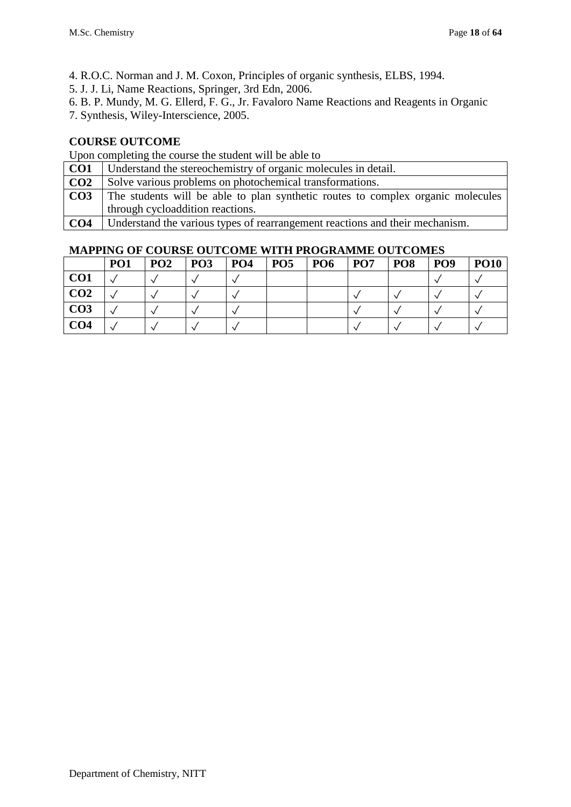4. R.O.C. Norman and J. M. Coxon, Principles of organic synthesis, ELBS, 1994.

- 5. J. J. Li, Name Reactions, Springer, 3rd Edn, 2006.
- 6. B. P. Mundy, M. G. Ellerd, F. G., Jr. Favaloro Name Reactions and Reagents in Organic
- 7. Synthesis, Wiley-Interscience, 2005.

## **COURSE OUTCOME**

Upon completing the course the student will be able to

| CO <sub>1</sub> | Understand the stereochemistry of organic molecules in detail.                  |
|-----------------|---------------------------------------------------------------------------------|
| CO <sub>2</sub> | Solve various problems on photochemical transformations.                        |
| CO <sub>3</sub> | The students will be able to plan synthetic routes to complex organic molecules |
|                 | through cycloaddition reactions.                                                |
| CO <sub>4</sub> | Understand the various types of rearrangement reactions and their mechanism.    |

|                 | <b>PO1</b> | PO <sub>2</sub> | PO <sub>3</sub> | <b>PO4</b> | PO <sub>5</sub> | <b>PO6</b> | <b>PO7</b> | PO <sub>8</sub> | PO <sub>9</sub> | <b>PO10</b> |
|-----------------|------------|-----------------|-----------------|------------|-----------------|------------|------------|-----------------|-----------------|-------------|
| CO <sub>1</sub> |            |                 |                 |            |                 |            |            |                 |                 |             |
| CO <sub>2</sub> |            |                 |                 |            |                 |            |            |                 |                 |             |
| CO <sub>3</sub> |            |                 |                 |            |                 |            |            |                 |                 |             |
| CO <sub>4</sub> |            |                 |                 |            |                 |            |            |                 |                 |             |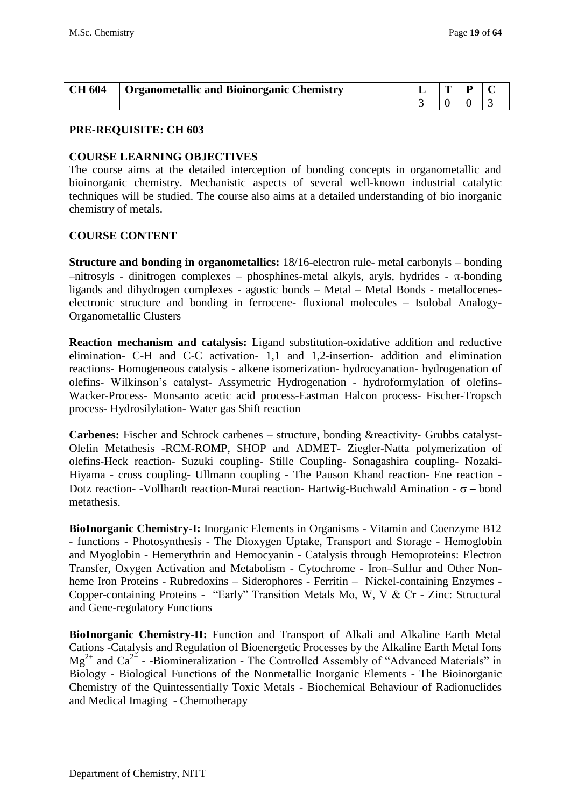| <b>CH 604</b> | Organometallic and Bioinorganic Chemistry | œ |  |
|---------------|-------------------------------------------|---|--|
|               |                                           |   |  |

#### **PRE-REQUISITE: CH 603**

#### **COURSE LEARNING OBJECTIVES**

The course aims at the detailed interception of bonding concepts in organometallic and bioinorganic chemistry. Mechanistic aspects of several well-known industrial catalytic techniques will be studied. The course also aims at a detailed understanding of bio inorganic chemistry of metals.

#### **COURSE CONTENT**

**Structure and bonding in organometallics:** 18/16-electron rule- metal carbonyls – bonding  $-$ nitrosyls - dinitrogen complexes – phosphines-metal alkyls, aryls, hydrides -  $\pi$ -bonding ligands and dihydrogen complexes - agostic bonds – Metal – Metal Bonds - metalloceneselectronic structure and bonding in ferrocene- fluxional molecules – Isolobal Analogy-Organometallic Clusters

**Reaction mechanism and catalysis:** Ligand substitution-oxidative addition and reductive elimination- C-H and C-C activation- 1,1 and 1,2-insertion- addition and elimination reactions- Homogeneous catalysis - alkene isomerization- hydrocyanation- hydrogenation of olefins- Wilkinson's catalyst- Assymetric Hydrogenation - hydroformylation of olefins-Wacker-Process- Monsanto acetic acid process-Eastman Halcon process- Fischer-Tropsch process- Hydrosilylation- Water gas Shift reaction

**Carbenes:** Fischer and Schrock carbenes – structure, bonding &reactivity- Grubbs catalyst-Olefin Metathesis -RCM-ROMP, SHOP and ADMET- Ziegler-Natta polymerization of olefins-Heck reaction- Suzuki coupling- Stille Coupling- Sonagashira coupling- Nozaki-Hiyama - cross coupling- Ullmann coupling - The Pauson Khand reaction- Ene reaction - Dotz reaction- -Vollhardt reaction-Murai reaction- Hartwig-Buchwald Amination -  $\sigma$  – bond metathesis.

**BioInorganic Chemistry-I:** Inorganic Elements in Organisms - Vitamin and Coenzyme B12 - functions - Photosynthesis - The Dioxygen Uptake, Transport and Storage - Hemoglobin and Myoglobin - Hemerythrin and Hemocyanin - Catalysis through Hemoproteins: Electron Transfer, Oxygen Activation and Metabolism - Cytochrome - Iron–Sulfur and Other Nonheme Iron Proteins - Rubredoxins – Siderophores - Ferritin – Nickel-containing Enzymes - Copper-containing Proteins - "Early" Transition Metals Mo, W, V & Cr - Zinc: Structural and Gene-regulatory Functions

**BioInorganic Chemistry-II:** Function and Transport of Alkali and Alkaline Earth Metal Cations -Catalysis and Regulation of Bioenergetic Processes by the Alkaline Earth Metal Ions  $Mg^{2+}$  and Ca<sup>2+</sup> - -Biomineralization - The Controlled Assembly of "Advanced Materials" in Biology - Biological Functions of the Nonmetallic Inorganic Elements - The Bioinorganic Chemistry of the Quintessentially Toxic Metals - Biochemical Behaviour of Radionuclides and Medical Imaging - Chemotherapy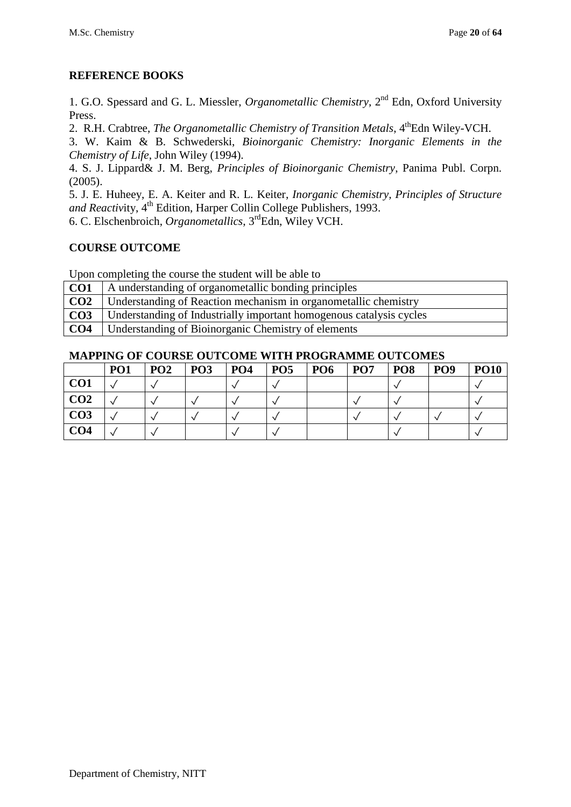## **REFERENCE BOOKS**

1. G.O. Spessard and G. L. Miessler, *[Organometallic Chemistry](http://www.amazon.co.uk/Organometallic-Chemistry-Gary-O-Spessard/dp/0136401783/ref=sr_1_14?ie=UTF8&s=books&qid=1200547732&sr=1-14)*, 2nd Edn, Oxford University Press.

2. R.H. Crabtree, *The Organometallic Chemistry of Transition Metals*, 4<sup>th</sup>Edn Wiley-VCH.

3. W. Kaim & B. Schwederski, *Bioinorganic Chemistry: Inorganic Elements in the Chemistry of Life*, John Wiley (1994).

4. S. J. Lippard& J. M. Berg, *Principles of Bioinorganic Chemistry*, Panima Publ. Corpn. (2005).

5. J. E. Huheey, E. A. Keiter and R. L. Keiter, *Inorganic Chemistry, Principles of Structure*  and Reactivity, 4<sup>th</sup> Edition, Harper Collin College Publishers, 1993.

6. [C. Elschenbroich,](http://as.wiley.com/WileyCDA/Section/id-302477.html?query=Christoph+Elschenbroich) *Organometallics*, 3rdEdn, Wiley VCH.

## **COURSE OUTCOME**

Upon completing the course the student will be able to

| CO <sub>1</sub> | A understanding of organometallic bonding principles                |
|-----------------|---------------------------------------------------------------------|
| CO <sub>2</sub> | Understanding of Reaction mechanism in organometallic chemistry     |
| CO <sub>3</sub> | Understanding of Industrially important homogenous catalysis cycles |
| CO <sub>4</sub> | Understanding of Bioinorganic Chemistry of elements                 |

|                 | PO <sub>1</sub> | PO <sub>2</sub> | PO <sub>3</sub> | PO <sub>4</sub> | PO <sub>5</sub> | PO <sub>6</sub> | PO <sub>7</sub> | PO <sub>8</sub> | PO <sub>9</sub> | <b>PO10</b> |
|-----------------|-----------------|-----------------|-----------------|-----------------|-----------------|-----------------|-----------------|-----------------|-----------------|-------------|
| CO <sub>1</sub> |                 |                 |                 |                 |                 |                 |                 |                 |                 |             |
| CO <sub>2</sub> |                 |                 |                 |                 |                 |                 |                 |                 |                 |             |
| CO <sub>3</sub> |                 |                 |                 |                 |                 |                 |                 |                 |                 |             |
| CO <sub>4</sub> |                 |                 |                 |                 |                 |                 |                 |                 |                 |             |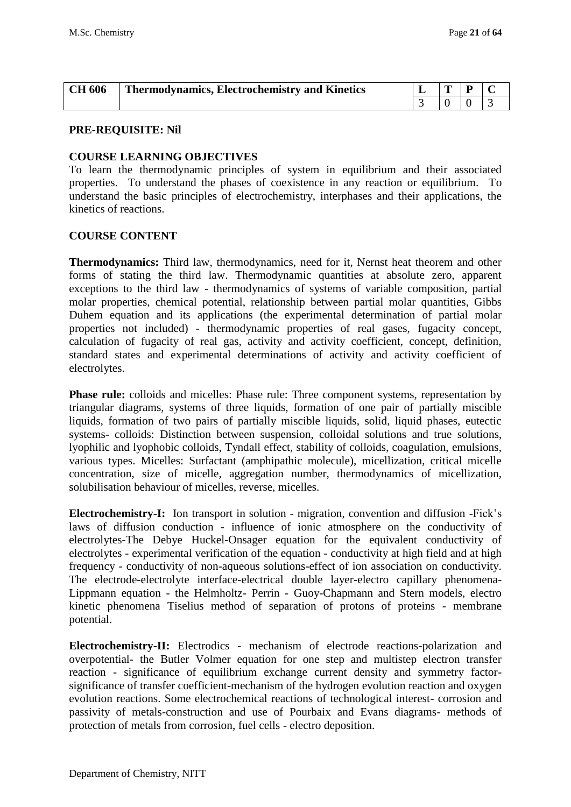| <b>CH 606</b> | <b>Thermodynamics, Electrochemistry and Kinetics</b> | ≖ | D |  |
|---------------|------------------------------------------------------|---|---|--|
|               |                                                      |   |   |  |

#### **COURSE LEARNING OBJECTIVES**

To learn the thermodynamic principles of system in equilibrium and their associated properties. To understand the phases of coexistence in any reaction or equilibrium. To understand the basic principles of electrochemistry, interphases and their applications, the kinetics of reactions.

#### **COURSE CONTENT**

**Thermodynamics:** Third law, thermodynamics, need for it, Nernst heat theorem and other forms of stating the third law. Thermodynamic quantities at absolute zero, apparent exceptions to the third law - thermodynamics of systems of variable composition, partial molar properties, chemical potential, relationship between partial molar quantities, Gibbs Duhem equation and its applications (the experimental determination of partial molar properties not included) - thermodynamic properties of real gases, fugacity concept, calculation of fugacity of real gas, activity and activity coefficient, concept, definition, standard states and experimental determinations of activity and activity coefficient of electrolytes.

**Phase rule:** colloids and micelles: Phase rule: Three component systems, representation by triangular diagrams, systems of three liquids, formation of one pair of partially miscible liquids, formation of two pairs of partially miscible liquids, solid, liquid phases, eutectic systems- colloids: Distinction between suspension, colloidal solutions and true solutions, lyophilic and lyophobic colloids, Tyndall effect, stability of colloids, coagulation, emulsions, various types. Micelles: Surfactant (amphipathic molecule), micellization, critical micelle concentration, size of micelle, aggregation number, thermodynamics of micellization, solubilisation behaviour of micelles, reverse, micelles.

**Electrochemistry-I:** Ion transport in solution - migration, convention and diffusion -Fick's laws of diffusion conduction - influence of ionic atmosphere on the conductivity of electrolytes-The Debye Huckel-Onsager equation for the equivalent conductivity of electrolytes - experimental verification of the equation - conductivity at high field and at high frequency - conductivity of non-aqueous solutions-effect of ion association on conductivity. The electrode-electrolyte interface-electrical double layer-electro capillary phenomena-Lippmann equation - the Helmholtz- Perrin - Guoy-Chapmann and Stern models, electro kinetic phenomena Tiselius method of separation of protons of proteins - membrane potential.

**Electrochemistry-II:** Electrodics - mechanism of electrode reactions-polarization and overpotential- the Butler Volmer equation for one step and multistep electron transfer reaction - significance of equilibrium exchange current density and symmetry factorsignificance of transfer coefficient-mechanism of the hydrogen evolution reaction and oxygen evolution reactions. Some electrochemical reactions of technological interest- corrosion and passivity of metals-construction and use of Pourbaix and Evans diagrams- methods of protection of metals from corrosion, fuel cells - electro deposition.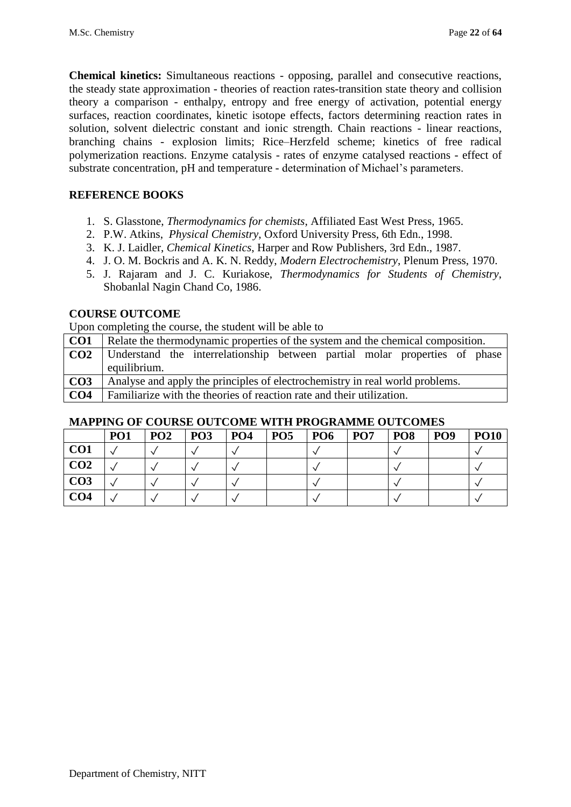**Chemical kinetics:** Simultaneous reactions - opposing, parallel and consecutive reactions, the steady state approximation - theories of reaction rates-transition state theory and collision theory a comparison - enthalpy, entropy and free energy of activation, potential energy surfaces, reaction coordinates, kinetic isotope effects, factors determining reaction rates in solution, solvent dielectric constant and ionic strength. Chain reactions - linear reactions, branching chains - explosion limits; Rice–Herzfeld scheme; kinetics of free radical polymerization reactions. Enzyme catalysis - rates of enzyme catalysed reactions - effect of substrate concentration, pH and temperature - determination of Michael's parameters.

### **REFERENCE BOOKS**

- 1. S. Glasstone, *Thermodynamics for chemists*, Affiliated East West Press, 1965.
- 2. P.W. Atkins, *Physical Chemistry*, Oxford University Press, 6th Edn., 1998.
- 3. K. J. Laidler, *Chemical Kinetics*, Harper and Row Publishers, 3rd Edn., 1987.
- 4. J. O. M. Bockris and A. K. N. Reddy, *Modern Electrochemistry*, Plenum Press, 1970.
- 5. J. Rajaram and J. C. Kuriakose, *Thermodynamics for Students of Chemistry*, Shobanlal Nagin Chand Co, 1986.

#### **COURSE OUTCOME**

Upon completing the course, the student will be able to

| CO <sub>1</sub> | Relate the thermodynamic properties of the system and the chemical composition.            |
|-----------------|--------------------------------------------------------------------------------------------|
| CO <sub>2</sub> | Understand the interrelationship between partial molar properties of phase<br>equilibrium. |
| CO <sub>3</sub> | Analyse and apply the principles of electrochemistry in real world problems.               |
| CO <sub>4</sub> | Familiarize with the theories of reaction rate and their utilization.                      |

|                 | PO <sub>1</sub> | PO2 | P <sub>03</sub> | P <sub>04</sub> | <b>PO5</b> | <b>PO6</b> | <b>PO7</b> | $ $ PO8 | <b>PO9</b> | <b>PO10</b> |
|-----------------|-----------------|-----|-----------------|-----------------|------------|------------|------------|---------|------------|-------------|
| CO <sub>1</sub> |                 |     |                 |                 |            |            |            |         |            |             |
| CO <sub>2</sub> |                 |     |                 |                 |            |            |            |         |            |             |
| CO <sub>3</sub> |                 |     |                 |                 |            |            |            |         |            |             |
| CO <sub>4</sub> |                 |     |                 |                 |            |            |            |         |            |             |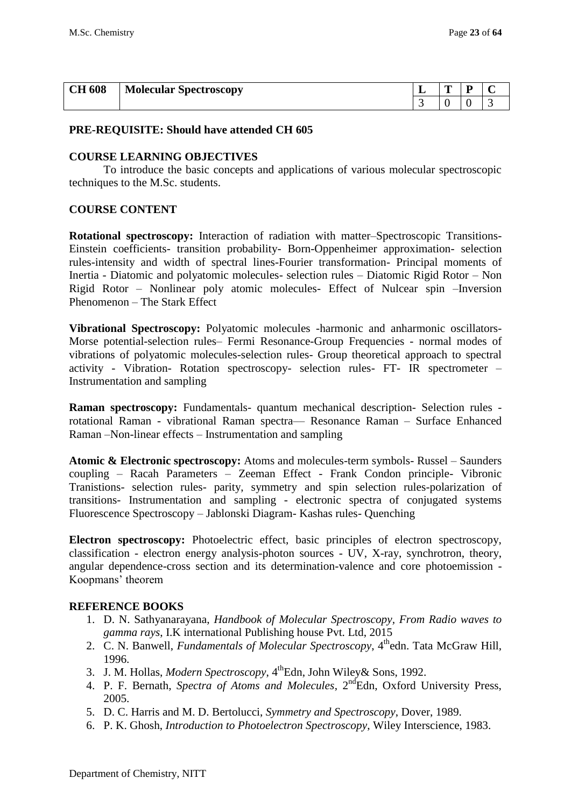| <b>CH 608</b> | <b>Molecular Spectroscopy</b> | -                        | m<br>- | - |  |
|---------------|-------------------------------|--------------------------|--------|---|--|
|               |                               | $\overline{\phantom{0}}$ | v      |   |  |

#### **PRE-REQUISITE: Should have attended CH 605**

#### **COURSE LEARNING OBJECTIVES**

To introduce the basic concepts and applications of various molecular spectroscopic techniques to the M.Sc. students.

#### **COURSE CONTENT**

**Rotational spectroscopy:** Interaction of radiation with matter–Spectroscopic Transitions-Einstein coefficients- transition probability- Born-Oppenheimer approximation- selection rules-intensity and width of spectral lines-Fourier transformation- Principal moments of Inertia - Diatomic and polyatomic molecules- selection rules – Diatomic Rigid Rotor – Non Rigid Rotor – Nonlinear poly atomic molecules- Effect of Nulcear spin –Inversion Phenomenon – The Stark Effect

**Vibrational Spectroscopy:** Polyatomic molecules -harmonic and anharmonic oscillators-Morse potential-selection rules– Fermi Resonance-Group Frequencies - normal modes of vibrations of polyatomic molecules-selection rules- Group theoretical approach to spectral activity - Vibration- Rotation spectroscopy- selection rules- FT- IR spectrometer – Instrumentation and sampling

**Raman spectroscopy:** Fundamentals- quantum mechanical description- Selection rules rotational Raman - vibrational Raman spectra–– Resonance Raman – Surface Enhanced Raman –Non-linear effects – Instrumentation and sampling

**Atomic & Electronic spectroscopy:** Atoms and molecules-term symbols- Russel – Saunders coupling – Racah Parameters – Zeeman Effect - Frank Condon principle- Vibronic Tranistions- selection rules- parity, symmetry and spin selection rules-polarization of transitions- Instrumentation and sampling - electronic spectra of conjugated systems Fluorescence Spectroscopy – Jablonski Diagram- Kashas rules- Quenching

**Electron spectroscopy:** Photoelectric effect, basic principles of electron spectroscopy, classification - electron energy analysis-photon sources - UV, X-ray, synchrotron, theory, angular dependence-cross section and its determination-valence and core photoemission - Koopmans' theorem

#### **REFERENCE BOOKS**

- 1. D. N. Sathyanarayana, *Handbook of Molecular Spectroscopy, From Radio waves to gamma rays*, I.K international Publishing house Pvt. Ltd, 2015
- 2. C. N. Banwell, *Fundamentals of Molecular Spectroscopy*, 4<sup>th</sup>edn. Tata McGraw Hill, 1996.
- 3. J. M. Hollas, *Modern Spectroscopy*, 4<sup>th</sup>Edn, John Wiley& Sons, 1992.
- 4. P. F. Bernath, *Spectra of Atoms and Molecules*, 2<sup>nd</sup>Edn, Oxford University Press, 2005.
- 5. D. C. Harris and M. D. Bertolucci, *Symmetry and Spectroscopy*, Dover, 1989.
- 6. P. K. Ghosh, *Introduction to Photoelectron Spectroscopy*, Wiley Interscience, 1983.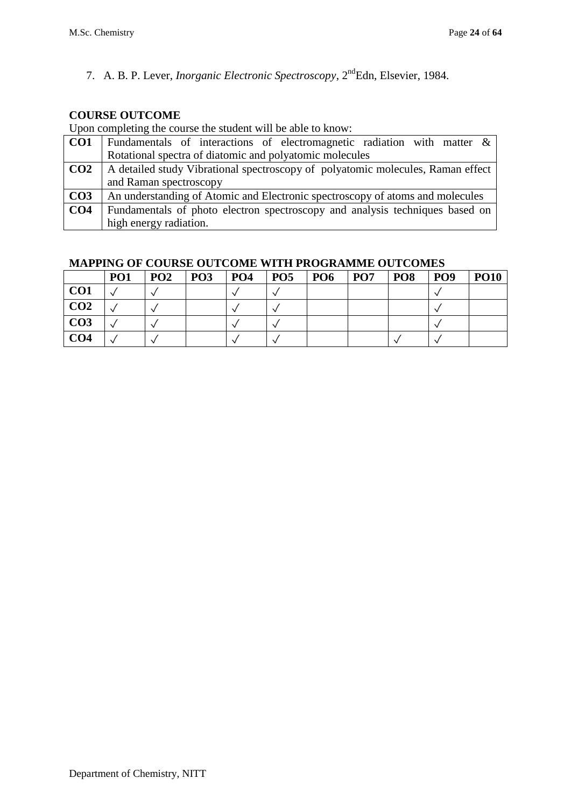7. A. B. P. Lever, *Inorganic Electronic Spectroscopy*, 2<sup>nd</sup>Edn, Elsevier, 1984.

## **COURSE OUTCOME**

Upon completing the course the student will be able to know:

| CO <sub>1</sub> | Fundamentals of interactions of electromagnetic radiation with matter &         |
|-----------------|---------------------------------------------------------------------------------|
|                 | Rotational spectra of diatomic and polyatomic molecules                         |
| CO <sub>2</sub> | A detailed study Vibrational spectroscopy of polyatomic molecules, Raman effect |
|                 | and Raman spectroscopy                                                          |
| CO <sub>3</sub> | An understanding of Atomic and Electronic spectroscopy of atoms and molecules   |
| CO <sub>4</sub> | Fundamentals of photo electron spectroscopy and analysis techniques based on    |
|                 | high energy radiation.                                                          |

|                 | PO <sub>1</sub> | PO <sub>2</sub> | PO <sub>3</sub> | <b>PO4</b> | PO <sub>5</sub> | PO <sub>6</sub> | PO <sub>7</sub> | <b>PO8</b> | PO <sub>9</sub> | <b>PO10</b> |
|-----------------|-----------------|-----------------|-----------------|------------|-----------------|-----------------|-----------------|------------|-----------------|-------------|
| CO <sub>1</sub> |                 |                 |                 |            |                 |                 |                 |            |                 |             |
| CO <sub>2</sub> |                 |                 |                 |            |                 |                 |                 |            |                 |             |
| CO <sub>3</sub> |                 |                 |                 |            |                 |                 |                 |            |                 |             |
| CO <sub>4</sub> |                 |                 |                 |            |                 |                 |                 |            |                 |             |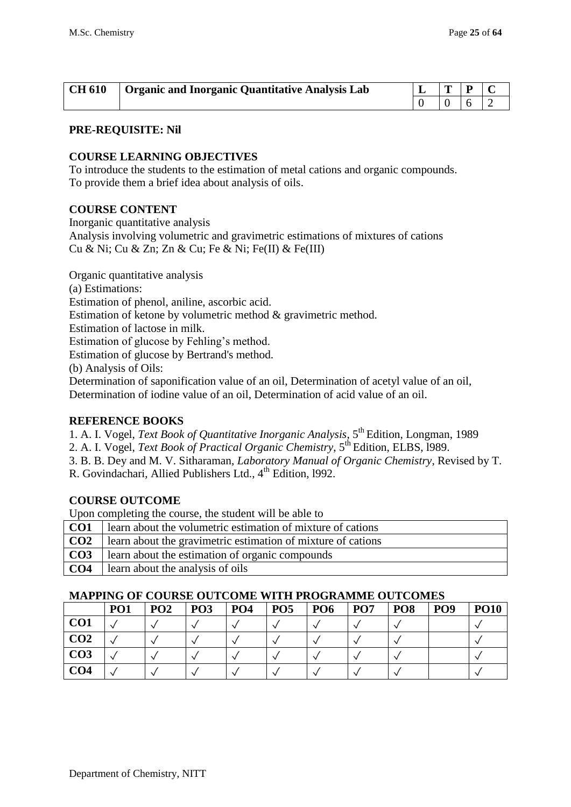| <b>CH 610</b> | Organic and Inorganic Quantitative Analysis Lab |  |  |
|---------------|-------------------------------------------------|--|--|
|               |                                                 |  |  |

#### **COURSE LEARNING OBJECTIVES**

To introduce the students to the estimation of metal cations and organic compounds. To provide them a brief idea about analysis of oils.

#### **COURSE CONTENT**

Inorganic quantitative analysis

Analysis involving volumetric and gravimetric estimations of mixtures of cations Cu & Ni; Cu & Zn; Zn & Cu; Fe & Ni; Fe(II) & Fe(III)

Organic quantitative analysis (a) Estimations:

Estimation of phenol, aniline, ascorbic acid.

Estimation of ketone by volumetric method & gravimetric method.

Estimation of lactose in milk.

Estimation of glucose by Fehling's method.

Estimation of glucose by Bertrand's method.

(b) Analysis of Oils:

Determination of saponification value of an oil, Determination of acetyl value of an oil, Determination of iodine value of an oil, Determination of acid value of an oil.

#### **REFERENCE BOOKS**

1. A. I. Vogel, *Text Book of Quantitative Inorganic Analysis*, 5th Edition, Longman, 1989

2. A. I. Vogel, *Text Book of Practical Organic Chemistry*, 5th Edition, ELBS, l989.

- 3. B. B. Dey and M. V. Sitharaman, *Laboratory Manual of Organic Chemistry*, Revised by T.
- R. Govindachari, Allied Publishers Ltd., 4<sup>th</sup> Edition, 1992.

## **COURSE OUTCOME**

Upon completing the course, the student will be able to

| CO <sub>1</sub> | learn about the volumetric estimation of mixture of cations  |
|-----------------|--------------------------------------------------------------|
| CO <sub>2</sub> | learn about the gravimetric estimation of mixture of cations |
| CO <sub>3</sub> | learn about the estimation of organic compounds              |
| CO <sub>4</sub> | earn about the analysis of oils                              |

|                 | PO <sub>1</sub> | PO <sub>2</sub> | PO <sub>3</sub> | PO <sub>4</sub> | PO <sub>5</sub> | PO <sub>6</sub> | PO <sub>7</sub> | PO <sub>8</sub> | PO <sub>9</sub> | <b>PO10</b> |
|-----------------|-----------------|-----------------|-----------------|-----------------|-----------------|-----------------|-----------------|-----------------|-----------------|-------------|
| CO <sub>1</sub> |                 |                 |                 |                 |                 |                 |                 |                 |                 |             |
| CO <sub>2</sub> |                 |                 |                 |                 |                 |                 |                 |                 |                 |             |
| CO <sub>3</sub> |                 |                 |                 |                 |                 |                 |                 |                 |                 |             |
| CO <sub>4</sub> |                 |                 |                 |                 |                 |                 |                 |                 |                 |             |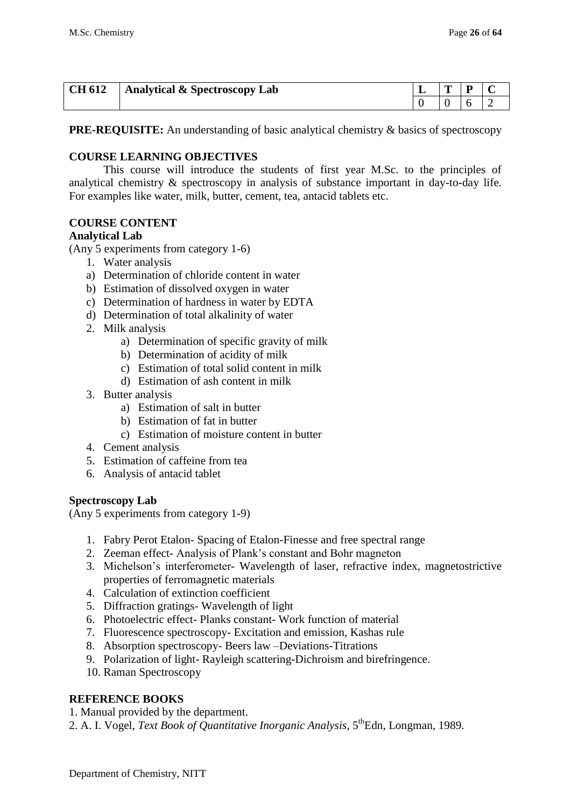| <b>CH 612</b> | Analytical & Spectroscopy Lab | - | m |  |
|---------------|-------------------------------|---|---|--|
|               |                               |   |   |  |

**PRE-REQUISITE:** An understanding of basic analytical chemistry & basics of spectroscopy

#### **COURSE LEARNING OBJECTIVES**

This course will introduce the students of first year M.Sc. to the principles of analytical chemistry & spectroscopy in analysis of substance important in day-to-day life. For examples like water, milk, butter, cement, tea, antacid tablets etc.

#### **COURSE CONTENT**

#### **Analytical Lab**

(Any 5 experiments from category 1-6)

- 1. Water analysis
- a) Determination of chloride content in water
- b) Estimation of dissolved oxygen in water
- c) Determination of hardness in water by EDTA
- d) Determination of total alkalinity of water
- 2. Milk analysis
	- a) Determination of specific gravity of milk
	- b) Determination of acidity of milk
	- c) Estimation of total solid content in milk
	- d) Estimation of ash content in milk
- 3. Butter analysis
	- a) Estimation of salt in butter
	- b) Estimation of fat in butter
	- c) Estimation of moisture content in butter
- 4. Cement analysis
- 5. Estimation of caffeine from tea
- 6. Analysis of antacid tablet

#### **Spectroscopy Lab**

(Any 5 experiments from category 1-9)

- 1. Fabry Perot Etalon- Spacing of Etalon-Finesse and free spectral range
- 2. Zeeman effect- Analysis of Plank's constant and Bohr magneton
- 3. Michelson's interferometer- Wavelength of laser, refractive index, magnetostrictive properties of ferromagnetic materials
- 4. Calculation of extinction coefficient
- 5. Diffraction gratings- Wavelength of light
- 6. Photoelectric effect- Planks constant- Work function of material
- 7. Fluorescence spectroscopy- Excitation and emission, Kashas rule
- 8. Absorption spectroscopy- Beers law –Deviations-Titrations
- 9. Polarization of light- Rayleigh scattering-Dichroism and birefringence.
- 10. Raman Spectroscopy

## **REFERENCE BOOKS**

- 1. Manual provided by the department.
- 2. A. I. Vogel, *Text Book of Quantitative Inorganic Analysis*, 5thEdn, Longman, 1989.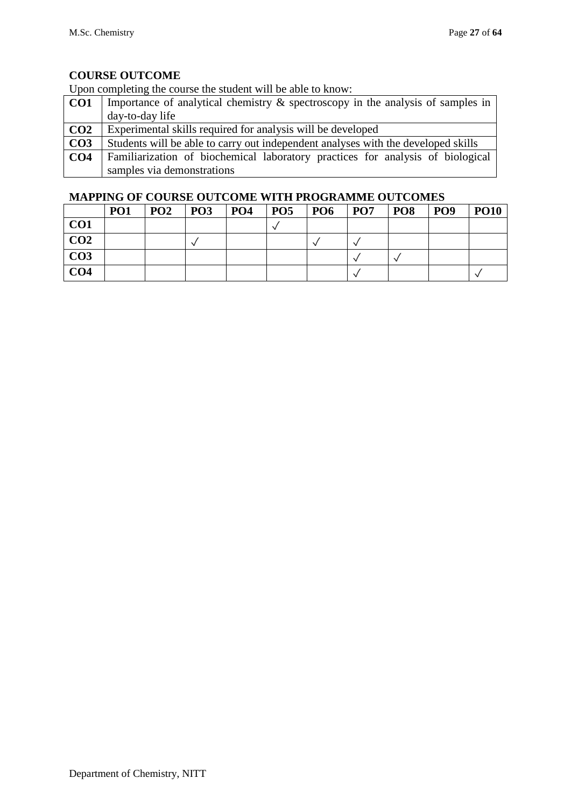Upon completing the course the student will be able to know:

| CO <sub>1</sub> | Importance of analytical chemistry $\&$ spectroscopy in the analysis of samples in |
|-----------------|------------------------------------------------------------------------------------|
|                 | day-to-day life                                                                    |
| CO <sub>2</sub> | Experimental skills required for analysis will be developed                        |
| CO <sub>3</sub> | Students will be able to carry out independent analyses with the developed skills  |
| CO <sub>4</sub> | Familiarization of biochemical laboratory practices for analysis of biological     |
|                 | samples via demonstrations                                                         |

|                 | PO <sub>1</sub> | PO <sub>2</sub> | <b>PO3</b> | <b>PO4</b> | PO <sub>5</sub> | <b>PO6</b> | PO <sub>7</sub> | PO <sub>8</sub> | PO <sub>9</sub> | <b>PO10</b> |
|-----------------|-----------------|-----------------|------------|------------|-----------------|------------|-----------------|-----------------|-----------------|-------------|
| CO <sub>1</sub> |                 |                 |            |            |                 |            |                 |                 |                 |             |
| CO <sub>2</sub> |                 |                 |            |            |                 |            |                 |                 |                 |             |
| CO <sub>3</sub> |                 |                 |            |            |                 |            |                 |                 |                 |             |
| CO <sub>4</sub> |                 |                 |            |            |                 |            |                 |                 |                 |             |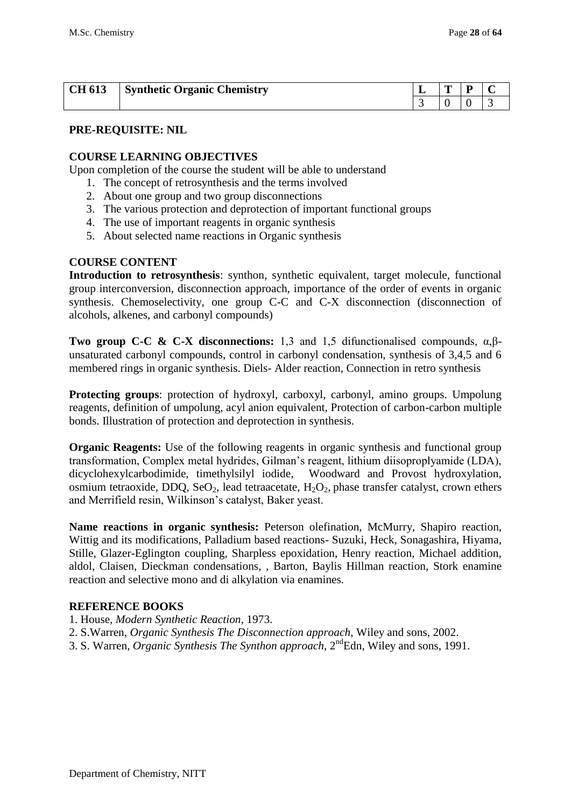| CH 613 | <b>Synthetic Organic Chemistry</b> | ~ |  |
|--------|------------------------------------|---|--|
|        |                                    |   |  |

#### **PRE-REQUISITE: NIL**

#### **COURSE LEARNING OBJECTIVES**

Upon completion of the course the student will be able to understand

- 1. The concept of retrosynthesis and the terms involved
- 2. About one group and two group disconnections
- 3. The various protection and deprotection of important functional groups
- 4. The use of important reagents in organic synthesis
- 5. About selected name reactions in Organic synthesis

### **COURSE CONTENT**

**Introduction to retrosynthesis**: synthon, synthetic equivalent, target molecule, functional group interconversion, disconnection approach, importance of the order of events in organic synthesis. Chemoselectivity, one group C-C and C-X disconnection (disconnection of alcohols, alkenes, and carbonyl compounds)

**Two group C-C & C-X disconnections:** 1,3 and 1,5 difunctionalised compounds,  $α, β$ unsaturated carbonyl compounds, control in carbonyl condensation, synthesis of 3,4,5 and 6 membered rings in organic synthesis. Diels- Alder reaction, Connection in retro synthesis

**Protecting groups**: protection of hydroxyl, carboxyl, carbonyl, amino groups. Umpolung reagents, definition of umpolung, acyl anion equivalent, Protection of carbon-carbon multiple bonds. Illustration of protection and deprotection in synthesis.

**Organic Reagents:** Use of the following reagents in organic synthesis and functional group transformation, Complex metal hydrides, Gilman's reagent, lithium diisoproplyamide (LDA), dicyclohexylcarbodimide, timethylsilyl iodide, Woodward and Provost hydroxylation, osmium tetraoxide, DDQ, SeO<sub>2</sub>, lead tetraacetate,  $H_2O_2$ , phase transfer catalyst, crown ethers and Merrifield resin, Wilkinson's catalyst, Baker yeast.

**Name reactions in organic synthesis:** Peterson olefination, McMurry, Shapiro reaction, Wittig and its modifications, Palladium based reactions- Suzuki, Heck, Sonagashira, Hiyama, Stille, Glazer-Eglington coupling, Sharpless epoxidation, Henry reaction, Michael addition, aldol, Claisen, Dieckman condensations, , Barton, Baylis Hillman reaction, Stork enamine reaction and selective mono and di alkylation via enamines.

#### **REFERENCE BOOKS**

- 1. House, *Modern Synthetic Reaction*, 1973.
- 2. S.Warren, *Organic Synthesis The Disconnection approach*, Wiley and sons, 2002.
- 3. S. Warren, *Organic Synthesis The Synthon approach*, 2ndEdn, Wiley and sons, 1991.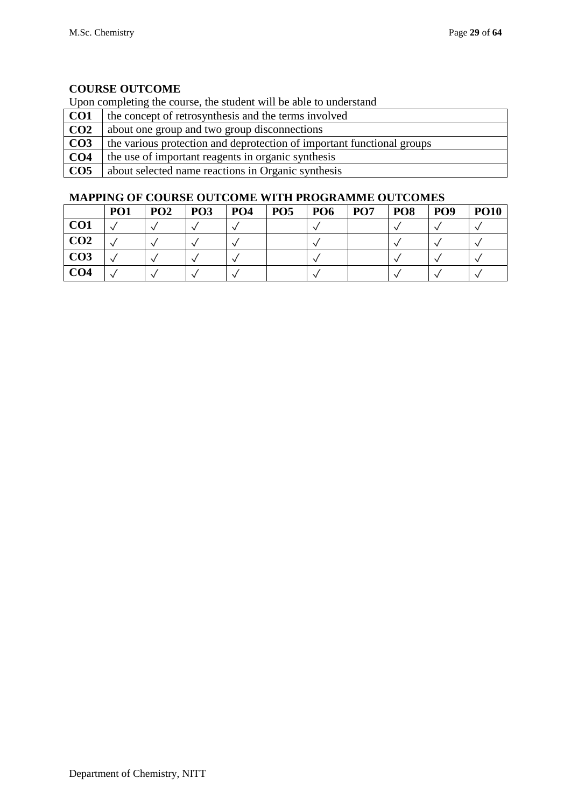Upon completing the course, the student will be able to understand

| CO <sub>1</sub> | the concept of retrosynthesis and the terms involved                   |
|-----------------|------------------------------------------------------------------------|
| CO <sub>2</sub> | about one group and two group disconnections                           |
| CO <sub>3</sub> | the various protection and deprotection of important functional groups |
| CO <sub>4</sub> | the use of important reagents in organic synthesis                     |
| CO <sub>5</sub> | about selected name reactions in Organic synthesis                     |

|                 | PO <sub>1</sub> | PO <sub>2</sub> | PO <sub>3</sub> | PO <sub>4</sub> | PO <sub>5</sub> | PO <sub>6</sub> | PO <sub>7</sub> | PO <sub>8</sub> | PO <sub>9</sub> | <b>PO10</b> |
|-----------------|-----------------|-----------------|-----------------|-----------------|-----------------|-----------------|-----------------|-----------------|-----------------|-------------|
| CO <sub>1</sub> |                 |                 |                 |                 |                 |                 |                 |                 |                 |             |
| CO <sub>2</sub> |                 |                 |                 |                 |                 |                 |                 |                 |                 |             |
| CO <sub>3</sub> |                 |                 |                 |                 |                 |                 |                 |                 |                 |             |
| CO <sub>4</sub> |                 |                 |                 |                 |                 |                 |                 |                 |                 |             |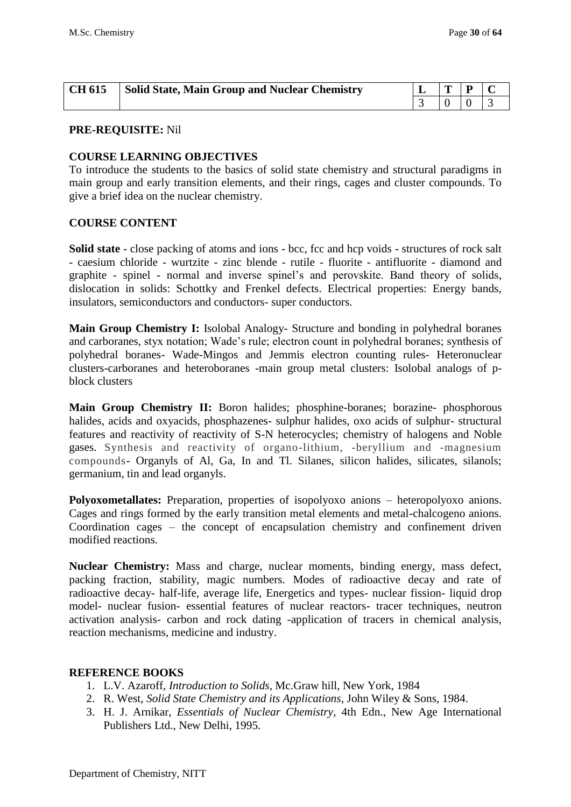| <b>CH 615</b> | Solid State, Main Group and Nuclear Chemistry | IT. | $\mathbf{D}$ |  |
|---------------|-----------------------------------------------|-----|--------------|--|
|               |                                               |     |              |  |

#### **COURSE LEARNING OBJECTIVES**

To introduce the students to the basics of solid state chemistry and structural paradigms in main group and early transition elements, and their rings, cages and cluster compounds. To give a brief idea on the nuclear chemistry.

#### **COURSE CONTENT**

**Solid state** - close packing of atoms and ions - bcc, fcc and hcp voids - structures of rock salt - caesium chloride - wurtzite - zinc blende - rutile - fluorite - antifluorite - diamond and graphite - spinel - normal and inverse spinel's and perovskite. Band theory of solids, dislocation in solids: Schottky and Frenkel defects. Electrical properties: Energy bands, insulators, semiconductors and conductors- super conductors.

**Main Group Chemistry I:** Isolobal Analogy- Structure and bonding in polyhedral boranes and carboranes, styx notation; Wade's rule; electron count in polyhedral boranes; synthesis of polyhedral boranes- Wade-Mingos and Jemmis electron counting rules- Heteronuclear clusters-carboranes and heteroboranes -main group metal clusters: Isolobal analogs of pblock clusters

**Main Group Chemistry II:** Boron halides; phosphine-boranes; borazine- phosphorous halides, acids and oxyacids, phosphazenes- sulphur halides, oxo acids of sulphur- structural features and reactivity of reactivity of S-N heterocycles; chemistry of halogens and Noble gases. Synthesis and reactivity of organo-lithium, -beryllium and -magnesium compounds- Organyls of Al, Ga, In and Tl. Silanes, silicon halides, silicates, silanols; germanium, tin and lead organyls.

**Polyoxometallates:** Preparation, properties of isopolyoxo anions – heteropolyoxo anions. Cages and rings formed by the early transition metal elements and metal-chalcogeno anions. Coordination cages – the concept of encapsulation chemistry and confinement driven modified reactions.

**Nuclear Chemistry:** Mass and charge, nuclear moments, binding energy, mass defect, packing fraction, stability, magic numbers. Modes of radioactive decay and rate of radioactive decay- half-life, average life, Energetics and types- nuclear fission- liquid drop model- nuclear fusion- essential features of nuclear reactors- tracer techniques, neutron activation analysis- carbon and rock dating -application of tracers in chemical analysis, reaction mechanisms, medicine and industry.

#### **REFERENCE BOOKS**

- 1. L.V. Azaroff, *Introduction to Solids*, Mc.Graw hill, New York, 1984
- 2. R. West, *Solid State Chemistry and its Applications*, John Wiley & Sons, 1984.
- 3. H. J. Arnikar, *Essentials of Nuclear Chemistry*, 4th Edn., New Age International Publishers Ltd., New Delhi, 1995.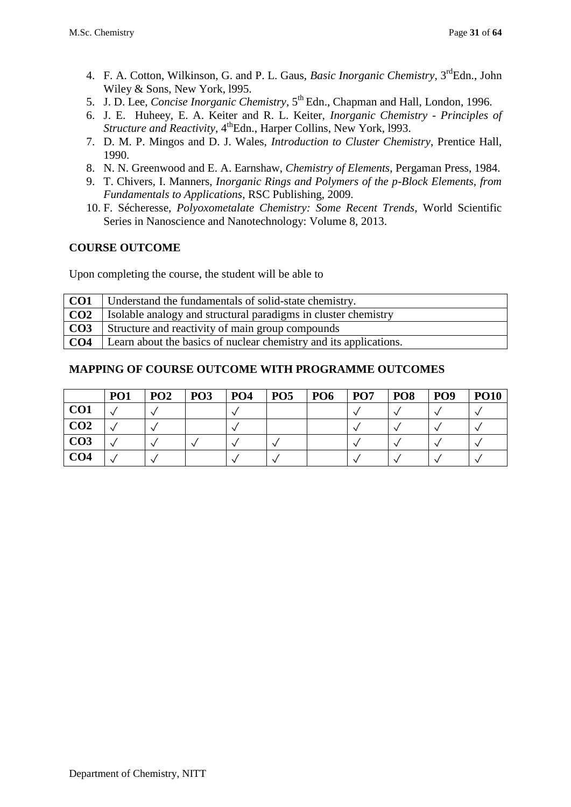- 4. F. A. Cotton, Wilkinson, G. and P. L. Gaus, *Basic Inorganic Chemistry*, 3<sup>rd</sup>Edn., John Wiley & Sons, New York, l995.
- 5. J. D. Lee, *Concise Inorganic Chemistry*, 5th Edn., Chapman and Hall, London, 1996.
- 6. J. E. Huheey, E. A. Keiter and R. L. Keiter, *Inorganic Chemistry - Principles of Structure and Reactivity*, 4<sup>th</sup>Edn., Harper Collins, New York, 1993.
- 7. D. M. P. Mingos and D. J. Wales, *Introduction to Cluster Chemistry*, Prentice Hall, 1990.
- 8. N. N. Greenwood and E. A. Earnshaw, *Chemistry of Elements*, Pergaman Press, 1984.
- 9. T. Chivers, I. Manners, *Inorganic Rings and Polymers of the p-Block Elements, from Fundamentals to Applications*, RSC Publishing, 2009.
- 10. F. Sécheresse, *Polyoxometalate Chemistry: Some Recent Trends,* World Scientific Series in Nanoscience and Nanotechnology: Volume 8, 2013.

Upon completing the course, the student will be able to

| CO <sub>1</sub> | Understand the fundamentals of solid-state chemistry.             |
|-----------------|-------------------------------------------------------------------|
| CO <sub>2</sub> | Isolable analogy and structural paradigms in cluster chemistry    |
| CO <sub>3</sub> | Structure and reactivity of main group compounds                  |
| CO <sub>4</sub> | Learn about the basics of nuclear chemistry and its applications. |

|                 | PO <sub>1</sub> | PO <sub>2</sub> | PO <sub>3</sub> | <b>PO4</b> | PO <sub>5</sub> | PO <sub>6</sub> | PO <sub>7</sub> | PO <sub>8</sub> | PO <sub>9</sub> | <b>PO10</b> |
|-----------------|-----------------|-----------------|-----------------|------------|-----------------|-----------------|-----------------|-----------------|-----------------|-------------|
| CO <sub>1</sub> |                 |                 |                 |            |                 |                 |                 |                 |                 |             |
| CO <sub>2</sub> |                 |                 |                 |            |                 |                 |                 |                 |                 |             |
| CO <sub>3</sub> |                 |                 |                 |            |                 |                 |                 |                 |                 |             |
| CO <sub>4</sub> |                 |                 |                 |            |                 |                 |                 |                 |                 |             |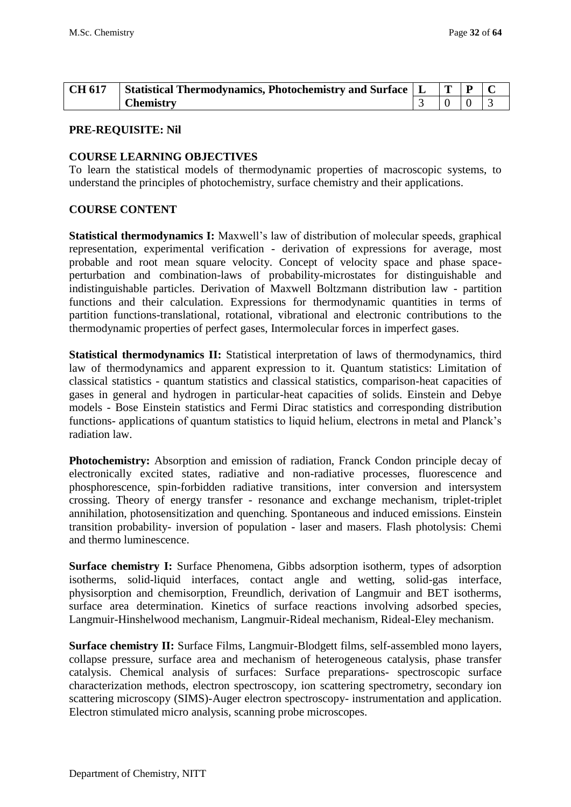| CH 617 | Statistical Thermodynamics, Photochemistry and Surface $\begin{array}{c c} L & T & P \end{array}$ |  |  |
|--------|---------------------------------------------------------------------------------------------------|--|--|
|        | <b>Chemistry</b>                                                                                  |  |  |

#### **COURSE LEARNING OBJECTIVES**

To learn the statistical models of thermodynamic properties of macroscopic systems, to understand the principles of photochemistry, surface chemistry and their applications.

#### **COURSE CONTENT**

**Statistical thermodynamics I:** Maxwell's law of distribution of molecular speeds, graphical representation, experimental verification - derivation of expressions for average, most probable and root mean square velocity. Concept of velocity space and phase spaceperturbation and combination-laws of probability-microstates for distinguishable and indistinguishable particles. Derivation of Maxwell Boltzmann distribution law - partition functions and their calculation. Expressions for thermodynamic quantities in terms of partition functions-translational, rotational, vibrational and electronic contributions to the thermodynamic properties of perfect gases, Intermolecular forces in imperfect gases.

**Statistical thermodynamics II:** Statistical interpretation of laws of thermodynamics, third law of thermodynamics and apparent expression to it. Quantum statistics: Limitation of classical statistics - quantum statistics and classical statistics, comparison-heat capacities of gases in general and hydrogen in particular-heat capacities of solids. Einstein and Debye models - Bose Einstein statistics and Fermi Dirac statistics and corresponding distribution functions- applications of quantum statistics to liquid helium, electrons in metal and Planck's radiation law.

**Photochemistry:** Absorption and emission of radiation, Franck Condon principle decay of electronically excited states, radiative and non-radiative processes, fluorescence and phosphorescence, spin-forbidden radiative transitions, inter conversion and intersystem crossing. Theory of energy transfer - resonance and exchange mechanism, triplet-triplet annihilation, photosensitization and quenching. Spontaneous and induced emissions. Einstein transition probability- inversion of population - laser and masers. Flash photolysis: Chemi and thermo luminescence.

**Surface chemistry I:** Surface Phenomena, Gibbs adsorption isotherm, types of adsorption isotherms, solid-liquid interfaces, contact angle and wetting, solid-gas interface, physisorption and chemisorption, Freundlich, derivation of Langmuir and BET isotherms, surface area determination. Kinetics of surface reactions involving adsorbed species, Langmuir-Hinshelwood mechanism, Langmuir-Rideal mechanism, Rideal-Eley mechanism.

**Surface chemistry II:** Surface Films, Langmuir-Blodgett films, self-assembled mono layers, collapse pressure, surface area and mechanism of heterogeneous catalysis, phase transfer catalysis. Chemical analysis of surfaces: Surface preparations- spectroscopic surface characterization methods, electron spectroscopy, ion scattering spectrometry, secondary ion scattering microscopy (SIMS)-Auger electron spectroscopy- instrumentation and application. Electron stimulated micro analysis, scanning probe microscopes.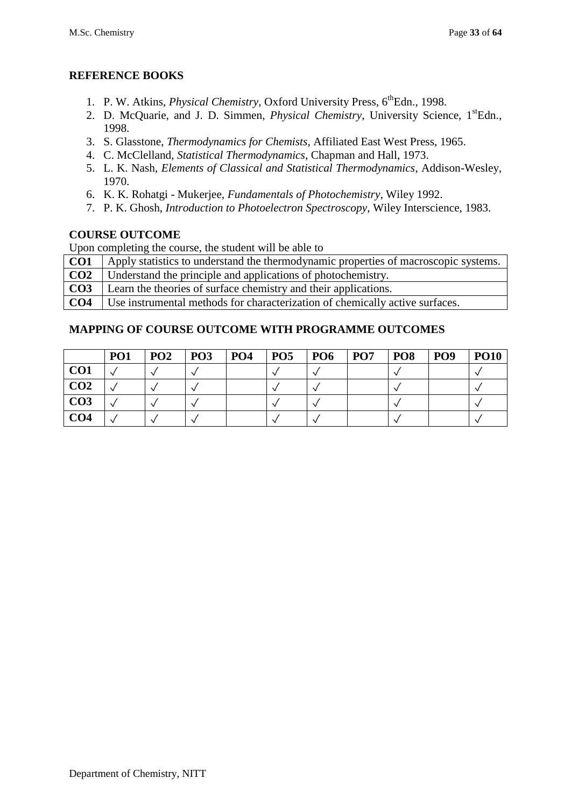## **REFERENCE BOOKS**

- 1. P. W. Atkins, *Physical Chemistry*, Oxford University Press, 6<sup>th</sup>Edn., 1998.
- 2. D. McQuarie, and J. D. Simmen, *Physical Chemistry*, University Science, 1<sup>st</sup>Edn., 1998.
- 3. S. Glasstone, *Thermodynamics for Chemists*, Affiliated East West Press, 1965.
- 4. C. McClelland, *Statistical Thermodynamics*, Chapman and Hall, 1973.
- 5. L. K. Nash, *Elements of Classical and Statistical Thermodynamics*, Addison-Wesley, 1970.
- 6. K. K. Rohatgi Mukerjee, *Fundamentals of Photochemistry*, Wiley 1992.
- 7. P. K. Ghosh, *Introduction to Photoelectron Spectroscopy*, Wiley Interscience, 1983.

### **COURSE OUTCOME**

Upon completing the course, the student will be able to

- **CO1** Apply statistics to understand the thermodynamic properties of macroscopic systems.
- **CO2** Understand the principle and applications of photochemistry.
- **CO3** Learn the theories of surface chemistry and their applications.

**CO4** Use instrumental methods for characterization of chemically active surfaces.

|                 | PO <sub>1</sub> | <b>PO2</b> | <b>PO3</b> | PO <sub>4</sub> | <b>PO5</b> | <b>PO6</b> | PO <sub>7</sub> | PO <sub>8</sub> | PO <sub>9</sub> | <b>PO10</b> |
|-----------------|-----------------|------------|------------|-----------------|------------|------------|-----------------|-----------------|-----------------|-------------|
| CO <sub>1</sub> |                 |            |            |                 |            |            |                 |                 |                 |             |
| CO <sub>2</sub> |                 |            |            |                 |            |            |                 |                 |                 |             |
| CO <sub>3</sub> |                 |            |            |                 |            |            |                 |                 |                 |             |
| CO <sub>4</sub> |                 |            |            |                 |            |            |                 |                 |                 |             |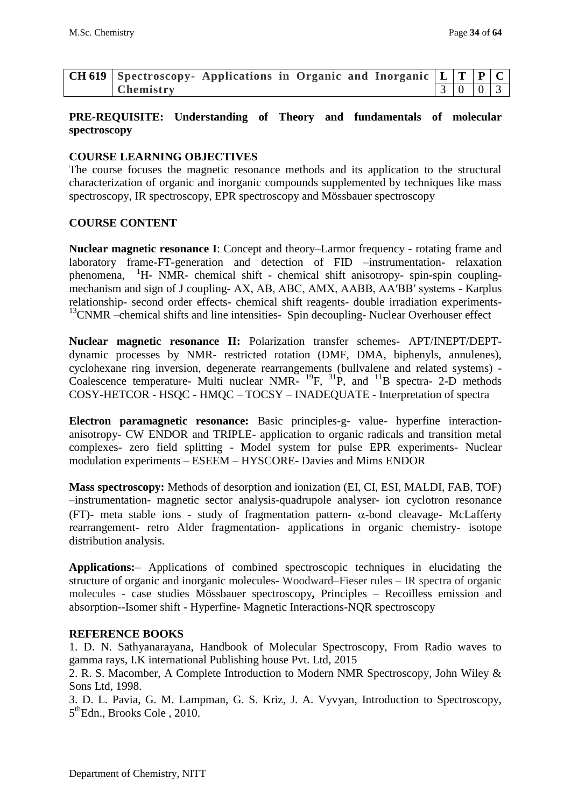| CH 619 Spectroscopy- Applications in Organic and Inorganic $ L T P C$ |  |  |  |       |  |
|-----------------------------------------------------------------------|--|--|--|-------|--|
| Chemistry                                                             |  |  |  | 30003 |  |

## **PRE-REQUISITE: Understanding of Theory and fundamentals of molecular spectroscopy**

#### **COURSE LEARNING OBJECTIVES**

The course focuses the magnetic resonance methods and its application to the structural characterization of organic and inorganic compounds supplemented by techniques like mass spectroscopy, IR spectroscopy, EPR spectroscopy and Mössbauer spectroscopy

#### **COURSE CONTENT**

**Nuclear magnetic resonance I**: Concept and theory–Larmor frequency - rotating frame and laboratory frame-FT-generation and detection of FID –instrumentation- relaxation phenomena, <sup>1</sup>H- NMR- chemical shift - chemical shift anisotropy- spin-spin couplingmechanism and sign of J coupling- AX, AB, ABC, AMX, AABB, AA′BB′ systems - Karplus relationship- second order effects- chemical shift reagents- double irradiation experiments- $13$ CNMR –chemical shifts and line intensities- Spin decoupling- Nuclear Overhouser effect

**Nuclear magnetic resonance II:** Polarization transfer schemes- APT/INEPT/DEPTdynamic processes by NMR- restricted rotation (DMF, DMA, biphenyls, annulenes), cyclohexane ring inversion, degenerate rearrangements (bullvalene and related systems) - Coalescence temperature- Multi nuclear NMR- $^{19}F$ ,  $^{31}P$ , and  $^{11}B$  spectra- 2-D methods COSY-HETCOR - HSQC - HMQC – TOCSY – INADEQUATE - Interpretation of spectra

**Electron paramagnetic resonance:** Basic principles-g- value- hyperfine interactionanisotropy- CW ENDOR and TRIPLE- application to organic radicals and transition metal complexes- zero field splitting - Model system for pulse EPR experiments- Nuclear modulation experiments – ESEEM – HYSCORE- Davies and Mims ENDOR

**Mass spectroscopy:** Methods of desorption and ionization (EI, CI, ESI, MALDI, FAB, TOF) –instrumentation- magnetic sector analysis-quadrupole analyser- ion cyclotron resonance (FT)- meta stable ions - study of fragmentation pattern-  $\alpha$ -bond cleavage- McLafferty rearrangement- retro Alder fragmentation- applications in organic chemistry- isotope distribution analysis.

**Applications:**– Applications of combined spectroscopic techniques in elucidating the structure of organic and inorganic molecules- Woodward–Fieser rules – IR spectra of organic molecules - case studies Mössbauer spectroscopy**,** Principles – Recoilless emission and absorption--Isomer shift - Hyperfine- Magnetic Interactions-NQR spectroscopy

#### **REFERENCE BOOKS**

1. D. N. Sathyanarayana, Handbook of Molecular Spectroscopy, From Radio waves to gamma rays, I.K international Publishing house Pvt. Ltd, 2015

2. R. S. Macomber, A Complete Introduction to Modern NMR Spectroscopy, John Wiley & Sons Ltd, 1998.

3. D. L. Pavia, G. M. Lampman, G. S. Kriz, J. A. Vyvyan, [Introduction to Spectroscopy,](http://gigapedia.com/items:view?eid=KjYk8Ko1v2R5cK40%2B%2Br38SMdY3nHKRF%2B%2FuUwkvGOYnk%3D)  5<sup>th</sup>Edn., Brooks Cole, 2010.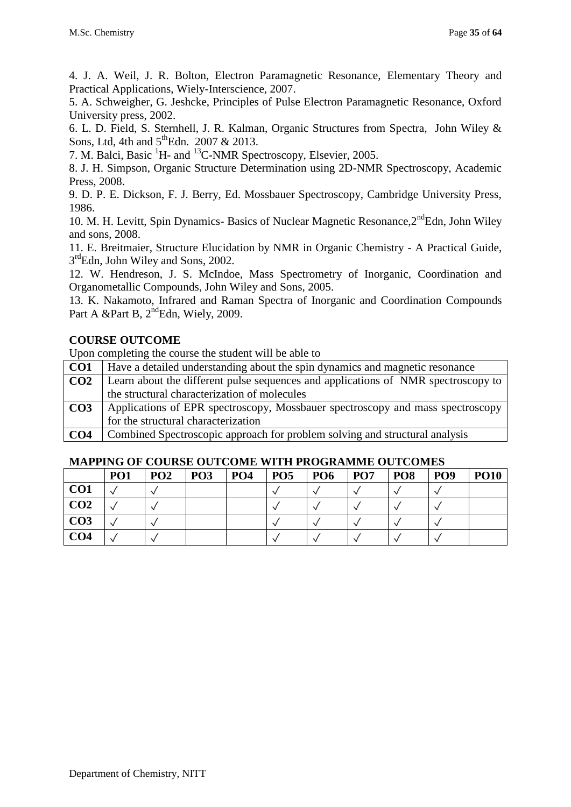4. J. A. Weil, J. R. Bolton, Electron Paramagnetic Resonance, Elementary Theory and Practical Applications, Wiely-Interscience, 2007.

5. A. Schweigher, G. Jeshcke, Principles of Pulse Electron Paramagnetic Resonance, Oxford University press, 2002.

6. L. D. Field, S. Sternhell, J. R. Kalman, Organic Structures from Spectra, John Wiley & Sons, Ltd, 4th and  $5^{\text{th}}$ Edn. 2007 & 2013.

7. M. Balci, Basic <sup>1</sup>H- and <sup>13</sup>C-NMR Spectroscopy, Elsevier, 2005.

8. J. H. Simpson, Organic Structure Determination using 2D-NMR Spectroscopy, Academic Press, 2008.

9. D. P. E. Dickson, F. J. Berry, Ed. Mossbauer Spectroscopy, Cambridge University Press, 1986.

10. M. H. Levitt, Spin Dynamics- Basics of Nuclear Magnetic Resonance, 2<sup>nd</sup>Edn, John Wiley and sons, 2008.

11. E. Breitmaier, Structure Elucidation by NMR in Organic Chemistry - A Practical Guide, 3<sup>rd</sup>Edn, John Wiley and Sons, 2002.

12. W. Hendreson, J. S. McIndoe, Mass Spectrometry of Inorganic, Coordination and Organometallic Compounds, John Wiley and Sons, 2005.

13. K. Nakamoto, Infrared and Raman Spectra of Inorganic and Coordination Compounds Part A &Part B, 2<sup>nd</sup>Edn, Wiely, 2009.

## **COURSE OUTCOME**

Upon completing the course the student will be able to

| CO <sub>1</sub> | Have a detailed understanding about the spin dynamics and magnetic resonance      |
|-----------------|-----------------------------------------------------------------------------------|
| CO <sub>2</sub> | Learn about the different pulse sequences and applications of NMR spectroscopy to |
|                 | the structural characterization of molecules                                      |
| CO <sub>3</sub> | Applications of EPR spectroscopy, Mossbauer spectroscopy and mass spectroscopy    |
|                 | for the structural characterization                                               |
| CO <sub>4</sub> | Combined Spectroscopic approach for problem solving and structural analysis       |

**CO4** Combined Spectroscopic approach for problem solving and structural analysis

|                 | PO <sub>1</sub> | PO <sub>2</sub> | PO <sub>3</sub> | PO <sub>4</sub> | PO <sub>5</sub> | PO <sub>6</sub> | PO <sub>7</sub> | PO <sub>8</sub> | PO <sub>9</sub> | <b>PO10</b> |
|-----------------|-----------------|-----------------|-----------------|-----------------|-----------------|-----------------|-----------------|-----------------|-----------------|-------------|
| CO <sub>1</sub> |                 |                 |                 |                 |                 |                 |                 |                 |                 |             |
| CO <sub>2</sub> |                 |                 |                 |                 |                 |                 |                 |                 |                 |             |
| CO <sub>3</sub> |                 |                 |                 |                 |                 |                 |                 |                 |                 |             |
| CO <sub>4</sub> |                 |                 |                 |                 |                 |                 |                 |                 |                 |             |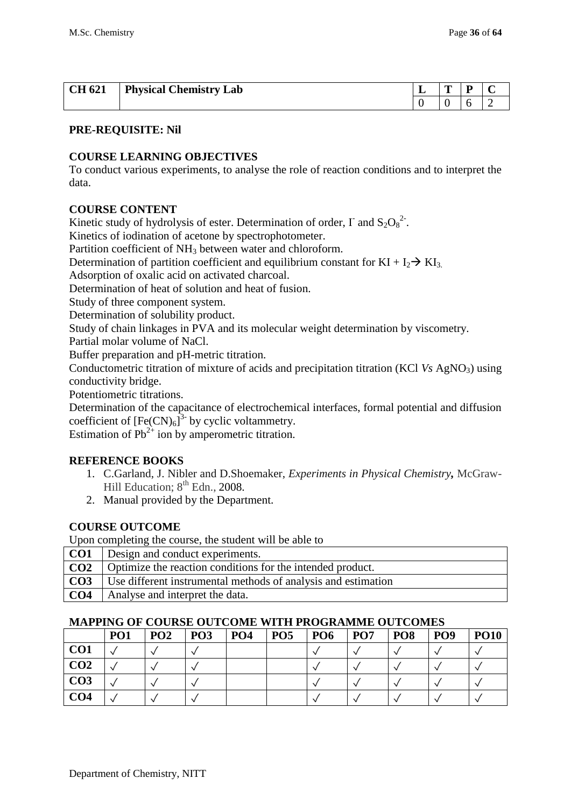| <b>CH 621</b> | <b>Physical Chemistry Lab</b> | - | m | - |  |
|---------------|-------------------------------|---|---|---|--|
|               |                               |   |   |   |  |

## **COURSE LEARNING OBJECTIVES**

To conduct various experiments, to analyse the role of reaction conditions and to interpret the data.

## **COURSE CONTENT**

Kinetic study of hydrolysis of ester. Determination of order,  $\Gamma$  and  $S_2O_8^2$ .

Kinetics of iodination of acetone by spectrophotometer.

Partition coefficient of NH<sub>3</sub> between water and chloroform.

Determination of partition coefficient and equilibrium constant for  $KI + I_2 \rightarrow K I_3$ .

Adsorption of oxalic acid on activated charcoal.

Determination of heat of solution and heat of fusion.

Study of three component system.

Determination of solubility product.

Study of chain linkages in PVA and its molecular weight determination by viscometry.

Partial molar volume of NaCl.

Buffer preparation and pH-metric titration.

Conductometric titration of mixture of acids and precipitation titration (KCl *Vs AgNO<sub>3</sub>*) using conductivity bridge.

Potentiometric titrations.

Determination of the capacitance of electrochemical interfaces, formal potential and diffusion coefficient of  $[Fe(CN)_6]$ <sup>3-</sup> by cyclic voltammetry.

Estimation of  $Pb^{2+}$  ion by amperometric titration.

## **REFERENCE BOOKS**

- 1. C.Garland, J. Nibler and D.Shoemaker, *Experiments in Physical Chemistry,* McGraw-Hill Education;  $8<sup>th</sup>$  Edn., 2008.
- 2. Manual provided by the Department.

## **COURSE OUTCOME**

Upon completing the course, the student will be able to

|                 | <b>CO1</b> Design and conduct experiments.                            |
|-----------------|-----------------------------------------------------------------------|
|                 | <b>CO2</b> Optimize the reaction conditions for the intended product. |
| CO <sub>3</sub> | Use different instrumental methods of analysis and estimation         |
| CO <sub>4</sub> | Analyse and interpret the data.                                       |

|                 | PO <sub>1</sub> | PO <sub>2</sub> | PO <sub>3</sub> | PO <sub>4</sub> | PO <sub>5</sub> | PO <sub>6</sub> | PO <sub>7</sub> | PO <sub>8</sub> | PO <sub>9</sub> | <b>PO10</b> |
|-----------------|-----------------|-----------------|-----------------|-----------------|-----------------|-----------------|-----------------|-----------------|-----------------|-------------|
| CO <sub>1</sub> |                 |                 |                 |                 |                 |                 |                 |                 |                 |             |
| CO <sub>2</sub> |                 |                 |                 |                 |                 |                 |                 |                 |                 |             |
| CO <sub>3</sub> |                 |                 |                 |                 |                 |                 |                 |                 |                 |             |
| CO <sub>4</sub> |                 |                 |                 |                 |                 |                 |                 |                 |                 |             |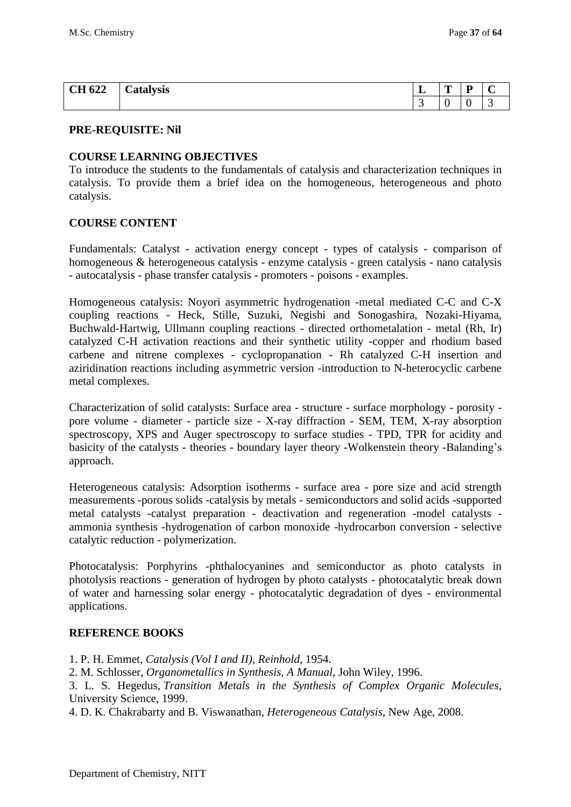| <b>CH 622</b><br>$\mathbf{U}$ $\mathbf{U}$ | -<br>Catalysis | ᆚ | m<br><b>.</b> | D |  |
|--------------------------------------------|----------------|---|---------------|---|--|
|                                            |                |   | ◡             | ◡ |  |

#### **COURSE LEARNING OBJECTIVES**

To introduce the students to the fundamentals of catalysis and characterization techniques in catalysis. To provide them a brief idea on the homogeneous, heterogeneous and photo catalysis.

#### **COURSE CONTENT**

Fundamentals: Catalyst - activation energy concept - types of catalysis - comparison of homogeneous & heterogeneous catalysis - enzyme catalysis - green catalysis - nano catalysis - autocatalysis - phase transfer catalysis - promoters - poisons - examples.

Homogeneous catalysis: Noyori asymmetric hydrogenation -metal mediated C-C and C-X coupling reactions - Heck, Stille, Suzuki, Negishi and Sonogashira, Nozaki-Hiyama, Buchwald-Hartwig, Ullmann coupling reactions - directed orthometalation - metal (Rh, Ir) catalyzed C-H activation reactions and their synthetic utility -copper and rhodium based carbene and nitrene complexes - cyclopropanation - Rh catalyzed C-H insertion and aziridination reactions including asymmetric version -introduction to N-heterocyclic carbene metal complexes.

Characterization of solid catalysts: Surface area - structure - surface morphology - porosity pore volume - diameter - particle size - X-ray diffraction - SEM, TEM, X-ray absorption spectroscopy, XPS and Auger spectroscopy to surface studies - TPD, TPR for acidity and basicity of the catalysts - theories - boundary layer theory -Wolkenstein theory -Balanding's approach.

Heterogeneous catalysis: Adsorption isotherms - surface area - pore size and acid strength measurements -porous solids -catalysis by metals - semiconductors and solid acids -supported metal catalysts -catalyst preparation - deactivation and regeneration -model catalysts ammonia synthesis -hydrogenation of carbon monoxide -hydrocarbon conversion - selective catalytic reduction - polymerization.

Photocatalysis: Porphyrins -phthalocyanines and semiconductor as photo catalysts in photolysis reactions - generation of hydrogen by photo catalysts - photocatalytic break down of water and harnessing solar energy - photocatalytic degradation of dyes - environmental applications.

#### **REFERENCE BOOKS**

1. P. H. Emmet, *Catalysis (Vol I and II)*, *Reinhold*, 1954.

2. M. Schlosser, *Organometallics in Synthesis, A Manual*, John Wiley, 1996.

3. L. S. Hegedus, *Transition Metals in the Synthesis of Complex Organic Molecules*, University Science, 1999.

4. D. K. Chakrabarty and B. Viswanathan, *Heterogeneous Catalysis*, New Age, 2008.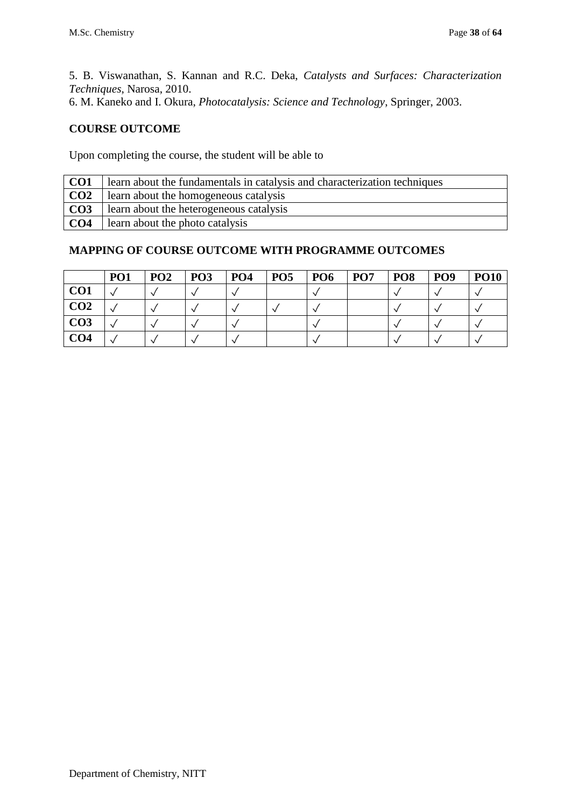5. B. Viswanathan, S. Kannan and R.C. Deka, *Catalysts and Surfaces: Characterization Techniques*, Narosa, 2010.

# 6. [M. Kaneko](http://www.amazon.com/s/ref=ntt_athr_dp_sr_1?_encoding=UTF8&field-author=Masao%20Kaneko&search-alias=books&sort=relevancerank) and [I. Okura,](http://www.amazon.com/s/ref=ntt_athr_dp_sr_2?_encoding=UTF8&field-author=Ichiro%20Okura&search-alias=books&sort=relevancerank) *Photocatalysis: Science and Technology*, Springer, 2003.

## **COURSE OUTCOME**

Upon completing the course, the student will be able to

| CO1              | learn about the fundamentals in catalysis and characterization techniques |
|------------------|---------------------------------------------------------------------------|
| CO <sub>2</sub>  | learn about the homogeneous catalysis                                     |
| $\overline{CO3}$ | learn about the heterogeneous catalysis                                   |
| CO <sub>4</sub>  | learn about the photo catalysis                                           |

|                 | PO <sub>1</sub> | PO <sub>2</sub> | PO <sub>3</sub> | PO <sub>4</sub> | PO <sub>5</sub> | <b>PO6</b> | PO <sub>7</sub> | PO <sub>8</sub> | PO <sub>9</sub> | <b>PO10</b> |
|-----------------|-----------------|-----------------|-----------------|-----------------|-----------------|------------|-----------------|-----------------|-----------------|-------------|
| CO <sub>1</sub> |                 |                 |                 |                 |                 |            |                 |                 |                 |             |
| CO <sub>2</sub> |                 |                 |                 |                 |                 |            |                 |                 |                 |             |
| CO <sub>3</sub> |                 |                 |                 |                 |                 |            |                 |                 |                 |             |
| CO <sub>4</sub> |                 |                 |                 |                 |                 |            |                 |                 |                 |             |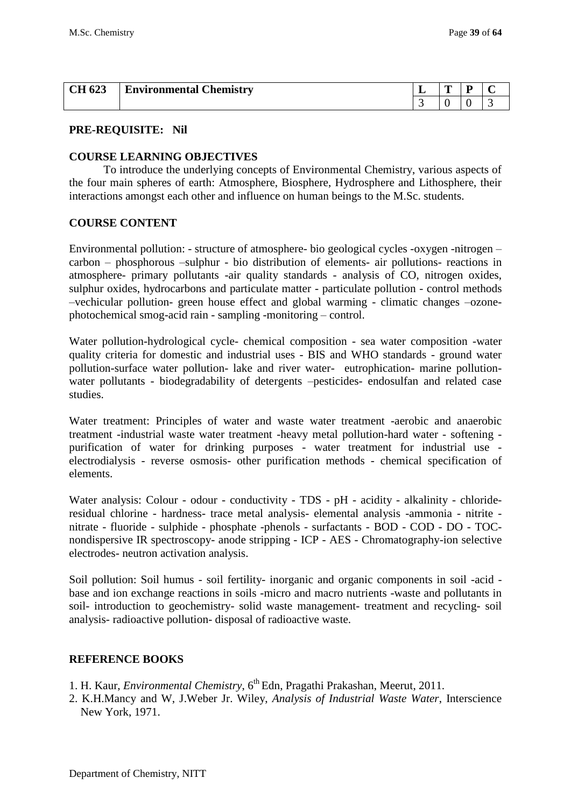| <b>CH 623</b> | <b>Environmental Chemistry</b> | ш. | m | D |  |
|---------------|--------------------------------|----|---|---|--|
|               |                                |    |   |   |  |

#### **COURSE LEARNING OBJECTIVES**

To introduce the underlying concepts of Environmental Chemistry, various aspects of the four main spheres of earth: Atmosphere, Biosphere, Hydrosphere and Lithosphere, their interactions amongst each other and influence on human beings to the M.Sc. students.

#### **COURSE CONTENT**

Environmental pollution: - structure of atmosphere- bio geological cycles -oxygen -nitrogen – carbon – phosphorous –sulphur - bio distribution of elements- air pollutions- reactions in atmosphere- primary pollutants -air quality standards - analysis of CO, nitrogen oxides, sulphur oxides, hydrocarbons and particulate matter - particulate pollution - control methods –vechicular pollution- green house effect and global warming - climatic changes –ozonephotochemical smog-acid rain - sampling -monitoring – control.

Water pollution-hydrological cycle- chemical composition - sea water composition -water quality criteria for domestic and industrial uses - BIS and WHO standards - ground water pollution-surface water pollution- lake and river water- eutrophication- marine pollutionwater pollutants - biodegradability of detergents –pesticides- endosulfan and related case studies.

Water treatment: Principles of water and waste water treatment -aerobic and anaerobic treatment -industrial waste water treatment -heavy metal pollution-hard water - softening purification of water for drinking purposes - water treatment for industrial use electrodialysis - reverse osmosis- other purification methods - chemical specification of elements.

Water analysis: Colour - odour - conductivity - TDS - pH - acidity - alkalinity - chlorideresidual chlorine - hardness- trace metal analysis- elemental analysis -ammonia - nitrite nitrate - fluoride - sulphide - phosphate -phenols - surfactants - BOD - COD - DO - TOCnondispersive IR spectroscopy- anode stripping - ICP - AES - Chromatography-ion selective electrodes- neutron activation analysis.

Soil pollution: Soil humus - soil fertility- inorganic and organic components in soil -acid base and ion exchange reactions in soils -micro and macro nutrients -waste and pollutants in soil- introduction to geochemistry- solid waste management- treatment and recycling- soil analysis- radioactive pollution- disposal of radioactive waste.

#### **REFERENCE BOOKS**

- 1. H. Kaur, *Environmental Chemistry*, 6th Edn, Pragathi Prakashan, Meerut, 2011.
- 2. K.H.Mancy and W, J.Weber Jr. Wiley, *Analysis of Industrial Waste Water*, Interscience New York, 1971.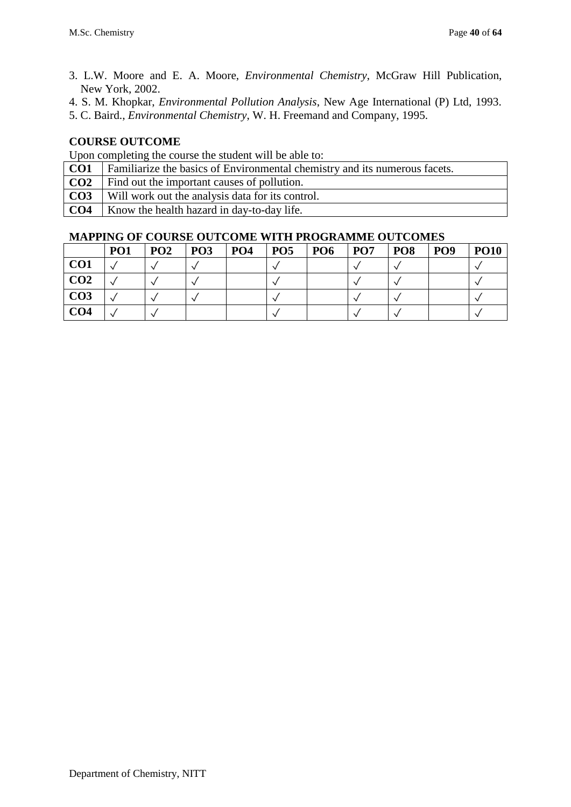- 3. L.W. Moore and E. A. Moore, *Environmental Chemistry*, McGraw Hill Publication, New York, 2002.
- 4. S. M. Khopkar, *Environmental Pollution Analysis*, New Age International (P) Ltd, 1993.
- 5. C. Baird., *Environmental Chemistry*, W. H. Freemand and Company, 1995.

Upon completing the course the student will be able to:

- **CO2** Find out the important causes of pollution.
- **CO3** Will work out the analysis data for its control.
- **CO4** Know the health hazard in day-to-day life.

|                 | PO <sub>1</sub> | PO <sub>2</sub> | PO <sub>3</sub> | PO <sub>4</sub> | PO <sub>5</sub> | PO <sub>6</sub> | PO <sub>7</sub> | PO <sub>8</sub> | PO <sub>9</sub> | <b>PO10</b> |
|-----------------|-----------------|-----------------|-----------------|-----------------|-----------------|-----------------|-----------------|-----------------|-----------------|-------------|
| CO <sub>1</sub> |                 |                 |                 |                 |                 |                 |                 |                 |                 |             |
| CO <sub>2</sub> |                 |                 |                 |                 |                 |                 |                 |                 |                 |             |
| CO <sub>3</sub> |                 |                 |                 |                 |                 |                 |                 |                 |                 |             |
| CO <sub>4</sub> |                 |                 |                 |                 |                 |                 |                 |                 |                 |             |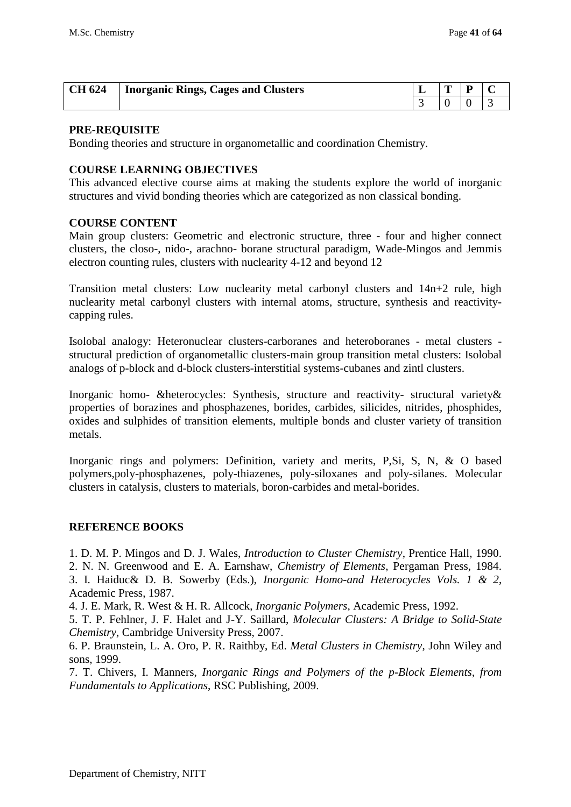| <b>CH 624</b> | Inorganic Rings, Cages and Clusters | ∸ | m |  |
|---------------|-------------------------------------|---|---|--|
|               |                                     |   |   |  |

#### **PRE-REQUISITE**

Bonding theories and structure in organometallic and coordination Chemistry.

#### **COURSE LEARNING OBJECTIVES**

This advanced elective course aims at making the students explore the world of inorganic structures and vivid bonding theories which are categorized as non classical bonding.

#### **COURSE CONTENT**

Main group clusters: Geometric and electronic structure, three - four and higher connect clusters, the closo-, nido-, arachno- borane structural paradigm, Wade-Mingos and Jemmis electron counting rules, clusters with nuclearity 4-12 and beyond 12

Transition metal clusters: Low nuclearity metal carbonyl clusters and 14n+2 rule, high nuclearity metal carbonyl clusters with internal atoms, structure, synthesis and reactivitycapping rules.

Isolobal analogy: Heteronuclear clusters-carboranes and heteroboranes - metal clusters structural prediction of organometallic clusters-main group transition metal clusters: Isolobal analogs of p-block and d-block clusters-interstitial systems-cubanes and zintl clusters.

Inorganic homo- &heterocycles: Synthesis, structure and reactivity- structural variety& properties of borazines and phosphazenes, borides, carbides, silicides, nitrides, phosphides, oxides and sulphides of transition elements, multiple bonds and cluster variety of transition metals.

Inorganic rings and polymers: Definition, variety and merits, P,Si, S, N, & O based polymers,poly-phosphazenes, poly-thiazenes, poly-siloxanes and poly-silanes. Molecular clusters in catalysis, clusters to materials, boron-carbides and metal-borides.

#### **REFERENCE BOOKS**

1. D. M. P. Mingos and D. J. Wales, *Introduction to Cluster Chemistry*, Prentice Hall, 1990.

2. N. N. Greenwood and E. A. Earnshaw, *Chemistry of Elements*, Pergaman Press, 1984.

3. I. Haiduc& D. B. Sowerby (Eds.), *Inorganic Homo-and Heterocycles Vols. 1 & 2*, Academic Press, 1987.

4. J. E. Mark, R. West & H. R. Allcock, *Inorganic Polymers*, Academic Press, 1992.

5. T. P. Fehlner, J. F. Halet and J-Y. Saillard, *Molecular Clusters: A Bridge to Solid-State Chemistry*, Cambridge University Press, 2007.

6. P. Braunstein, L. A. Oro, P. R. Raithby, Ed. *Metal Clusters in Chemistry*, John Wiley and sons, 1999.

7. T. Chivers, I. Manners, *Inorganic Rings and Polymers of the p-Block Elements, from Fundamentals to Applications*, RSC Publishing, 2009.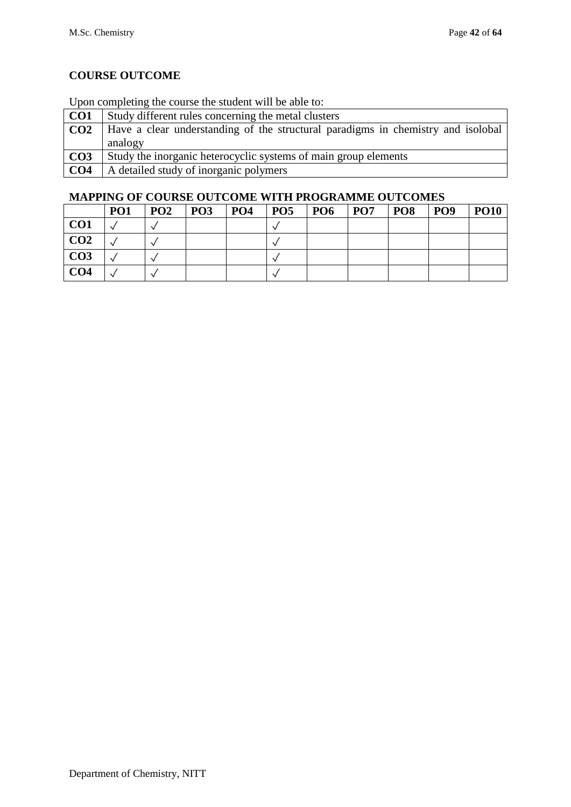## Upon completing the course the student will be able to:

| CO <sub>1</sub> | Study different rules concerning the metal clusters                              |
|-----------------|----------------------------------------------------------------------------------|
| CO <sub>2</sub> | Have a clear understanding of the structural paradigms in chemistry and isolobal |
|                 | analogy                                                                          |
| CO <sub>3</sub> | Study the inorganic heterocyclic systems of main group elements                  |
| CO <sub>4</sub> | A detailed study of inorganic polymers                                           |

|                 | PO <sub>1</sub> | PO <sub>2</sub> | PO <sub>3</sub> | <b>PO4</b> | <b>PO5</b> | <b>PO6</b> | PO <sub>7</sub> | <b>PO8</b> | PO <sub>9</sub> | <b>PO10</b> |
|-----------------|-----------------|-----------------|-----------------|------------|------------|------------|-----------------|------------|-----------------|-------------|
| CO1             |                 |                 |                 |            |            |            |                 |            |                 |             |
| CO <sub>2</sub> |                 |                 |                 |            |            |            |                 |            |                 |             |
| CO <sub>3</sub> |                 |                 |                 |            |            |            |                 |            |                 |             |
| CO <sub>4</sub> |                 |                 |                 |            |            |            |                 |            |                 |             |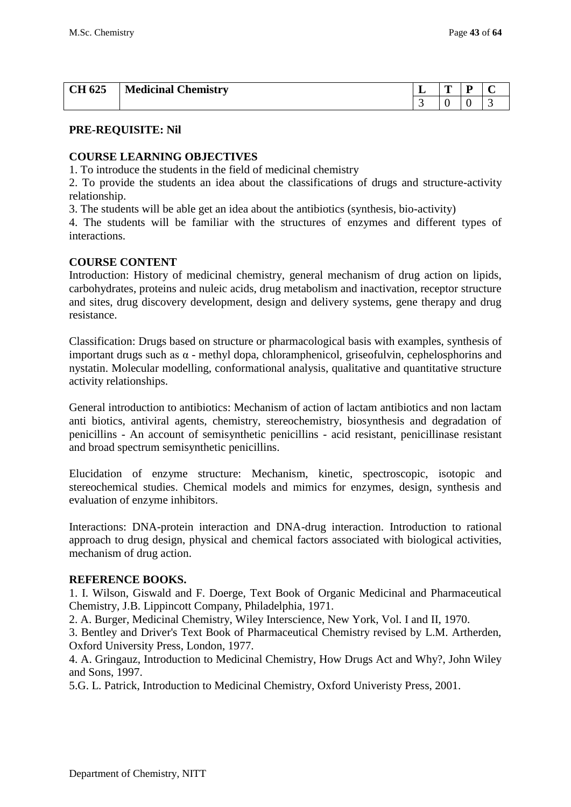| <b>CH 625</b> | <b>Medicinal Chemistry</b> | - | m | $\mathbf{r}$ |  |
|---------------|----------------------------|---|---|--------------|--|
|               |                            |   | ◡ |              |  |

#### **COURSE LEARNING OBJECTIVES**

1. To introduce the students in the field of medicinal chemistry

2. To provide the students an idea about the classifications of drugs and structure-activity relationship.

3. The students will be able get an idea about the antibiotics (synthesis, bio-activity)

4. The students will be familiar with the structures of enzymes and different types of interactions.

#### **COURSE CONTENT**

Introduction: History of medicinal chemistry, general mechanism of drug action on lipids, carbohydrates, proteins and nuleic acids, drug metabolism and inactivation, receptor structure and sites, drug discovery development, design and delivery systems, gene therapy and drug resistance.

Classification: Drugs based on structure or pharmacological basis with examples, synthesis of important drugs such as  $\alpha$  - methyl dopa, chloramphenicol, griseofulvin, cephelosphorins and nystatin. Molecular modelling, conformational analysis, qualitative and quantitative structure activity relationships.

General introduction to antibiotics: Mechanism of action of lactam antibiotics and non lactam anti biotics, antiviral agents, chemistry, stereochemistry, biosynthesis and degradation of penicillins - An account of semisynthetic penicillins - acid resistant, penicillinase resistant and broad spectrum semisynthetic penicillins.

Elucidation of enzyme structure: Mechanism, kinetic, spectroscopic, isotopic and stereochemical studies. Chemical models and mimics for enzymes, design, synthesis and evaluation of enzyme inhibitors.

Interactions: DNA-protein interaction and DNA-drug interaction. Introduction to rational approach to drug design, physical and chemical factors associated with biological activities, mechanism of drug action.

#### **REFERENCE BOOKS.**

1. I. Wilson, Giswald and F. Doerge, Text Book of Organic Medicinal and Pharmaceutical Chemistry, J.B. Lippincott Company, Philadelphia, 1971.

2. A. Burger, Medicinal Chemistry, Wiley Interscience, New York, Vol. I and II, 1970.

3. Bentley and Driver's Text Book of Pharmaceutical Chemistry revised by L.M. Artherden, Oxford University Press, London, 1977.

4. A. Gringauz, Introduction to Medicinal Chemistry, How Drugs Act and Why?, John Wiley and Sons, 1997.

5.G. L. Patrick, Introduction to Medicinal Chemistry, Oxford Univeristy Press, 2001.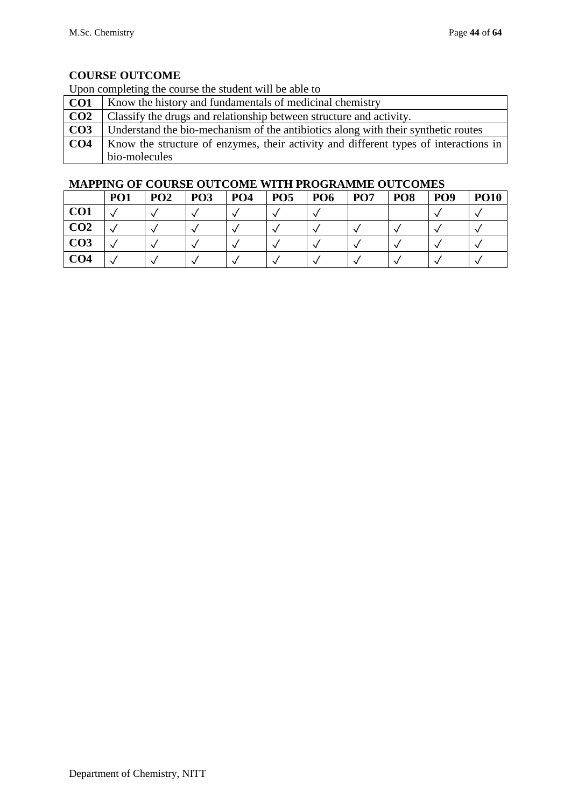Upon completing the course the student will be able to

| CO <sub>1</sub> | Know the history and fundamentals of medicinal chemistry                             |
|-----------------|--------------------------------------------------------------------------------------|
| CO <sub>2</sub> | Classify the drugs and relationship between structure and activity.                  |
| CO <sub>3</sub> | Understand the bio-mechanism of the antibiotics along with their synthetic routes    |
| CO <sub>4</sub> | Know the structure of enzymes, their activity and different types of interactions in |
|                 | bio-molecules                                                                        |

|                 | PO <sub>1</sub> | PO <sub>2</sub> | PO <sub>3</sub> | PO <sub>4</sub> | PO <sub>5</sub> | PO <sub>6</sub> | PO <sub>7</sub> | PO <sub>8</sub> | PO <sub>9</sub> | <b>PO10</b> |
|-----------------|-----------------|-----------------|-----------------|-----------------|-----------------|-----------------|-----------------|-----------------|-----------------|-------------|
| CO <sub>1</sub> |                 |                 |                 |                 |                 |                 |                 |                 |                 |             |
| CO <sub>2</sub> |                 |                 |                 |                 |                 |                 |                 |                 |                 |             |
| CO <sub>3</sub> |                 |                 |                 |                 |                 |                 |                 |                 |                 |             |
| CO <sub>4</sub> |                 |                 |                 |                 |                 |                 |                 |                 |                 |             |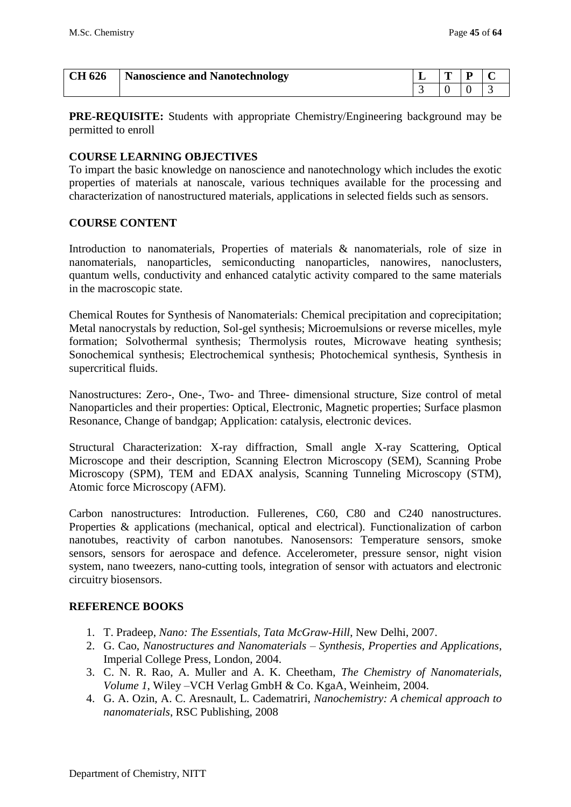| <b>CH 626</b> | <b>Nanoscience and Nanotechnology</b> | . . | m | D |  |
|---------------|---------------------------------------|-----|---|---|--|
|               |                                       |     |   |   |  |

**PRE-REQUISITE:** Students with appropriate Chemistry/Engineering background may be permitted to enroll

### **COURSE LEARNING OBJECTIVES**

To impart the basic knowledge on nanoscience and nanotechnology which includes the exotic properties of materials at nanoscale, various techniques available for the processing and characterization of nanostructured materials, applications in selected fields such as sensors.

#### **COURSE CONTENT**

Introduction to nanomaterials, Properties of materials & nanomaterials, role of size in nanomaterials, nanoparticles, semiconducting nanoparticles, nanowires, nanoclusters, quantum wells, conductivity and enhanced catalytic activity compared to the same materials in the macroscopic state.

Chemical Routes for Synthesis of Nanomaterials: Chemical precipitation and coprecipitation; Metal nanocrystals by reduction, Sol-gel synthesis; Microemulsions or reverse micelles, myle formation; Solvothermal synthesis; Thermolysis routes, Microwave heating synthesis; Sonochemical synthesis; Electrochemical synthesis; Photochemical synthesis, Synthesis in supercritical fluids.

Nanostructures: Zero-, One-, Two- and Three- dimensional structure, Size control of metal Nanoparticles and their properties: Optical, Electronic, Magnetic properties; Surface plasmon Resonance, Change of bandgap; Application: catalysis, electronic devices.

Structural Characterization: X-ray diffraction, Small angle X-ray Scattering, Optical Microscope and their description, Scanning Electron Microscopy (SEM), Scanning Probe Microscopy (SPM), TEM and EDAX analysis, Scanning Tunneling Microscopy (STM), Atomic force Microscopy (AFM).

Carbon nanostructures: Introduction. Fullerenes, C60, C80 and C240 nanostructures. Properties & applications (mechanical, optical and electrical). Functionalization of carbon nanotubes, reactivity of carbon nanotubes. Nanosensors: Temperature sensors, smoke sensors, sensors for aerospace and defence. Accelerometer, pressure sensor, night vision system, nano tweezers, nano-cutting tools, integration of sensor with actuators and electronic circuitry biosensors.

## **REFERENCE BOOKS**

- 1. T. Pradeep, *Nano: The Essentials, Tata McGraw-Hill*, New Delhi, 2007.
- 2. G. Cao, *Nanostructures and Nanomaterials – Synthesis, Properties and Applications*, Imperial College Press, London, 2004.
- 3. C. N. R. Rao, A. Muller and A. K. Cheetham, *The Chemistry of Nanomaterials, Volume 1*, Wiley –VCH Verlag GmbH & Co. KgaA, Weinheim, 2004.
- 4. G. A. Ozin, A. C. Aresnault, L. Cadematriri, *Nanochemistry: A chemical approach to nanomaterials*, RSC Publishing, 2008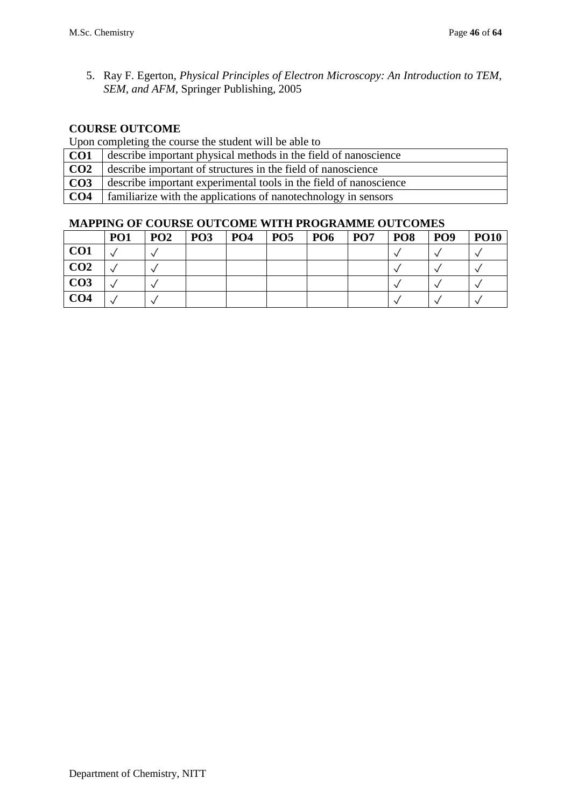5. Ray F. Egerton, *Physical Principles of Electron Microscopy: An Introduction to TEM, SEM, and AFM*, Springer Publishing, 2005

## **COURSE OUTCOME**

Upon completing the course the student will be able to

- **CO1** describe important physical methods in the field of nanoscience
- **CO2** describe important of structures in the field of nanoscience
- **CO3** describe important experimental tools in the field of nanoscience
- **CO4** familiarize with the applications of nanotechnology in sensors

|                 | <b>PO1</b> | PO <sub>2</sub> | PO <sub>3</sub> | PO <sub>4</sub> | <b>PO5</b> | <b>PO6</b> | PO <sub>7</sub> | PO <sub>8</sub> | PO <sub>9</sub> | <b>PO10</b> |
|-----------------|------------|-----------------|-----------------|-----------------|------------|------------|-----------------|-----------------|-----------------|-------------|
| CO <sub>1</sub> |            |                 |                 |                 |            |            |                 |                 |                 |             |
| CO <sub>2</sub> |            |                 |                 |                 |            |            |                 |                 |                 |             |
| CO <sub>3</sub> |            |                 |                 |                 |            |            |                 |                 |                 |             |
| CO <sub>4</sub> |            |                 |                 |                 |            |            |                 |                 |                 |             |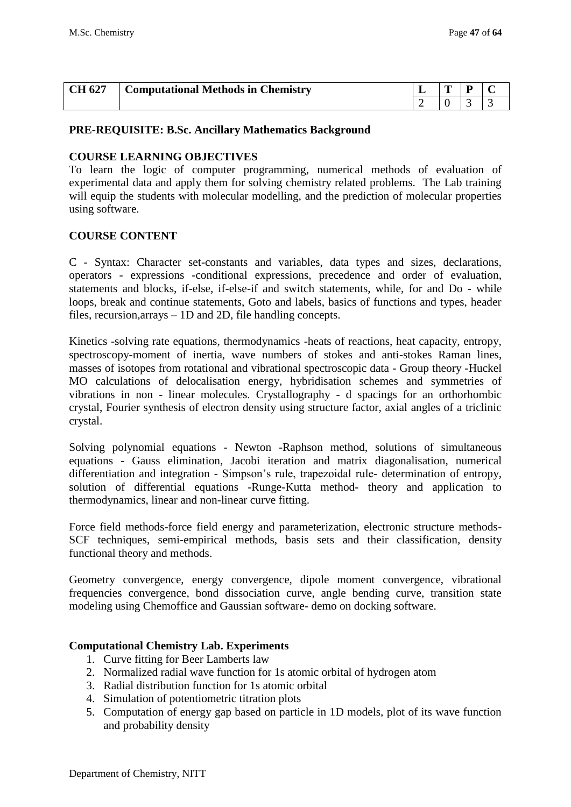| CH 627 | <b>Computational Methods in Chemistry</b> | m | D |  |
|--------|-------------------------------------------|---|---|--|
|        |                                           |   |   |  |

#### **PRE-REQUISITE: B.Sc. Ancillary Mathematics Background**

#### **COURSE LEARNING OBJECTIVES**

To learn the logic of computer programming, numerical methods of evaluation of experimental data and apply them for solving chemistry related problems. The Lab training will equip the students with molecular modelling, and the prediction of molecular properties using software.

#### **COURSE CONTENT**

C - Syntax: Character set-constants and variables, data types and sizes, declarations, operators - expressions -conditional expressions, precedence and order of evaluation, statements and blocks, if-else, if-else-if and switch statements, while, for and Do - while loops, break and continue statements, Goto and labels, basics of functions and types, header files, recursion,arrays – 1D and 2D, file handling concepts.

Kinetics -solving rate equations, thermodynamics -heats of reactions, heat capacity, entropy, spectroscopy-moment of inertia, wave numbers of stokes and anti-stokes Raman lines, masses of isotopes from rotational and vibrational spectroscopic data - Group theory -Huckel MO calculations of delocalisation energy, hybridisation schemes and symmetries of vibrations in non - linear molecules. Crystallography - d spacings for an orthorhombic crystal, Fourier synthesis of electron density using structure factor, axial angles of a triclinic crystal.

Solving polynomial equations - Newton -Raphson method, solutions of simultaneous equations - Gauss elimination, Jacobi iteration and matrix diagonalisation, numerical differentiation and integration - Simpson's rule, trapezoidal rule- determination of entropy, solution of differential equations -Runge-Kutta method- theory and application to thermodynamics, linear and non-linear curve fitting.

Force field methods-force field energy and parameterization, electronic structure methods-SCF techniques, semi-empirical methods, basis sets and their classification, density functional theory and methods.

Geometry convergence, energy convergence, dipole moment convergence, vibrational frequencies convergence, bond dissociation curve, angle bending curve, transition state modeling using Chemoffice and Gaussian software- demo on docking software.

#### **Computational Chemistry Lab. Experiments**

- 1. Curve fitting for Beer Lamberts law
- 2. Normalized radial wave function for 1s atomic orbital of hydrogen atom
- 3. Radial distribution function for 1s atomic orbital
- 4. Simulation of potentiometric titration plots
- 5. Computation of energy gap based on particle in 1D models, plot of its wave function and probability density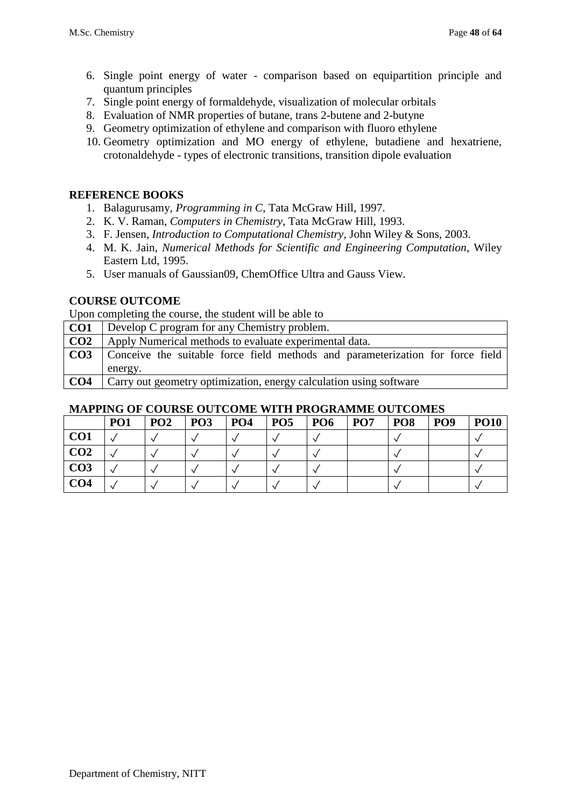- 6. Single point energy of water comparison based on equipartition principle and quantum principles
- 7. Single point energy of formaldehyde, visualization of molecular orbitals
- 8. Evaluation of NMR properties of butane, trans 2-butene and 2-butyne
- 9. Geometry optimization of ethylene and comparison with fluoro ethylene
- 10. Geometry optimization and MO energy of ethylene, butadiene and hexatriene, crotonaldehyde - types of electronic transitions, transition dipole evaluation

#### **REFERENCE BOOKS**

- 1. Balagurusamy, *Programming in C*, Tata McGraw Hill, 1997.
- 2. K. V. Raman, *Computers in Chemistry*, Tata McGraw Hill, 1993.
- 3. F. Jensen, *Introduction to Computational Chemistry*, John Wiley & Sons, 2003.
- 4. M. K. Jain, *Numerical Methods for Scientific and Engineering Computation*, Wiley Eastern Ltd, 1995.
- 5. User manuals of Gaussian09, ChemOffice Ultra and Gauss View.

### **COURSE OUTCOME**

Upon completing the course, the student will be able to

**CO1** Develop C program for any Chemistry problem. **CO2** Apply Numerical methods to evaluate experimental data. **CO3** Conceive the suitable force field methods and parameterization for force field energy. **CO4** Carry out geometry optimization, energy calculation using software

|                 | MALLING OF COUNSE OUTCOME WITH FROGRAMME OUTCOMES |                 |                 |                 |            |                 |                 |                 |                 |             |  |  |
|-----------------|---------------------------------------------------|-----------------|-----------------|-----------------|------------|-----------------|-----------------|-----------------|-----------------|-------------|--|--|
|                 | PO <sub>1</sub>                                   | PO <sub>2</sub> | PO <sub>3</sub> | PO <sub>4</sub> | <b>PO5</b> | PO <sub>6</sub> | PO <sub>7</sub> | PO <sub>8</sub> | PO <sub>9</sub> | <b>PO10</b> |  |  |
| CO <sub>1</sub> |                                                   |                 |                 |                 |            |                 |                 |                 |                 |             |  |  |
| CO <sub>2</sub> |                                                   |                 |                 |                 |            |                 |                 |                 |                 |             |  |  |
| CO <sub>3</sub> |                                                   |                 |                 |                 |            |                 |                 |                 |                 |             |  |  |
| CO4             |                                                   |                 |                 |                 |            |                 |                 |                 |                 |             |  |  |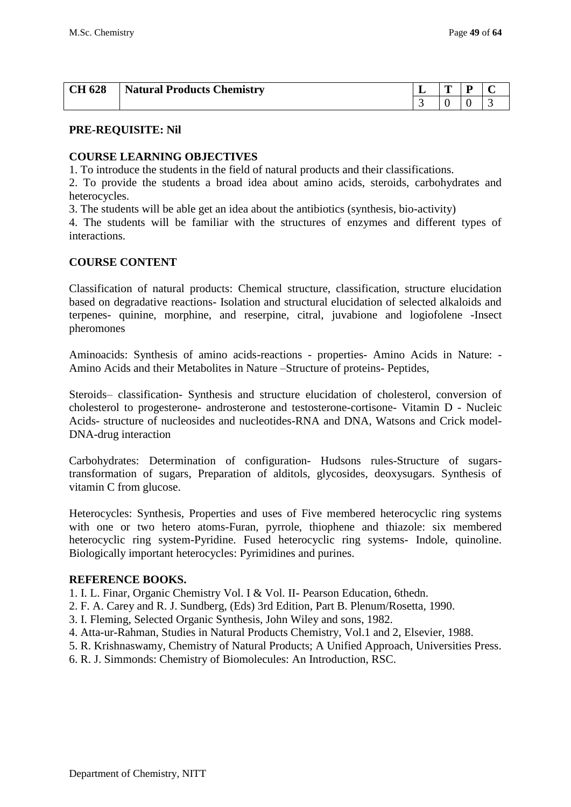| <b>CH 628</b> | <b>Natural Products Chemistry</b> | ∸ | m<br>- |  |
|---------------|-----------------------------------|---|--------|--|
|               |                                   |   |        |  |

#### **COURSE LEARNING OBJECTIVES**

1. To introduce the students in the field of natural products and their classifications.

2. To provide the students a broad idea about amino acids, steroids, carbohydrates and heterocycles.

3. The students will be able get an idea about the antibiotics (synthesis, bio-activity)

4. The students will be familiar with the structures of enzymes and different types of interactions.

#### **COURSE CONTENT**

Classification of natural products: Chemical structure, classification, structure elucidation based on degradative reactions- Isolation and structural elucidation of selected alkaloids and terpenes- quinine, morphine, and reserpine, citral, juvabione and logiofolene -Insect pheromones

Aminoacids: Synthesis of amino acids-reactions - properties- Amino Acids in Nature: - Amino Acids and their Metabolites in Nature –Structure of proteins- Peptides,

Steroids– classification- Synthesis and structure elucidation of cholesterol, conversion of cholesterol to progesterone- androsterone and testosterone-cortisone- Vitamin D - Nucleic Acids- structure of nucleosides and nucleotides-RNA and DNA, Watsons and Crick model-DNA-drug interaction

Carbohydrates: Determination of configuration- Hudsons rules-Structure of sugarstransformation of sugars, Preparation of alditols, glycosides, deoxysugars. Synthesis of vitamin C from glucose.

Heterocycles: Synthesis, Properties and uses of Five membered heterocyclic ring systems with one or two hetero atoms-Furan, pyrrole, thiophene and thiazole: six membered heterocyclic ring system-Pyridine. Fused heterocyclic ring systems- Indole, quinoline. Biologically important heterocycles: Pyrimidines and purines.

#### **REFERENCE BOOKS.**

1. I. L. Finar, Organic Chemistry Vol. I & Vol. II- Pearson Education, 6thedn.

- 2. F. A. Carey and R. J. Sundberg, (Eds) 3rd Edition, Part B. Plenum/Rosetta, 1990.
- 3. I. Fleming, Selected Organic Synthesis, John Wiley and sons, 1982.
- 4. Atta-ur-Rahman, Studies in Natural Products Chemistry, Vol.1 and 2, Elsevier, 1988.
- 5. R. Krishnaswamy, Chemistry of Natural Products; A Unified Approach, Universities Press.
- 6. R. J. Simmonds: Chemistry of Biomolecules: An Introduction, RSC.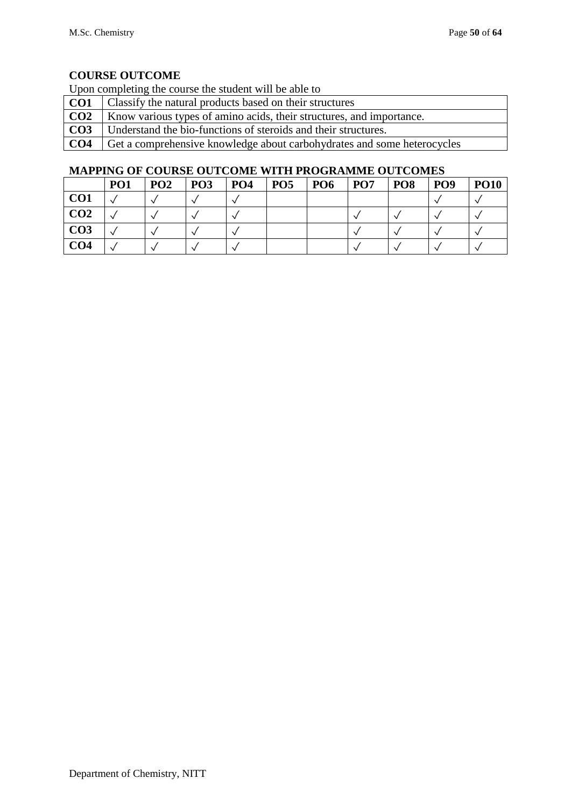Upon completing the course the student will be able to

|                 | <b>CO1</b>   Classify the natural products based on their structures              |
|-----------------|-----------------------------------------------------------------------------------|
|                 | <b>CO2</b>   Know various types of amino acids, their structures, and importance. |
| CO <sub>3</sub> | Understand the bio-functions of steroids and their structures.                    |
| CO <sub>4</sub> | Get a comprehensive knowledge about carbohydrates and some heterocycles           |

|                 | PO <sub>1</sub> | PO <sub>2</sub> | PO <sub>3</sub> | <b>PO4</b> | PO <sub>5</sub> | PO <sub>6</sub> | PO <sub>7</sub> | PO <sub>8</sub> | PO <sub>9</sub> | <b>PO10</b> |
|-----------------|-----------------|-----------------|-----------------|------------|-----------------|-----------------|-----------------|-----------------|-----------------|-------------|
| CO <sub>1</sub> |                 |                 |                 |            |                 |                 |                 |                 |                 |             |
| CO <sub>2</sub> |                 |                 |                 |            |                 |                 |                 |                 |                 |             |
| CO <sub>3</sub> |                 |                 |                 |            |                 |                 |                 |                 |                 |             |
| CO <sub>4</sub> |                 |                 |                 |            |                 |                 |                 |                 |                 |             |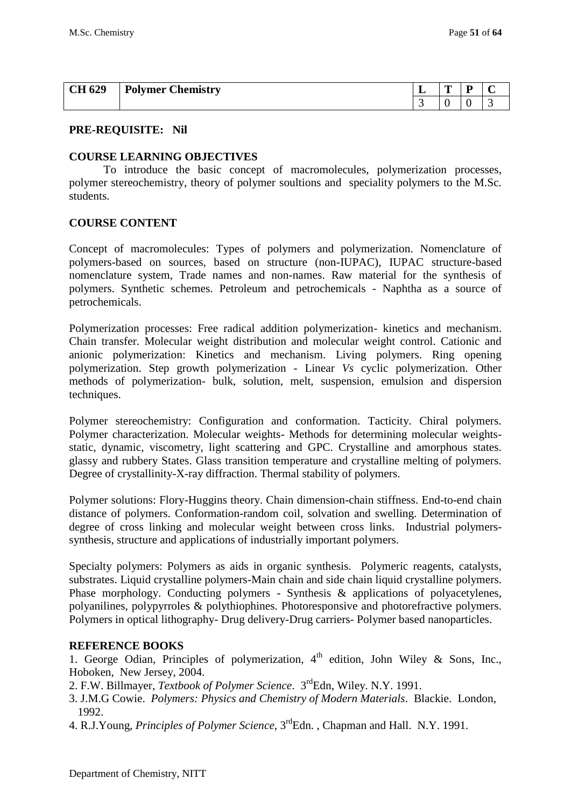| 1629<br>CН | $\sim$<br><b>Polymer</b> 0<br>Chemistrv | . . | m<br>$\overline{\phantom{a}}$ | D |  |
|------------|-----------------------------------------|-----|-------------------------------|---|--|
|            |                                         |     |                               |   |  |

#### **COURSE LEARNING OBJECTIVES**

To introduce the basic concept of macromolecules, polymerization processes, polymer stereochemistry, theory of polymer soultions and speciality polymers to the M.Sc. students.

#### **COURSE CONTENT**

Concept of macromolecules: Types of polymers and polymerization. Nomenclature of polymers-based on sources, based on structure (non-IUPAC), IUPAC structure-based nomenclature system, Trade names and non-names. Raw material for the synthesis of polymers. Synthetic schemes. Petroleum and petrochemicals - Naphtha as a source of petrochemicals.

Polymerization processes: Free radical addition polymerization- kinetics and mechanism. Chain transfer. Molecular weight distribution and molecular weight control. Cationic and anionic polymerization: Kinetics and mechanism. Living polymers. Ring opening polymerization. Step growth polymerization - Linear *Vs* cyclic polymerization. Other methods of polymerization- bulk, solution, melt, suspension, emulsion and dispersion techniques.

Polymer stereochemistry: Configuration and conformation. Tacticity. Chiral polymers. Polymer characterization. Molecular weights- Methods for determining molecular weightsstatic, dynamic, viscometry, light scattering and GPC. Crystalline and amorphous states. glassy and rubbery States. Glass transition temperature and crystalline melting of polymers. Degree of crystallinity-X-ray diffraction. Thermal stability of polymers.

Polymer solutions: Flory-Huggins theory. Chain dimension-chain stiffness. End-to-end chain distance of polymers. Conformation-random coil, solvation and swelling. Determination of degree of cross linking and molecular weight between cross links. Industrial polymerssynthesis, structure and applications of industrially important polymers.

Specialty polymers: Polymers as aids in organic synthesis. Polymeric reagents, catalysts, substrates. Liquid crystalline polymers-Main chain and side chain liquid crystalline polymers. Phase morphology. Conducting polymers - Synthesis & applications of polyacetylenes, polyanilines, polypyrroles & polythiophines. Photoresponsive and photorefractive polymers. Polymers in optical lithography- Drug delivery-Drug carriers- Polymer based nanoparticles.

#### **REFERENCE BOOKS**

1. George Odian, Principles of polymerization,  $4<sup>th</sup>$  edition, John Wiley & Sons, Inc., Hoboken, New Jersey, 2004.

- 2. F.W. Billmayer, *Textbook of Polymer Science*. 3rdEdn, Wiley. N.Y. 1991.
- 3. J.M.G Cowie. *Polymers: Physics and Chemistry of Modern Materials*. Blackie. London, 1992.
- 4. R.J.Young, *Principles of Polymer Science*, 3rdEdn. , Chapman and Hall. N.Y. 1991.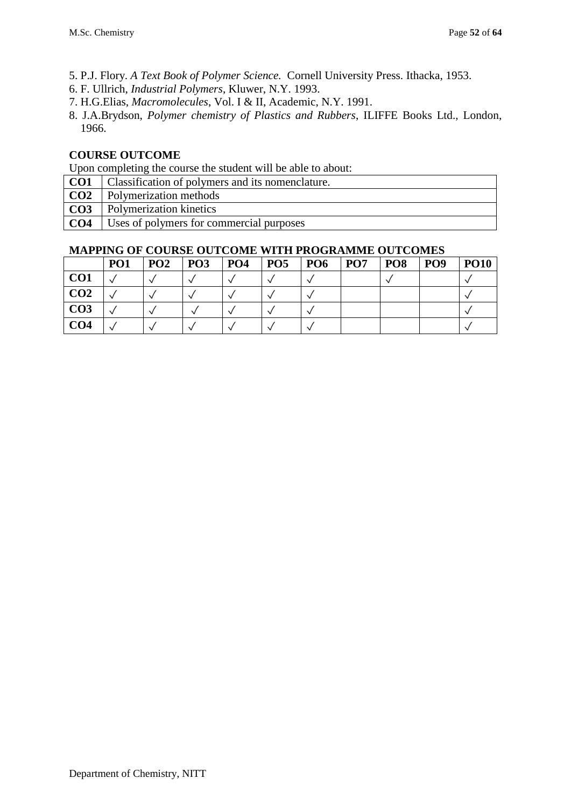- 5. P.J. Flory. *A Text Book of Polymer Science.* Cornell University Press. Ithacka, 1953.
- 6. F. Ullrich, *Industrial Polymers*, Kluwer, N.Y. 1993.
- 7. H.G.Elias, *Macromolecules*, Vol. I & II, Academic, N.Y. 1991.
- 8. J.A.Brydson, *Polymer chemistry of Plastics and Rubbers*, ILIFFE Books Ltd., London, 1966.

Upon completing the course the student will be able to about:

- **CO1** Classification of polymers and its nomenclature.
- **CO2** Polymerization methods
- **CO3** Polymerization kinetics
- **CO4** Uses of polymers for commercial purposes

|                 | PO <sub>1</sub> | PO <sub>2</sub> | PO <sub>3</sub> | <b>PO4</b> | PO <sub>5</sub> | PO <sub>6</sub> | PO <sub>7</sub> | <b>PO8</b> | PO <sub>9</sub> | <b>PO10</b> |
|-----------------|-----------------|-----------------|-----------------|------------|-----------------|-----------------|-----------------|------------|-----------------|-------------|
| CO <sub>1</sub> |                 |                 |                 |            |                 |                 |                 |            |                 |             |
| CO <sub>2</sub> |                 |                 |                 |            |                 |                 |                 |            |                 |             |
| CO <sub>3</sub> |                 |                 |                 |            |                 |                 |                 |            |                 |             |
| CO <sub>4</sub> |                 |                 |                 |            |                 |                 |                 |            |                 |             |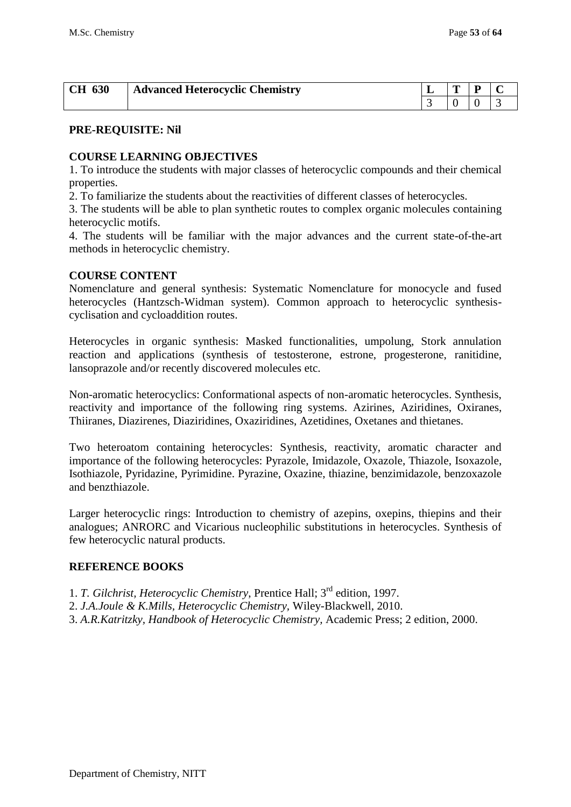| 630<br><b>CH</b> | <b>Advanced Heterocyclic Chemistry</b> | m |  |
|------------------|----------------------------------------|---|--|
|                  |                                        |   |  |

#### **COURSE LEARNING OBJECTIVES**

1. To introduce the students with major classes of heterocyclic compounds and their chemical properties.

2. To familiarize the students about the reactivities of different classes of heterocycles.

3. The students will be able to plan synthetic routes to complex organic molecules containing heterocyclic motifs.

4. The students will be familiar with the major advances and the current state-of-the-art methods in heterocyclic chemistry.

#### **COURSE CONTENT**

Nomenclature and general synthesis: Systematic Nomenclature for monocycle and fused heterocycles (Hantzsch-Widman system). Common approach to heterocyclic synthesiscyclisation and cycloaddition routes.

Heterocycles in organic synthesis: Masked functionalities, umpolung, Stork annulation reaction and applications (synthesis of testosterone, estrone, progesterone, ranitidine, lansoprazole and/or recently discovered molecules etc.

Non-aromatic heterocyclics: Conformational aspects of non-aromatic heterocycles. Synthesis, reactivity and importance of the following ring systems. Azirines, Aziridines, Oxiranes, Thiiranes, Diazirenes, Diaziridines, Oxaziridines, Azetidines, Oxetanes and thietanes.

Two heteroatom containing heterocycles: Synthesis, reactivity, aromatic character and importance of the following heterocycles: Pyrazole, Imidazole, Oxazole, Thiazole, Isoxazole, Isothiazole, Pyridazine, Pyrimidine. Pyrazine, Oxazine, thiazine, benzimidazole, benzoxazole and benzthiazole.

Larger heterocyclic rings: Introduction to chemistry of azepins, oxepins, thiepins and their analogues; ANRORC and Vicarious nucleophilic substitutions in heterocycles. Synthesis of few heterocyclic natural products.

#### **REFERENCE BOOKS**

- 1. *T. Gilchrist, Heterocyclic Chemistry*, Prentice Hall; 3rd edition, 1997.
- 2. *J.A.Joule & K.Mills, Heterocyclic Chemistry,* Wiley-Blackwell, 2010.
- 3. *A.R.Katritzky, Handbook of Heterocyclic Chemistry,* Academic Press; 2 edition, 2000.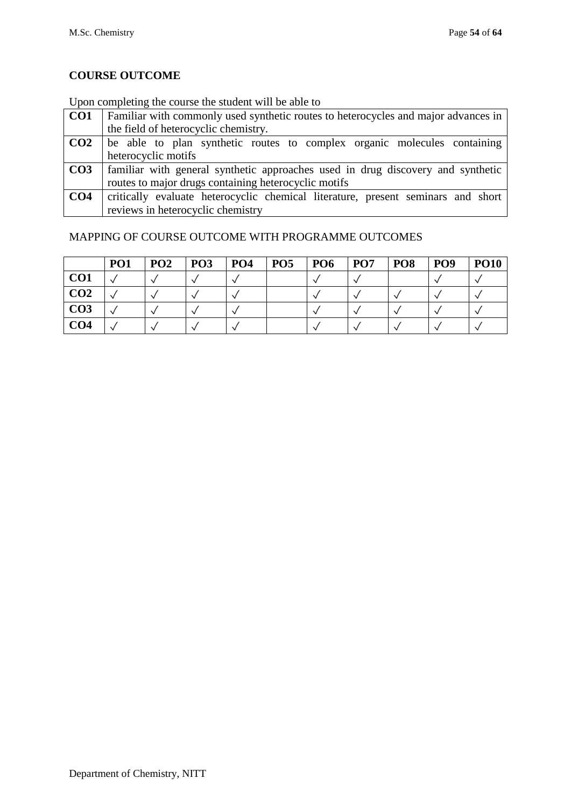## Upon completing the course the student will be able to

| CO <sub>1</sub> | Familiar with commonly used synthetic routes to heterocycles and major advances in |
|-----------------|------------------------------------------------------------------------------------|
|                 | the field of heterocyclic chemistry.                                               |
| CO <sub>2</sub> | be able to plan synthetic routes to complex organic molecules containing           |
|                 | heterocyclic motifs                                                                |
| CO <sub>3</sub> | al familiar with general synthetic approaches used in drug discovery and synthetic |
|                 | routes to major drugs containing heterocyclic motifs                               |
| CO <sub>4</sub> | critically evaluate heterocyclic chemical literature, present seminars and short   |
|                 | reviews in heterocyclic chemistry                                                  |

|                 | PO <sub>1</sub> | PO <sub>2</sub> | PO <sub>3</sub> | PO <sub>4</sub> | PO <sub>5</sub> | PO <sub>6</sub> | PO <sub>7</sub> | PO <sub>8</sub> | PO <sub>9</sub> | <b>PO10</b> |
|-----------------|-----------------|-----------------|-----------------|-----------------|-----------------|-----------------|-----------------|-----------------|-----------------|-------------|
| CO <sub>1</sub> |                 |                 |                 |                 |                 |                 |                 |                 |                 |             |
| CO <sub>2</sub> |                 |                 |                 |                 |                 |                 |                 |                 |                 |             |
| CO <sub>3</sub> |                 |                 |                 |                 |                 |                 |                 |                 |                 |             |
| CO <sub>4</sub> |                 |                 |                 |                 |                 |                 |                 |                 |                 |             |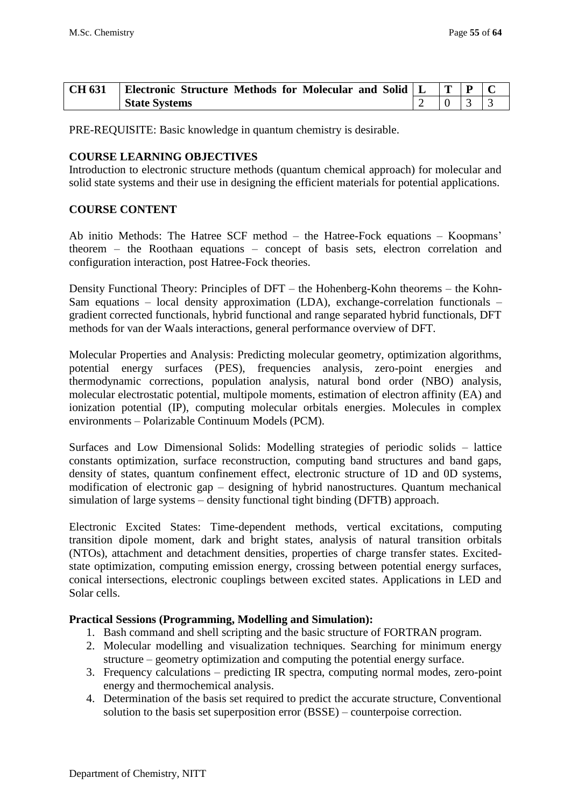| <b>CH 631</b> | Electronic Structure Methods for Molecular and Solid   L | $ T $ $P$ |  |
|---------------|----------------------------------------------------------|-----------|--|
|               | <b>State Systems</b>                                     |           |  |

PRE-REQUISITE: Basic knowledge in quantum chemistry is desirable.

#### **COURSE LEARNING OBJECTIVES**

Introduction to electronic structure methods (quantum chemical approach) for molecular and solid state systems and their use in designing the efficient materials for potential applications.

#### **COURSE CONTENT**

Ab initio Methods: The Hatree SCF method – the Hatree-Fock equations – Koopmans' theorem – the Roothaan equations – concept of basis sets, electron correlation and configuration interaction, post Hatree-Fock theories.

Density Functional Theory: Principles of DFT – the Hohenberg-Kohn theorems – the Kohn-Sam equations – local density approximation (LDA), exchange-correlation functionals – gradient corrected functionals, hybrid functional and range separated hybrid functionals, DFT methods for van der Waals interactions, general performance overview of DFT.

Molecular Properties and Analysis: Predicting molecular geometry, optimization algorithms, potential energy surfaces (PES), frequencies analysis, zero-point energies and thermodynamic corrections, population analysis, natural bond order (NBO) analysis, molecular electrostatic potential, multipole moments, estimation of electron affinity (EA) and ionization potential (IP), computing molecular orbitals energies. Molecules in complex environments – Polarizable Continuum Models (PCM).

Surfaces and Low Dimensional Solids: Modelling strategies of periodic solids – lattice constants optimization, surface reconstruction, computing band structures and band gaps, density of states, quantum confinement effect, electronic structure of 1D and 0D systems, modification of electronic gap – designing of hybrid nanostructures. Quantum mechanical simulation of large systems – density functional tight binding (DFTB) approach.

Electronic Excited States: Time-dependent methods, vertical excitations, computing transition dipole moment, dark and bright states, analysis of natural transition orbitals (NTOs), attachment and detachment densities, properties of charge transfer states. Excitedstate optimization, computing emission energy, crossing between potential energy surfaces, conical intersections, electronic couplings between excited states. Applications in LED and Solar cells.

#### **Practical Sessions (Programming, Modelling and Simulation):**

- 1. Bash command and shell scripting and the basic structure of FORTRAN program.
- 2. Molecular modelling and visualization techniques. Searching for minimum energy structure – geometry optimization and computing the potential energy surface.
- 3. Frequency calculations predicting IR spectra, computing normal modes, zero-point energy and thermochemical analysis.
- 4. Determination of the basis set required to predict the accurate structure, Conventional solution to the basis set superposition error (BSSE) – counterpoise correction.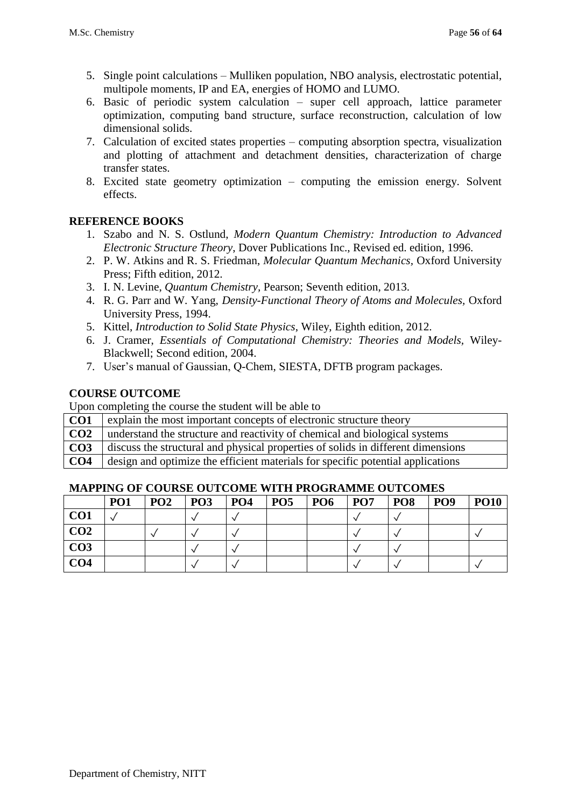- 5. Single point calculations Mulliken population, NBO analysis, electrostatic potential, multipole moments, IP and EA, energies of HOMO and LUMO.
- 6. Basic of periodic system calculation super cell approach, lattice parameter optimization, computing band structure, surface reconstruction, calculation of low dimensional solids.
- 7. Calculation of excited states properties computing absorption spectra, visualization and plotting of attachment and detachment densities, characterization of charge transfer states.
- 8. Excited state geometry optimization computing the emission energy. Solvent effects.

### **REFERENCE BOOKS**

- 1. Szabo and N. S. Ostlund, *Modern Quantum Chemistry: Introduction to Advanced Electronic Structure Theory*, Dover Publications Inc., Revised ed. edition, 1996.
- 2. P. W. Atkins and R. S. Friedman, *Molecular Quantum Mechanics,* Oxford University Press; Fifth edition, 2012.
- 3. I. N. Levine, *Quantum Chemistry,* Pearson; Seventh edition, 2013.
- 4. R. G. Parr and W. Yang, *Density-Functional Theory of Atoms and Molecules,* Oxford University Press, 1994.
- 5. Kittel, *Introduction to Solid State Physics*, Wiley, Eighth edition, 2012.
- 6. J. Cramer, *Essentials of Computational Chemistry: Theories and Models,* Wiley-Blackwell; Second edition, 2004.
- 7. User's manual of Gaussian, Q-Chem, SIESTA, DFTB program packages.

### **COURSE OUTCOME**

Upon completing the course the student will be able to

| CO <sub>1</sub> | explain the most important concepts of electronic structure theory               |
|-----------------|----------------------------------------------------------------------------------|
| CO <sub>2</sub> | understand the structure and reactivity of chemical and biological systems       |
| CO <sub>3</sub> | discuss the structural and physical properties of solids in different dimensions |
| CO <sub>4</sub> | design and optimize the efficient materials for specific potential applications  |

|                 | PO <sub>1</sub> | PO <sub>2</sub> | $P_{O3}$ | <b>PO4</b> | <b>PO5</b> | <b>PO6</b> | PO <sub>7</sub> | POS | PO <sub>9</sub> | <b>PO10</b> |
|-----------------|-----------------|-----------------|----------|------------|------------|------------|-----------------|-----|-----------------|-------------|
| CO <sub>1</sub> |                 |                 |          |            |            |            |                 |     |                 |             |
| CO <sub>2</sub> |                 |                 |          |            |            |            |                 |     |                 |             |
| CO <sub>3</sub> |                 |                 |          |            |            |            |                 |     |                 |             |
| CO <sub>4</sub> |                 |                 |          |            |            |            |                 |     |                 |             |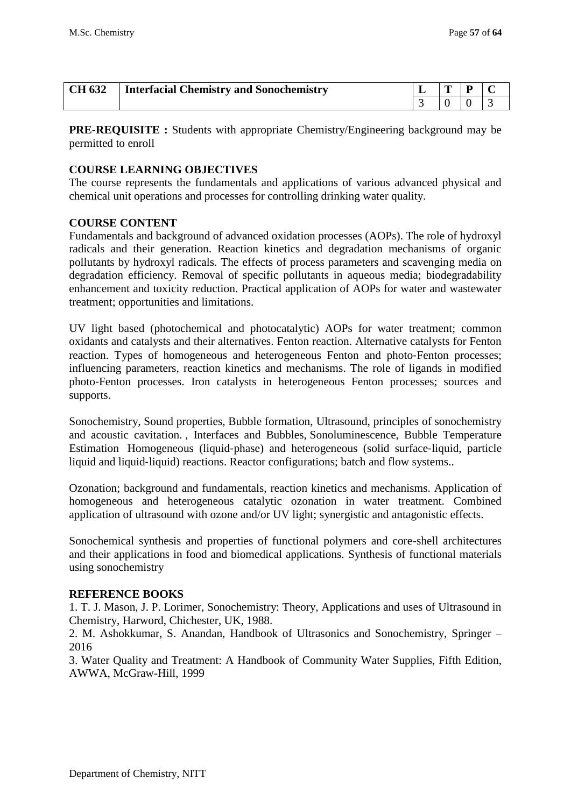| <b>CH 632</b> | Interfacial Chemistry and Sonochemistry | m |  |
|---------------|-----------------------------------------|---|--|
|               |                                         |   |  |

**PRE-REQUISITE :** Students with appropriate Chemistry/Engineering background may be permitted to enroll

#### **COURSE LEARNING OBJECTIVES**

The course represents the fundamentals and applications of various advanced physical and chemical unit operations and processes for controlling drinking water quality.

#### **COURSE CONTENT**

Fundamentals and background of advanced oxidation processes (AOPs). The role of hydroxyl radicals and their generation. Reaction kinetics and degradation mechanisms of organic pollutants by hydroxyl radicals. The effects of process parameters and scavenging media on degradation efficiency. Removal of specific pollutants in aqueous media; biodegradability enhancement and toxicity reduction. Practical application of AOPs for water and wastewater treatment; opportunities and limitations.

UV light based (photochemical and photocatalytic) AOPs for water treatment; common oxidants and catalysts and their alternatives. Fenton reaction. Alternative catalysts for Fenton reaction. Types of homogeneous and heterogeneous Fenton and photo‐Fenton processes; influencing parameters, reaction kinetics and mechanisms. The role of ligands in modified photo‐Fenton processes. Iron catalysts in heterogeneous Fenton processes; sources and supports.

Sonochemistry, Sound properties, Bubble formation, Ultrasound, principles of sonochemistry and acoustic cavitation. , Interfaces and Bubbles, Sonoluminescence, Bubble Temperature Estimation Homogeneous (liquid‐phase) and heterogeneous (solid surface‐liquid, particle liquid and liquid-liquid) reactions. Reactor configurations; batch and flow systems..

Ozonation; background and fundamentals, reaction kinetics and mechanisms. Application of homogeneous and heterogeneous catalytic ozonation in water treatment. Combined application of ultrasound with ozone and/or UV light; synergistic and antagonistic effects.

Sonochemical synthesis and properties of functional polymers and core-shell architectures and their applications in food and biomedical applications. Synthesis of functional materials using sonochemistry

#### **REFERENCE BOOKS**

1. T. J. Mason, J. P. Lorimer, Sonochemistry: Theory, Applications and uses of Ultrasound in Chemistry, Harword, Chichester, UK, 1988.

2. M. Ashokkumar, S. Anandan, Handbook of Ultrasonics and Sonochemistry, Springer – 2016

3. Water Quality and Treatment: A Handbook of Community Water Supplies, Fifth Edition, AWWA, McGraw-Hill, 1999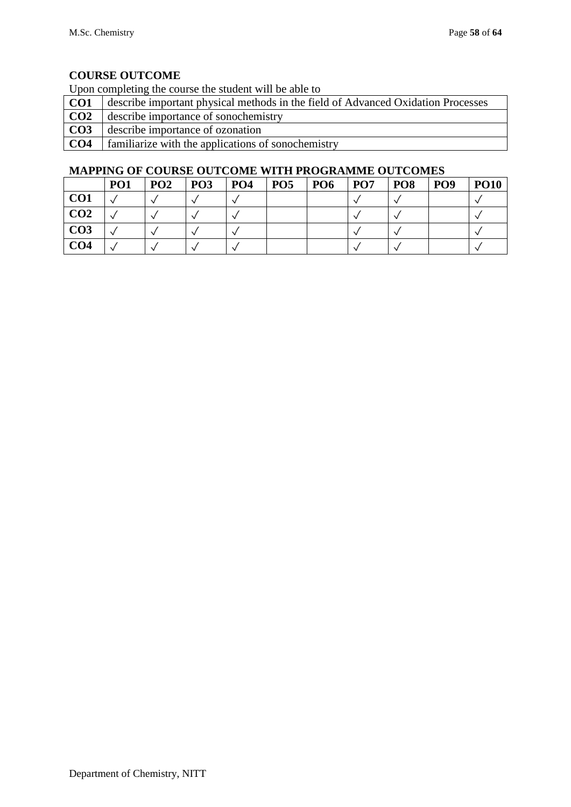Upon completing the course the student will be able to

| CO <sub>1</sub> | describe important physical methods in the field of Advanced Oxidation Processes |
|-----------------|----------------------------------------------------------------------------------|
| CO <sub>2</sub> | describe importance of sonochemistry                                             |
| CO <sub>3</sub> | describe importance of ozonation                                                 |
| CO <sub>4</sub> | familiarize with the applications of sonochemistry                               |

|                 | PO <sub>1</sub> | PO <sub>2</sub> | PO <sub>3</sub> | PO <sub>4</sub> | PO <sub>5</sub> | PO <sub>6</sub> | PO <sub>7</sub> | PO <sub>8</sub> | PO <sub>9</sub> | <b>PO10</b> |
|-----------------|-----------------|-----------------|-----------------|-----------------|-----------------|-----------------|-----------------|-----------------|-----------------|-------------|
| CO <sub>1</sub> |                 |                 |                 |                 |                 |                 |                 |                 |                 |             |
| CO <sub>2</sub> |                 |                 |                 |                 |                 |                 |                 |                 |                 |             |
| CO <sub>3</sub> |                 |                 |                 |                 |                 |                 |                 |                 |                 |             |
| CO <sub>4</sub> |                 |                 |                 |                 |                 |                 |                 |                 |                 |             |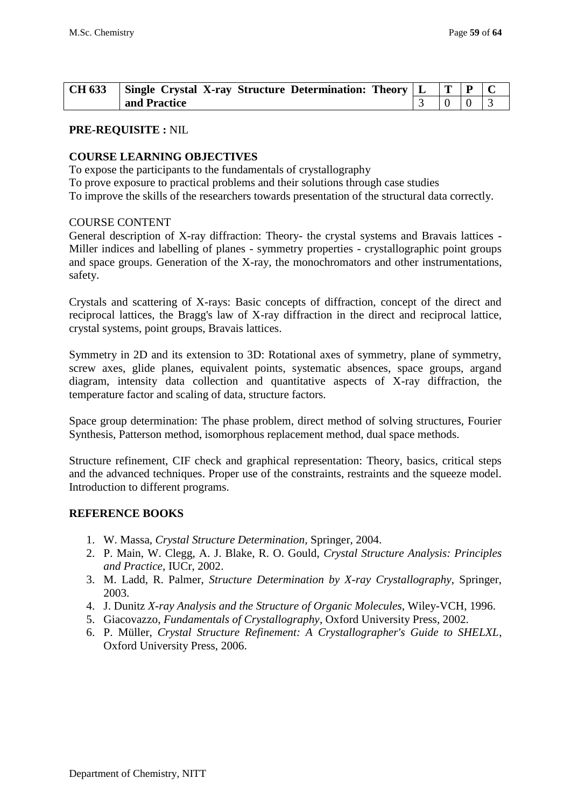| <b>CH 633</b> | $\vert$ Single Crystal X-ray Structure Determination: Theory $\vert$ L |  |  |
|---------------|------------------------------------------------------------------------|--|--|
|               | and Practice                                                           |  |  |

#### **PRE-REQUISITE :** NIL

#### **COURSE LEARNING OBJECTIVES**

To expose the participants to the fundamentals of crystallography

To prove exposure to practical problems and their solutions through case studies

To improve the skills of the researchers towards presentation of the structural data correctly.

#### COURSE CONTENT

General description of X-ray diffraction: Theory- the crystal systems and Bravais lattices - Miller indices and labelling of planes - symmetry properties - crystallographic point groups and space groups. Generation of the X-ray, the monochromators and other instrumentations, safety.

Crystals and scattering of X-rays: Basic concepts of diffraction, concept of the direct and reciprocal lattices, the Bragg's law of X-ray diffraction in the direct and reciprocal lattice, crystal systems, point groups, Bravais lattices.

Symmetry in 2D and its extension to 3D: Rotational axes of symmetry, plane of symmetry, screw axes, glide planes, equivalent points, systematic absences, space groups, argand diagram, intensity data collection and quantitative aspects of X-ray diffraction, the temperature factor and scaling of data, structure factors.

Space group determination: The phase problem, direct method of solving structures, Fourier Synthesis, Patterson method, isomorphous replacement method, dual space methods.

Structure refinement, CIF check and graphical representation: Theory, basics, critical steps and the advanced techniques. Proper use of the constraints, restraints and the squeeze model. Introduction to different programs.

#### **REFERENCE BOOKS**

- 1. W. Massa, *Crystal Structure Determination,* Springer, 2004.
- 2. P. Main, W. Clegg, A. J. Blake, R. O. Gould, *Crystal Structure Analysis: Principles and Practice*, IUCr, 2002.
- 3. M. Ladd, R. Palmer, *Structure Determination by X-ray Crystallography*, Springer, 2003.
- 4. J. Dunitz *X-ray Analysis and the Structure of Organic Molecules*, Wiley-VCH, 1996.
- 5. Giacovazzo, *Fundamentals of Crystallography*, Oxford University Press, 2002.
- 6. P. Müller, *Crystal Structure Refinement: A Crystallographer's Guide to SHELXL*, Oxford University Press, 2006.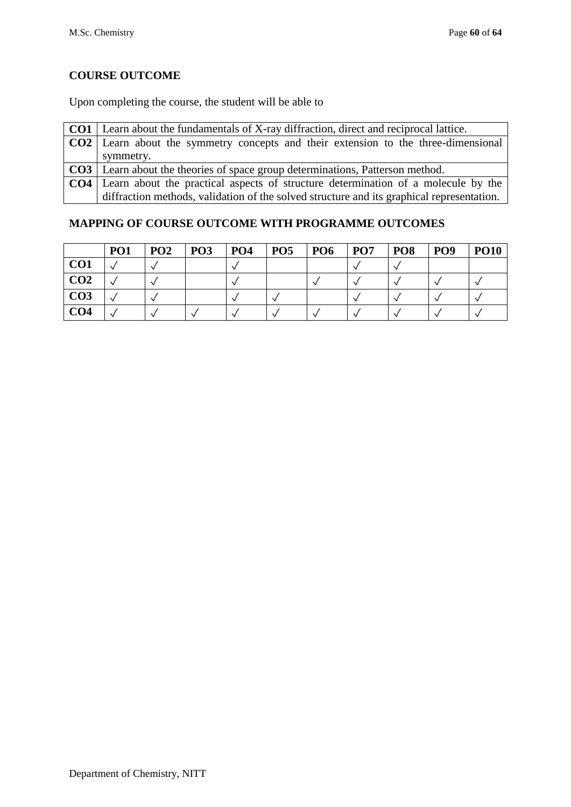Upon completing the course, the student will be able to

| <b>CO1</b> Learn about the fundamentals of X-ray diffraction, direct and reciprocal lattice. |
|----------------------------------------------------------------------------------------------|
| <b>CO2</b>   Learn about the symmetry concepts and their extension to the three-dimensional  |
| symmetry.                                                                                    |
| <b>CO3</b>   Learn about the theories of space group determinations, Patterson method.       |
| <b>CO4</b> Learn about the practical aspects of structure determination of a molecule by the |
| diffraction methods, validation of the solved structure and its graphical representation.    |

|                 | <b>PO1</b> | PO <sub>2</sub> | PO <sub>3</sub> | PO <sub>4</sub> | PO <sub>5</sub> | PO <sub>6</sub> | PO <sub>7</sub> | PO <sub>8</sub> | PO <sub>9</sub> | <b>PO10</b> |
|-----------------|------------|-----------------|-----------------|-----------------|-----------------|-----------------|-----------------|-----------------|-----------------|-------------|
| CO <sub>1</sub> |            |                 |                 |                 |                 |                 |                 |                 |                 |             |
| CO <sub>2</sub> |            |                 |                 |                 |                 |                 |                 |                 |                 |             |
| CO <sub>3</sub> |            |                 |                 |                 |                 |                 |                 |                 |                 |             |
| CO <sub>4</sub> |            |                 |                 |                 |                 |                 |                 |                 |                 |             |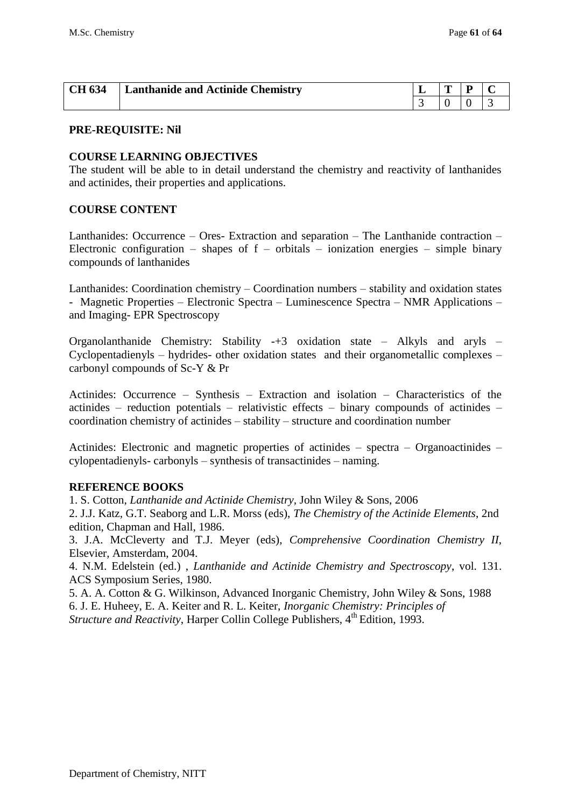| <b>CH 634</b> | <b>Lanthanide and Actinide Chemistry</b> | m | n |  |
|---------------|------------------------------------------|---|---|--|
|               |                                          |   |   |  |

#### **COURSE LEARNING OBJECTIVES**

The student will be able to in detail understand the chemistry and reactivity of lanthanides and actinides, their properties and applications.

#### **COURSE CONTENT**

Lanthanides: Occurrence – Ores- Extraction and separation – The Lanthanide contraction – Electronic configuration – shapes of  $f$  – orbitals – ionization energies – simple binary compounds of lanthanides

Lanthanides: Coordination chemistry – Coordination numbers – stability and oxidation states - Magnetic Properties – Electronic Spectra – Luminescence Spectra – NMR Applications – and Imaging- EPR Spectroscopy

Organolanthanide Chemistry: Stability -+3 oxidation state – Alkyls and aryls – Cyclopentadienyls – hydrides- other oxidation states and their organometallic complexes – carbonyl compounds of Sc-Y & Pr

Actinides: Occurrence – Synthesis – Extraction and isolation – Characteristics of the actinides – reduction potentials – relativistic effects – binary compounds of actinides – coordination chemistry of actinides – stability – structure and coordination number

Actinides: Electronic and magnetic properties of actinides – spectra – Organoactinides – cylopentadienyls- carbonyls – synthesis of transactinides – naming.

#### **REFERENCE BOOKS**

1. S. Cotton, *Lanthanide and Actinide Chemistry,* John Wiley & Sons, 2006

2. J.J. Katz, G.T. Seaborg and L.R. Morss (eds), *The Chemistry of the Actinide Elements*, 2nd edition, Chapman and Hall, 1986.

3. J.A. McCleverty and T.J. Meyer (eds), *Comprehensive Coordination Chemistry II*, Elsevier, Amsterdam, 2004.

4. N.M. Edelstein (ed.) , *Lanthanide and Actinide Chemistry and Spectroscopy*, vol. 131. ACS Symposium Series, 1980.

5. A. A. Cotton & G. Wilkinson, Advanced Inorganic Chemistry, John Wiley & Sons, 1988 6. J. E. Huheey, E. A. Keiter and R. L. Keiter, *Inorganic Chemistry: Principles of Structure and Reactivity*, Harper Collin College Publishers, 4<sup>th</sup> Edition, 1993.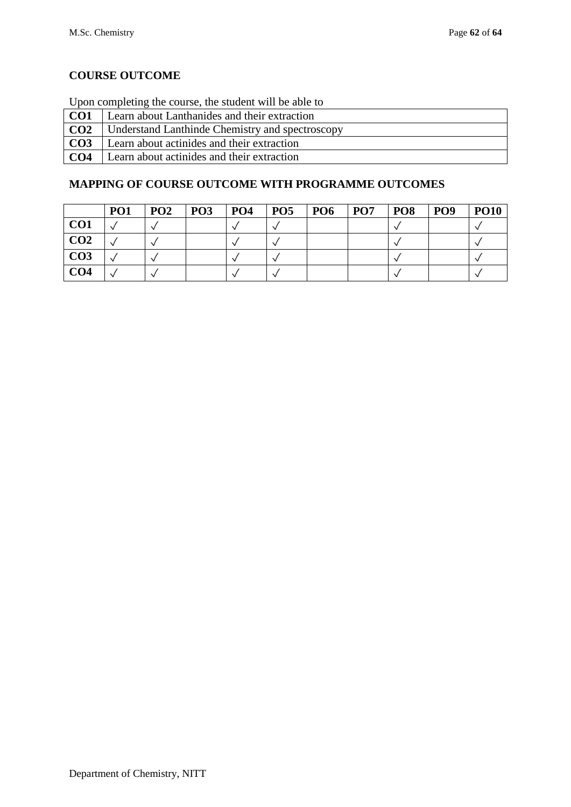Upon completing the course, the student will be able to

| CO1              | Learn about Lanthanides and their extraction    |
|------------------|-------------------------------------------------|
| $\overline{C}O2$ | Understand Lanthinde Chemistry and spectroscopy |
| CO <sub>3</sub>  | Learn about actinides and their extraction      |
| CO <sub>4</sub>  | Learn about actinides and their extraction      |

|                 | <b>PO1</b> | PO2 | PO <sub>3</sub> | <b>PO4</b> | <b>PO5</b> | PO <sub>6</sub> | PO <sub>7</sub> | <b>PO8</b> | PO <sub>9</sub> | <b>PO10</b> |
|-----------------|------------|-----|-----------------|------------|------------|-----------------|-----------------|------------|-----------------|-------------|
| CO <sub>1</sub> |            |     |                 |            |            |                 |                 |            |                 |             |
| CO <sub>2</sub> |            |     |                 |            |            |                 |                 |            |                 |             |
| CO <sub>3</sub> |            |     |                 |            |            |                 |                 |            |                 |             |
| CO <sub>4</sub> |            |     |                 |            |            |                 |                 |            |                 |             |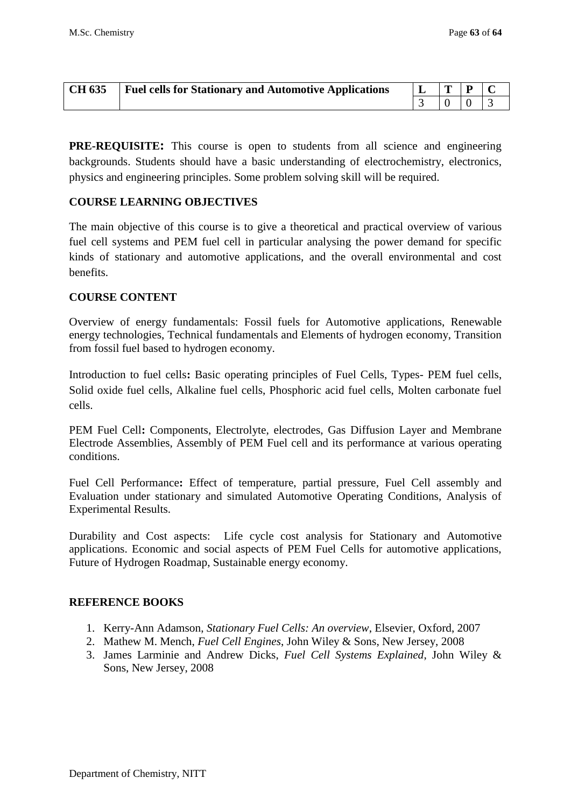| <b>CH 635</b> | <b>Fuel cells for Stationary and Automotive Applications</b> |  |  |
|---------------|--------------------------------------------------------------|--|--|
|               |                                                              |  |  |

**PRE-REQUISITE:** This course is open to students from all science and engineering backgrounds. Students should have a basic understanding of electrochemistry, electronics, physics and engineering principles. Some problem solving skill will be required.

#### **COURSE LEARNING OBJECTIVES**

The main objective of this course is to give a theoretical and practical overview of various fuel cell systems and PEM fuel cell in particular analysing the power demand for specific kinds of stationary and automotive applications, and the overall environmental and cost benefits.

### **COURSE CONTENT**

Overview of energy fundamentals: Fossil fuels for Automotive applications, Renewable energy technologies, Technical fundamentals and Elements of hydrogen economy, Transition from fossil fuel based to hydrogen economy.

Introduction to fuel cells**:** Basic operating principles of Fuel Cells, Types- PEM fuel cells, Solid oxide fuel cells, Alkaline fuel cells, Phosphoric acid fuel cells, Molten carbonate fuel cells.

PEM Fuel Cell**:** Components, Electrolyte, electrodes, Gas Diffusion Layer and Membrane Electrode Assemblies, Assembly of PEM Fuel cell and its performance at various operating conditions.

Fuel Cell Performance**:** Effect of temperature, partial pressure, Fuel Cell assembly and Evaluation under stationary and simulated Automotive Operating Conditions, Analysis of Experimental Results.

Durability and Cost aspects: Life cycle cost analysis for Stationary and Automotive applications. Economic and social aspects of PEM Fuel Cells for automotive applications, Future of Hydrogen Roadmap, Sustainable energy economy.

## **REFERENCE BOOKS**

- 1. Kerry-Ann Adamson, *Stationary Fuel Cells: An overview*, Elsevier, Oxford, 2007
- 2. Mathew M. Mench, *Fuel Cell Engines*, John Wiley & Sons, New Jersey, 2008
- 3. James Larminie and Andrew Dicks, *Fuel Cell Systems Explained*, John Wiley & Sons, New Jersey, 2008